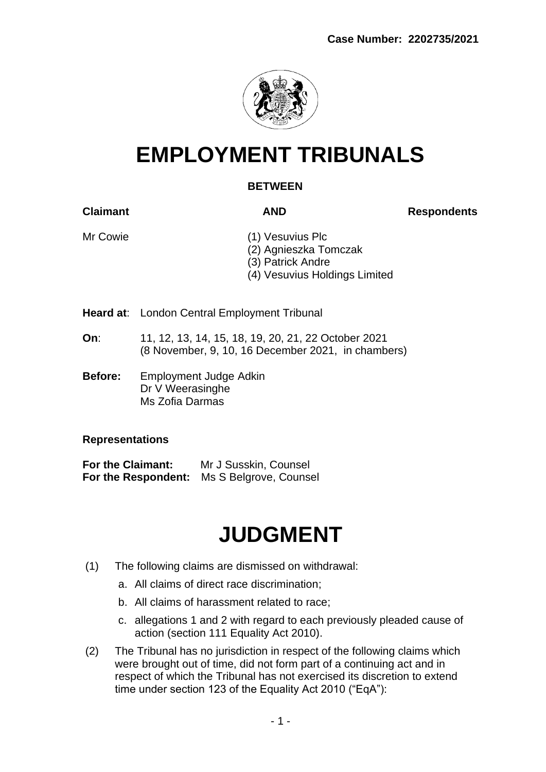

## **EMPLOYMENT TRIBUNALS**

### **BETWEEN**

**Claimant AND Respondents** 

- Mr Cowie (1) Vesuvius Plc (2) Agnieszka Tomczak
	- (3) Patrick Andre
	- (4) Vesuvius Holdings Limited
- **Heard at**: London Central Employment Tribunal
- **On**: 11, 12, 13, 14, 15, 18, 19, 20, 21, 22 October 2021 (8 November, 9, 10, 16 December 2021, in chambers)
- **Before:** Employment Judge Adkin Dr V Weerasinghe Ms Zofia Darmas

#### **Representations**

**For the Claimant:** Mr J Susskin, Counsel **For the Respondent:** Ms S Belgrove, Counsel

# **JUDGMENT**

- (1) The following claims are dismissed on withdrawal:
	- a. All claims of direct race discrimination;
	- b. All claims of harassment related to race;
	- c. allegations 1 and 2 with regard to each previously pleaded cause of action (section 111 Equality Act 2010).
- (2) The Tribunal has no jurisdiction in respect of the following claims which were brought out of time, did not form part of a continuing act and in respect of which the Tribunal has not exercised its discretion to extend time under section 123 of the Equality Act 2010 ("EqA"):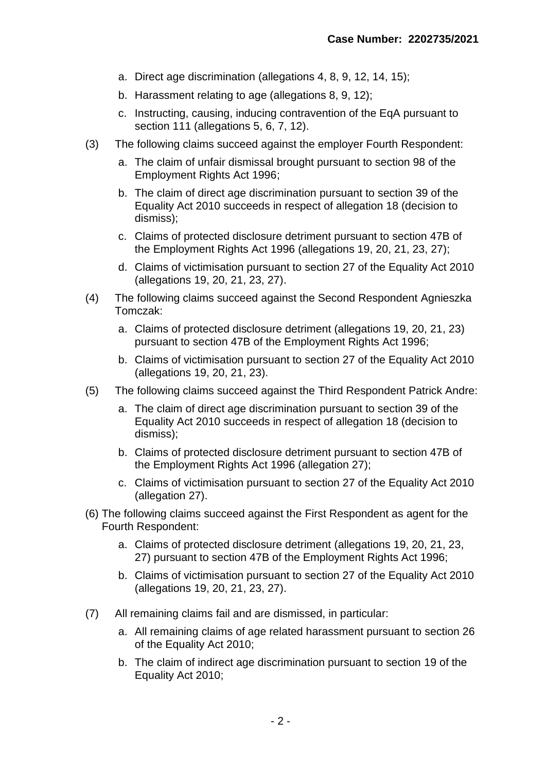- a. Direct age discrimination (allegations 4, 8, 9, 12, 14, 15);
- b. Harassment relating to age (allegations 8, 9, 12);
- c. Instructing, causing, inducing contravention of the EqA pursuant to section 111 (allegations 5, 6, 7, 12).
- (3) The following claims succeed against the employer Fourth Respondent:
	- a. The claim of unfair dismissal brought pursuant to section 98 of the Employment Rights Act 1996;
	- b. The claim of direct age discrimination pursuant to section 39 of the Equality Act 2010 succeeds in respect of allegation 18 (decision to dismiss);
	- c. Claims of protected disclosure detriment pursuant to section 47B of the Employment Rights Act 1996 (allegations 19, 20, 21, 23, 27);
	- d. Claims of victimisation pursuant to section 27 of the Equality Act 2010 (allegations 19, 20, 21, 23, 27).
- (4) The following claims succeed against the Second Respondent Agnieszka Tomczak:
	- a. Claims of protected disclosure detriment (allegations 19, 20, 21, 23) pursuant to section 47B of the Employment Rights Act 1996;
	- b. Claims of victimisation pursuant to section 27 of the Equality Act 2010 (allegations 19, 20, 21, 23).
- (5) The following claims succeed against the Third Respondent Patrick Andre:
	- a. The claim of direct age discrimination pursuant to section 39 of the Equality Act 2010 succeeds in respect of allegation 18 (decision to dismiss);
	- b. Claims of protected disclosure detriment pursuant to section 47B of the Employment Rights Act 1996 (allegation 27);
	- c. Claims of victimisation pursuant to section 27 of the Equality Act 2010 (allegation 27).
- (6) The following claims succeed against the First Respondent as agent for the Fourth Respondent:
	- a. Claims of protected disclosure detriment (allegations 19, 20, 21, 23, 27) pursuant to section 47B of the Employment Rights Act 1996;
	- b. Claims of victimisation pursuant to section 27 of the Equality Act 2010 (allegations 19, 20, 21, 23, 27).
- (7) All remaining claims fail and are dismissed, in particular:
	- a. All remaining claims of age related harassment pursuant to section 26 of the Equality Act 2010;
	- b. The claim of indirect age discrimination pursuant to section 19 of the Equality Act 2010;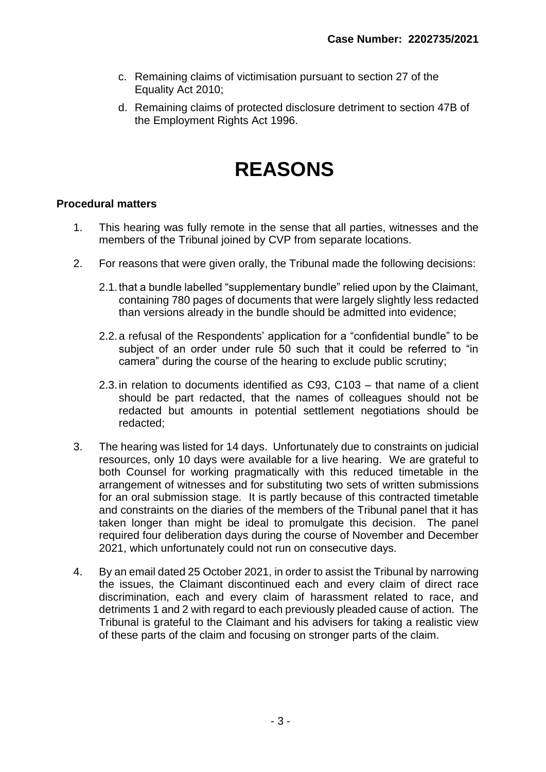- c. Remaining claims of victimisation pursuant to section 27 of the Equality Act 2010;
- d. Remaining claims of protected disclosure detriment to section 47B of the Employment Rights Act 1996.

### **REASONS**

#### **Procedural matters**

- 1. This hearing was fully remote in the sense that all parties, witnesses and the members of the Tribunal joined by CVP from separate locations.
- 2. For reasons that were given orally, the Tribunal made the following decisions:
	- 2.1.that a bundle labelled "supplementary bundle" relied upon by the Claimant, containing 780 pages of documents that were largely slightly less redacted than versions already in the bundle should be admitted into evidence;
	- 2.2.a refusal of the Respondents' application for a "confidential bundle" to be subject of an order under rule 50 such that it could be referred to "in camera" during the course of the hearing to exclude public scrutiny;
	- 2.3.in relation to documents identified as C93, C103 that name of a client should be part redacted, that the names of colleagues should not be redacted but amounts in potential settlement negotiations should be redacted;
- 3. The hearing was listed for 14 days. Unfortunately due to constraints on judicial resources, only 10 days were available for a live hearing. We are grateful to both Counsel for working pragmatically with this reduced timetable in the arrangement of witnesses and for substituting two sets of written submissions for an oral submission stage. It is partly because of this contracted timetable and constraints on the diaries of the members of the Tribunal panel that it has taken longer than might be ideal to promulgate this decision. The panel required four deliberation days during the course of November and December 2021, which unfortunately could not run on consecutive days.
- 4. By an email dated 25 October 2021, in order to assist the Tribunal by narrowing the issues, the Claimant discontinued each and every claim of direct race discrimination, each and every claim of harassment related to race, and detriments 1 and 2 with regard to each previously pleaded cause of action. The Tribunal is grateful to the Claimant and his advisers for taking a realistic view of these parts of the claim and focusing on stronger parts of the claim.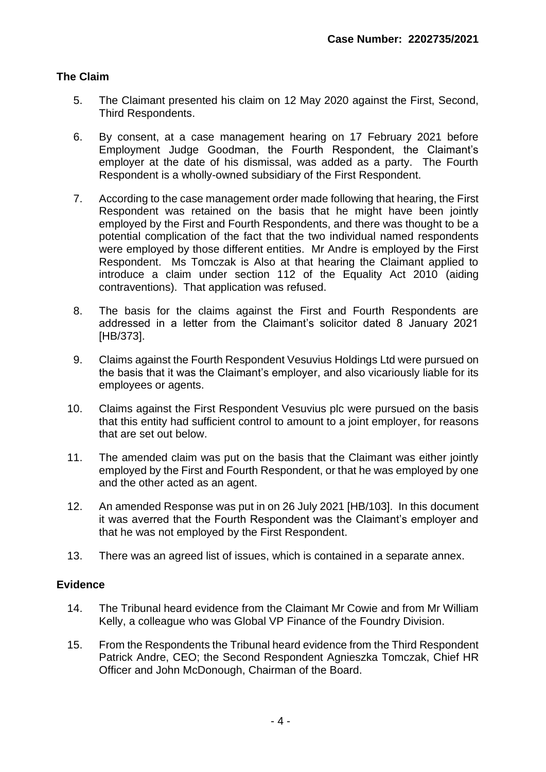#### **The Claim**

- 5. The Claimant presented his claim on 12 May 2020 against the First, Second, Third Respondents.
- 6. By consent, at a case management hearing on 17 February 2021 before Employment Judge Goodman, the Fourth Respondent, the Claimant's employer at the date of his dismissal, was added as a party. The Fourth Respondent is a wholly-owned subsidiary of the First Respondent.
- 7. According to the case management order made following that hearing, the First Respondent was retained on the basis that he might have been jointly employed by the First and Fourth Respondents, and there was thought to be a potential complication of the fact that the two individual named respondents were employed by those different entities. Mr Andre is employed by the First Respondent. Ms Tomczak is Also at that hearing the Claimant applied to introduce a claim under section 112 of the Equality Act 2010 (aiding contraventions). That application was refused.
- 8. The basis for the claims against the First and Fourth Respondents are addressed in a letter from the Claimant's solicitor dated 8 January 2021 [HB/373].
- 9. Claims against the Fourth Respondent Vesuvius Holdings Ltd were pursued on the basis that it was the Claimant's employer, and also vicariously liable for its employees or agents.
- 10. Claims against the First Respondent Vesuvius plc were pursued on the basis that this entity had sufficient control to amount to a joint employer, for reasons that are set out below.
- 11. The amended claim was put on the basis that the Claimant was either jointly employed by the First and Fourth Respondent, or that he was employed by one and the other acted as an agent.
- 12. An amended Response was put in on 26 July 2021 [HB/103]. In this document it was averred that the Fourth Respondent was the Claimant's employer and that he was not employed by the First Respondent.
- 13. There was an agreed list of issues, which is contained in a separate annex.

#### **Evidence**

- 14. The Tribunal heard evidence from the Claimant Mr Cowie and from Mr William Kelly, a colleague who was Global VP Finance of the Foundry Division.
- 15. From the Respondents the Tribunal heard evidence from the Third Respondent Patrick Andre, CEO; the Second Respondent Agnieszka Tomczak, Chief HR Officer and John McDonough, Chairman of the Board.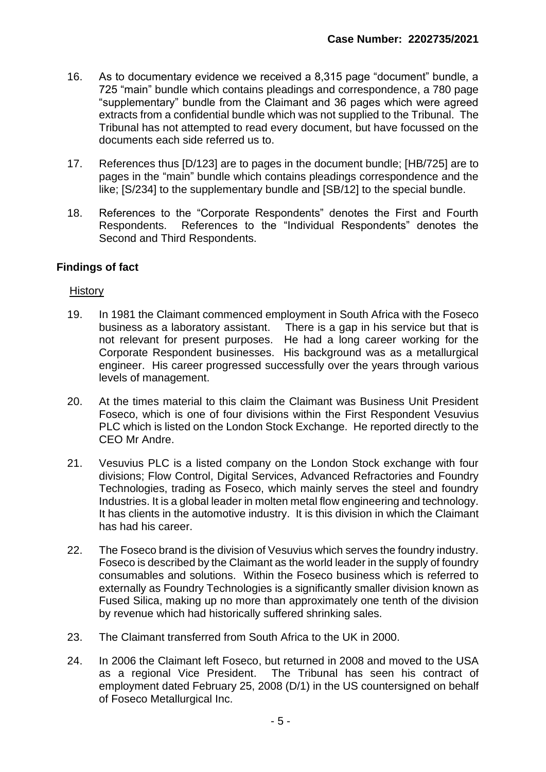- 16. As to documentary evidence we received a 8,315 page "document" bundle, a 725 "main" bundle which contains pleadings and correspondence, a 780 page "supplementary" bundle from the Claimant and 36 pages which were agreed extracts from a confidential bundle which was not supplied to the Tribunal. The Tribunal has not attempted to read every document, but have focussed on the documents each side referred us to.
- 17. References thus [D/123] are to pages in the document bundle; [HB/725] are to pages in the "main" bundle which contains pleadings correspondence and the like; [S/234] to the supplementary bundle and [SB/12] to the special bundle.
- 18. References to the "Corporate Respondents" denotes the First and Fourth Respondents. References to the "Individual Respondents" denotes the Second and Third Respondents.

#### **Findings of fact**

#### **History**

- 19. In 1981 the Claimant commenced employment in South Africa with the Foseco business as a laboratory assistant. There is a gap in his service but that is not relevant for present purposes. He had a long career working for the Corporate Respondent businesses. His background was as a metallurgical engineer. His career progressed successfully over the years through various levels of management.
- 20. At the times material to this claim the Claimant was Business Unit President Foseco, which is one of four divisions within the First Respondent Vesuvius PLC which is listed on the London Stock Exchange. He reported directly to the CEO Mr Andre.
- 21. Vesuvius PLC is a listed company on the London Stock exchange with four divisions; Flow Control, Digital Services, Advanced Refractories and Foundry Technologies, trading as Foseco, which mainly serves the steel and foundry Industries. It is a global leader in molten metal flow engineering and technology. It has clients in the automotive industry. It is this division in which the Claimant has had his career.
- 22. The Foseco brand is the division of Vesuvius which serves the foundry industry. Foseco is described by the Claimant as the world leader in the supply of foundry consumables and solutions. Within the Foseco business which is referred to externally as Foundry Technologies is a significantly smaller division known as Fused Silica, making up no more than approximately one tenth of the division by revenue which had historically suffered shrinking sales.
- 23. The Claimant transferred from South Africa to the UK in 2000.
- 24. In 2006 the Claimant left Foseco, but returned in 2008 and moved to the USA as a regional Vice President. The Tribunal has seen his contract of employment dated February 25, 2008 (D/1) in the US countersigned on behalf of Foseco Metallurgical Inc.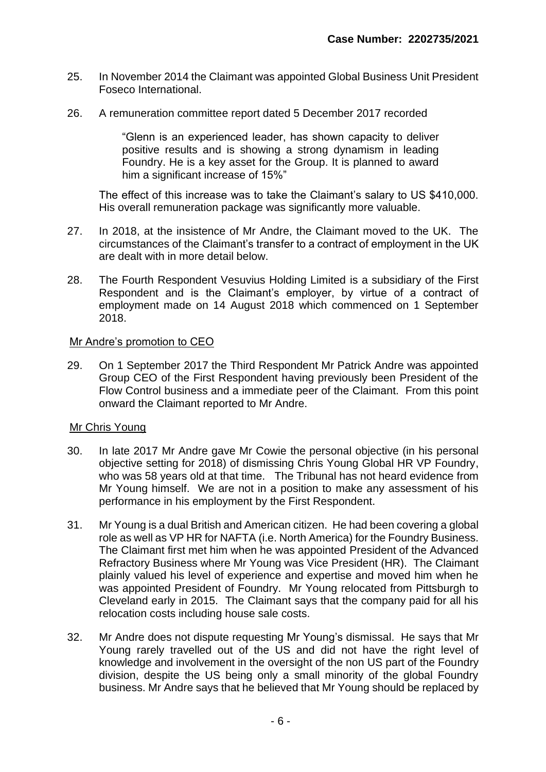- 25. In November 2014 the Claimant was appointed Global Business Unit President Foseco International.
- 26. A remuneration committee report dated 5 December 2017 recorded

"Glenn is an experienced leader, has shown capacity to deliver positive results and is showing a strong dynamism in leading Foundry. He is a key asset for the Group. It is planned to award him a significant increase of 15%"

The effect of this increase was to take the Claimant's salary to US \$410,000. His overall remuneration package was significantly more valuable.

- 27. In 2018, at the insistence of Mr Andre, the Claimant moved to the UK. The circumstances of the Claimant's transfer to a contract of employment in the UK are dealt with in more detail below.
- 28. The Fourth Respondent Vesuvius Holding Limited is a subsidiary of the First Respondent and is the Claimant's employer, by virtue of a contract of employment made on 14 August 2018 which commenced on 1 September 2018.

#### Mr Andre's promotion to CEO

29. On 1 September 2017 the Third Respondent Mr Patrick Andre was appointed Group CEO of the First Respondent having previously been President of the Flow Control business and a immediate peer of the Claimant. From this point onward the Claimant reported to Mr Andre.

#### Mr Chris Young

- 30. In late 2017 Mr Andre gave Mr Cowie the personal objective (in his personal objective setting for 2018) of dismissing Chris Young Global HR VP Foundry, who was 58 years old at that time. The Tribunal has not heard evidence from Mr Young himself. We are not in a position to make any assessment of his performance in his employment by the First Respondent.
- 31. Mr Young is a dual British and American citizen. He had been covering a global role as well as VP HR for NAFTA (i.e. North America) for the Foundry Business. The Claimant first met him when he was appointed President of the Advanced Refractory Business where Mr Young was Vice President (HR). The Claimant plainly valued his level of experience and expertise and moved him when he was appointed President of Foundry. Mr Young relocated from Pittsburgh to Cleveland early in 2015. The Claimant says that the company paid for all his relocation costs including house sale costs.
- 32. Mr Andre does not dispute requesting Mr Young's dismissal. He says that Mr Young rarely travelled out of the US and did not have the right level of knowledge and involvement in the oversight of the non US part of the Foundry division, despite the US being only a small minority of the global Foundry business. Mr Andre says that he believed that Mr Young should be replaced by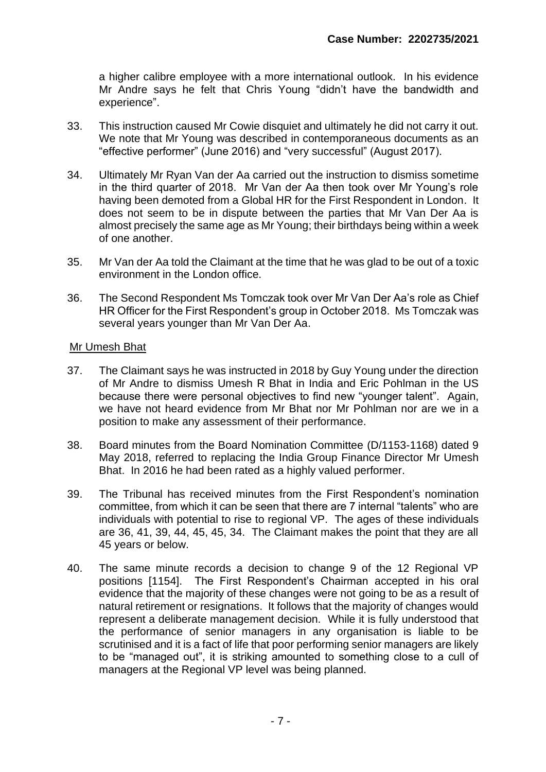a higher calibre employee with a more international outlook. In his evidence Mr Andre says he felt that Chris Young "didn't have the bandwidth and experience".

- 33. This instruction caused Mr Cowie disquiet and ultimately he did not carry it out. We note that Mr Young was described in contemporaneous documents as an "effective performer" (June 2016) and "very successful" (August 2017).
- 34. Ultimately Mr Ryan Van der Aa carried out the instruction to dismiss sometime in the third quarter of 2018. Mr Van der Aa then took over Mr Young's role having been demoted from a Global HR for the First Respondent in London. It does not seem to be in dispute between the parties that Mr Van Der Aa is almost precisely the same age as Mr Young; their birthdays being within a week of one another.
- 35. Mr Van der Aa told the Claimant at the time that he was glad to be out of a toxic environment in the London office.
- 36. The Second Respondent Ms Tomczak took over Mr Van Der Aa's role as Chief HR Officer for the First Respondent's group in October 2018. Ms Tomczak was several years younger than Mr Van Der Aa.

#### Mr Umesh Bhat

- 37. The Claimant says he was instructed in 2018 by Guy Young under the direction of Mr Andre to dismiss Umesh R Bhat in India and Eric Pohlman in the US because there were personal objectives to find new "younger talent". Again, we have not heard evidence from Mr Bhat nor Mr Pohlman nor are we in a position to make any assessment of their performance.
- 38. Board minutes from the Board Nomination Committee (D/1153-1168) dated 9 May 2018, referred to replacing the India Group Finance Director Mr Umesh Bhat. In 2016 he had been rated as a highly valued performer.
- 39. The Tribunal has received minutes from the First Respondent's nomination committee, from which it can be seen that there are 7 internal "talents" who are individuals with potential to rise to regional VP. The ages of these individuals are 36, 41, 39, 44, 45, 45, 34. The Claimant makes the point that they are all 45 years or below.
- 40. The same minute records a decision to change 9 of the 12 Regional VP positions [1154]. The First Respondent's Chairman accepted in his oral evidence that the majority of these changes were not going to be as a result of natural retirement or resignations. It follows that the majority of changes would represent a deliberate management decision. While it is fully understood that the performance of senior managers in any organisation is liable to be scrutinised and it is a fact of life that poor performing senior managers are likely to be "managed out", it is striking amounted to something close to a cull of managers at the Regional VP level was being planned.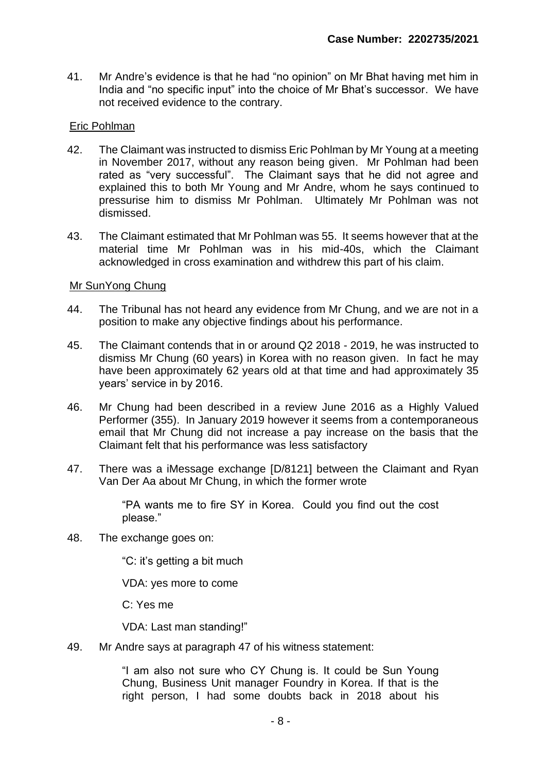41. Mr Andre's evidence is that he had "no opinion" on Mr Bhat having met him in India and "no specific input" into the choice of Mr Bhat's successor. We have not received evidence to the contrary.

#### Eric Pohlman

- 42. The Claimant was instructed to dismiss Eric Pohlman by Mr Young at a meeting in November 2017, without any reason being given. Mr Pohlman had been rated as "very successful". The Claimant says that he did not agree and explained this to both Mr Young and Mr Andre, whom he says continued to pressurise him to dismiss Mr Pohlman. Ultimately Mr Pohlman was not dismissed.
- 43. The Claimant estimated that Mr Pohlman was 55. It seems however that at the material time Mr Pohlman was in his mid-40s, which the Claimant acknowledged in cross examination and withdrew this part of his claim.

#### Mr SunYong Chung

- 44. The Tribunal has not heard any evidence from Mr Chung, and we are not in a position to make any objective findings about his performance.
- 45. The Claimant contends that in or around Q2 2018 2019, he was instructed to dismiss Mr Chung (60 years) in Korea with no reason given. In fact he may have been approximately 62 years old at that time and had approximately 35 years' service in by 2016.
- 46. Mr Chung had been described in a review June 2016 as a Highly Valued Performer (355). In January 2019 however it seems from a contemporaneous email that Mr Chung did not increase a pay increase on the basis that the Claimant felt that his performance was less satisfactory
- 47. There was a iMessage exchange [D/8121] between the Claimant and Ryan Van Der Aa about Mr Chung, in which the former wrote

"PA wants me to fire SY in Korea. Could you find out the cost please."

48. The exchange goes on:

"C: it's getting a bit much

VDA: yes more to come

C: Yes me

VDA: Last man standing!"

49. Mr Andre says at paragraph 47 of his witness statement:

"I am also not sure who CY Chung is. It could be Sun Young Chung, Business Unit manager Foundry in Korea. If that is the right person, I had some doubts back in 2018 about his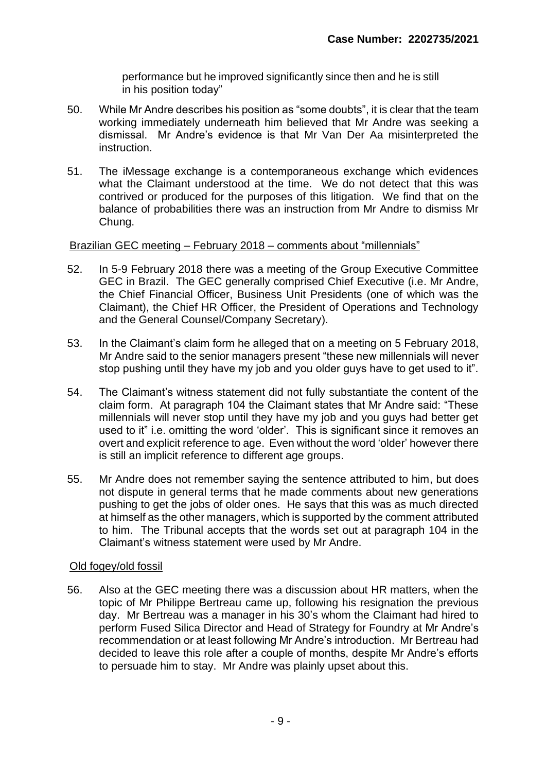performance but he improved significantly since then and he is still in his position today"

- 50. While Mr Andre describes his position as "some doubts", it is clear that the team working immediately underneath him believed that Mr Andre was seeking a dismissal. Mr Andre's evidence is that Mr Van Der Aa misinterpreted the instruction.
- 51. The iMessage exchange is a contemporaneous exchange which evidences what the Claimant understood at the time. We do not detect that this was contrived or produced for the purposes of this litigation. We find that on the balance of probabilities there was an instruction from Mr Andre to dismiss Mr Chung.

#### Brazilian GEC meeting – February 2018 – comments about "millennials"

- 52. In 5-9 February 2018 there was a meeting of the Group Executive Committee GEC in Brazil. The GEC generally comprised Chief Executive (i.e. Mr Andre, the Chief Financial Officer, Business Unit Presidents (one of which was the Claimant), the Chief HR Officer, the President of Operations and Technology and the General Counsel/Company Secretary).
- 53. In the Claimant's claim form he alleged that on a meeting on 5 February 2018, Mr Andre said to the senior managers present "these new millennials will never stop pushing until they have my job and you older guys have to get used to it".
- 54. The Claimant's witness statement did not fully substantiate the content of the claim form. At paragraph 104 the Claimant states that Mr Andre said: "These millennials will never stop until they have my job and you guys had better get used to it" i.e. omitting the word 'older'. This is significant since it removes an overt and explicit reference to age. Even without the word 'older' however there is still an implicit reference to different age groups.
- 55. Mr Andre does not remember saying the sentence attributed to him, but does not dispute in general terms that he made comments about new generations pushing to get the jobs of older ones. He says that this was as much directed at himself as the other managers, which is supported by the comment attributed to him. The Tribunal accepts that the words set out at paragraph 104 in the Claimant's witness statement were used by Mr Andre.

#### Old fogey/old fossil

56. Also at the GEC meeting there was a discussion about HR matters, when the topic of Mr Philippe Bertreau came up, following his resignation the previous day. Mr Bertreau was a manager in his 30's whom the Claimant had hired to perform Fused Silica Director and Head of Strategy for Foundry at Mr Andre's recommendation or at least following Mr Andre's introduction. Mr Bertreau had decided to leave this role after a couple of months, despite Mr Andre's efforts to persuade him to stay. Mr Andre was plainly upset about this.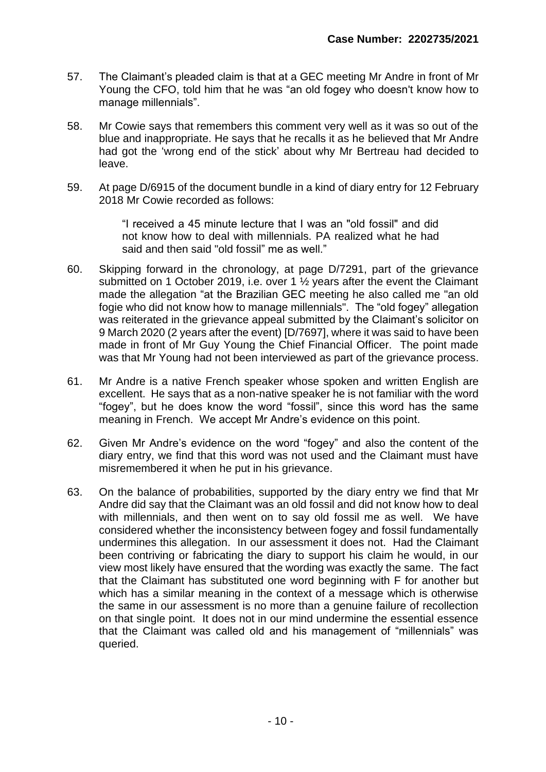- 57. The Claimant's pleaded claim is that at a GEC meeting Mr Andre in front of Mr Young the CFO, told him that he was "an old fogey who doesn't know how to manage millennials".
- 58. Mr Cowie says that remembers this comment very well as it was so out of the blue and inappropriate. He says that he recalls it as he believed that Mr Andre had got the 'wrong end of the stick' about why Mr Bertreau had decided to leave.
- 59. At page D/6915 of the document bundle in a kind of diary entry for 12 February 2018 Mr Cowie recorded as follows:

"I received a 45 minute lecture that I was an "old fossil" and did not know how to deal with millennials. PA realized what he had said and then said "old fossil" me as well."

- 60. Skipping forward in the chronology, at page D/7291, part of the grievance submitted on 1 October 2019, i.e. over 1 ½ years after the event the Claimant made the allegation "at the Brazilian GEC meeting he also called me "an old fogie who did not know how to manage millennials". The "old fogey" allegation was reiterated in the grievance appeal submitted by the Claimant's solicitor on 9 March 2020 (2 years after the event) [D/7697], where it was said to have been made in front of Mr Guy Young the Chief Financial Officer. The point made was that Mr Young had not been interviewed as part of the grievance process.
- 61. Mr Andre is a native French speaker whose spoken and written English are excellent. He says that as a non-native speaker he is not familiar with the word "fogey", but he does know the word "fossil", since this word has the same meaning in French. We accept Mr Andre's evidence on this point.
- 62. Given Mr Andre's evidence on the word "fogey" and also the content of the diary entry, we find that this word was not used and the Claimant must have misremembered it when he put in his grievance.
- 63. On the balance of probabilities, supported by the diary entry we find that Mr Andre did say that the Claimant was an old fossil and did not know how to deal with millennials, and then went on to say old fossil me as well. We have considered whether the inconsistency between fogey and fossil fundamentally undermines this allegation. In our assessment it does not. Had the Claimant been contriving or fabricating the diary to support his claim he would, in our view most likely have ensured that the wording was exactly the same. The fact that the Claimant has substituted one word beginning with F for another but which has a similar meaning in the context of a message which is otherwise the same in our assessment is no more than a genuine failure of recollection on that single point. It does not in our mind undermine the essential essence that the Claimant was called old and his management of "millennials" was queried.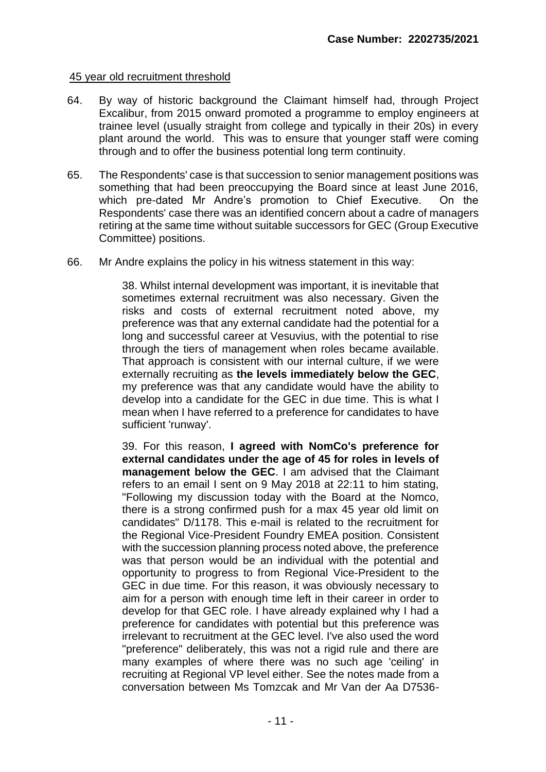#### 45 year old recruitment threshold

- 64. By way of historic background the Claimant himself had, through Project Excalibur, from 2015 onward promoted a programme to employ engineers at trainee level (usually straight from college and typically in their 20s) in every plant around the world. This was to ensure that younger staff were coming through and to offer the business potential long term continuity.
- 65. The Respondents' case is that succession to senior management positions was something that had been preoccupying the Board since at least June 2016, which pre-dated Mr Andre's promotion to Chief Executive. On the Respondents' case there was an identified concern about a cadre of managers retiring at the same time without suitable successors for GEC (Group Executive Committee) positions.
- 66. Mr Andre explains the policy in his witness statement in this way:

38. Whilst internal development was important, it is inevitable that sometimes external recruitment was also necessary. Given the risks and costs of external recruitment noted above, my preference was that any external candidate had the potential for a long and successful career at Vesuvius, with the potential to rise through the tiers of management when roles became available. That approach is consistent with our internal culture, if we were externally recruiting as **the levels immediately below the GEC**, my preference was that any candidate would have the ability to develop into a candidate for the GEC in due time. This is what I mean when I have referred to a preference for candidates to have sufficient 'runway'.

39. For this reason, **I agreed with NomCo's preference for external candidates under the age of 45 for roles in levels of management below the GEC**. I am advised that the Claimant refers to an email I sent on 9 May 2018 at 22:11 to him stating, "Following my discussion today with the Board at the Nomco, there is a strong confirmed push for a max 45 year old limit on candidates" D/1178. This e-mail is related to the recruitment for the Regional Vice-President Foundry EMEA position. Consistent with the succession planning process noted above, the preference was that person would be an individual with the potential and opportunity to progress to from Regional Vice-President to the GEC in due time. For this reason, it was obviously necessary to aim for a person with enough time left in their career in order to develop for that GEC role. I have already explained why I had a preference for candidates with potential but this preference was irrelevant to recruitment at the GEC level. I've also used the word "preference" deliberately, this was not a rigid rule and there are many examples of where there was no such age 'ceiling' in recruiting at Regional VP level either. See the notes made from a conversation between Ms Tomzcak and Mr Van der Aa D7536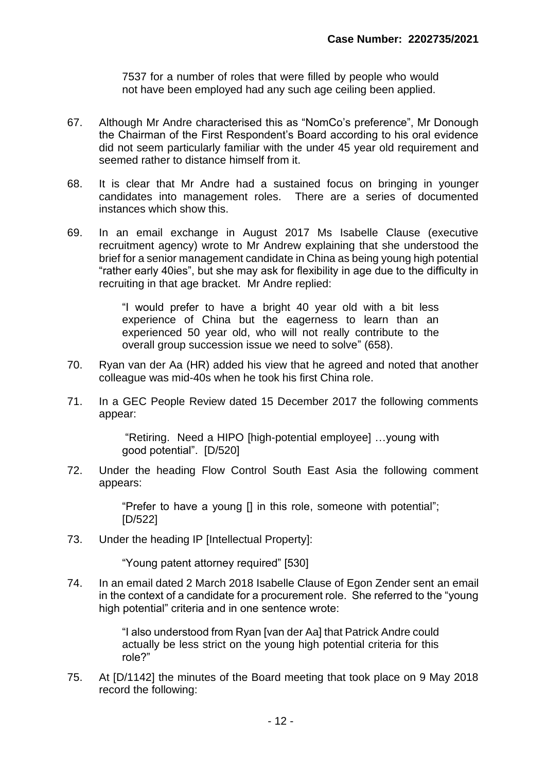7537 for a number of roles that were filled by people who would not have been employed had any such age ceiling been applied.

- 67. Although Mr Andre characterised this as "NomCo's preference", Mr Donough the Chairman of the First Respondent's Board according to his oral evidence did not seem particularly familiar with the under 45 year old requirement and seemed rather to distance himself from it.
- 68. It is clear that Mr Andre had a sustained focus on bringing in younger candidates into management roles. There are a series of documented instances which show this.
- 69. In an email exchange in August 2017 Ms Isabelle Clause (executive recruitment agency) wrote to Mr Andrew explaining that she understood the brief for a senior management candidate in China as being young high potential "rather early 40ies", but she may ask for flexibility in age due to the difficulty in recruiting in that age bracket. Mr Andre replied:

"I would prefer to have a bright 40 year old with a bit less experience of China but the eagerness to learn than an experienced 50 year old, who will not really contribute to the overall group succession issue we need to solve" (658).

- 70. Ryan van der Aa (HR) added his view that he agreed and noted that another colleague was mid-40s when he took his first China role.
- 71. In a GEC People Review dated 15 December 2017 the following comments appear:

"Retiring. Need a HIPO [high-potential employee] …young with good potential". [D/520]

72. Under the heading Flow Control South East Asia the following comment appears:

> "Prefer to have a young [] in this role, someone with potential"; [D/522]

73. Under the heading IP [Intellectual Property]:

"Young patent attorney required" [530]

74. In an email dated 2 March 2018 Isabelle Clause of Egon Zender sent an email in the context of a candidate for a procurement role. She referred to the "young high potential" criteria and in one sentence wrote:

> "I also understood from Ryan [van der Aa] that Patrick Andre could actually be less strict on the young high potential criteria for this role?"

75. At [D/1142] the minutes of the Board meeting that took place on 9 May 2018 record the following: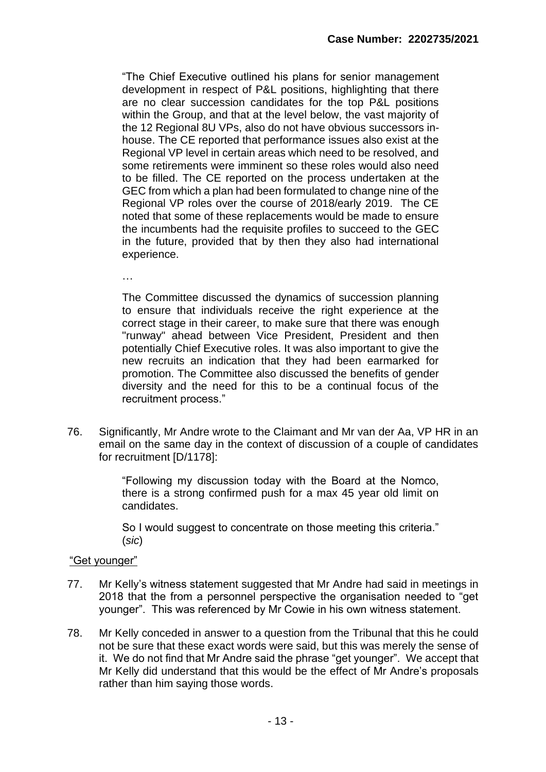"The Chief Executive outlined his plans for senior management development in respect of P&L positions, highlighting that there are no clear succession candidates for the top P&L positions within the Group, and that at the level below, the vast majority of the 12 Regional 8U VPs, also do not have obvious successors inhouse. The CE reported that performance issues also exist at the Regional VP level in certain areas which need to be resolved, and some retirements were imminent so these roles would also need to be filled. The CE reported on the process undertaken at the GEC from which a plan had been formulated to change nine of the Regional VP roles over the course of 2018/early 2019. The CE noted that some of these replacements would be made to ensure the incumbents had the requisite profiles to succeed to the GEC in the future, provided that by then they also had international experience.

…

The Committee discussed the dynamics of succession planning to ensure that individuals receive the right experience at the correct stage in their career, to make sure that there was enough "runway" ahead between Vice President, President and then potentially Chief Executive roles. It was also important to give the new recruits an indication that they had been earmarked for promotion. The Committee also discussed the benefits of gender diversity and the need for this to be a continual focus of the recruitment process."

76. Significantly, Mr Andre wrote to the Claimant and Mr van der Aa, VP HR in an email on the same day in the context of discussion of a couple of candidates for recruitment [D/1178]:

> "Following my discussion today with the Board at the Nomco, there is a strong confirmed push for a max 45 year old limit on candidates.

> So I would suggest to concentrate on those meeting this criteria." (*sic*)

#### "Get younger"

- 77. Mr Kelly's witness statement suggested that Mr Andre had said in meetings in 2018 that the from a personnel perspective the organisation needed to "get younger". This was referenced by Mr Cowie in his own witness statement.
- 78. Mr Kelly conceded in answer to a question from the Tribunal that this he could not be sure that these exact words were said, but this was merely the sense of it. We do not find that Mr Andre said the phrase "get younger". We accept that Mr Kelly did understand that this would be the effect of Mr Andre's proposals rather than him saying those words.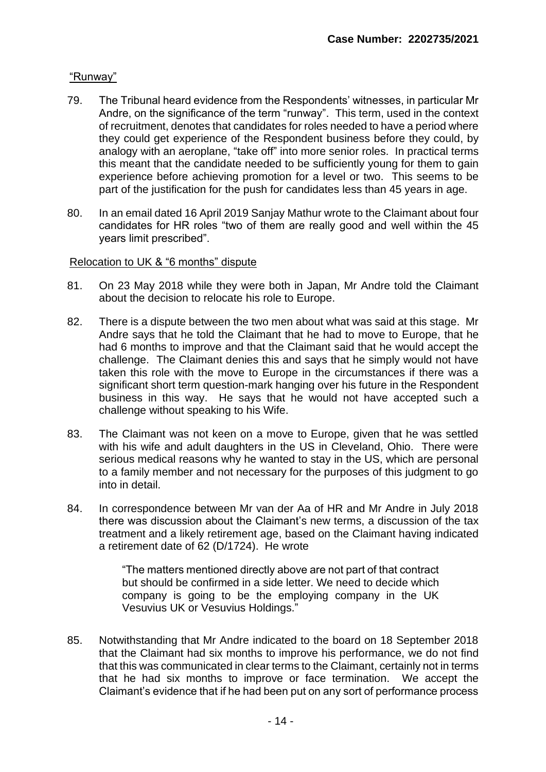#### "Runway"

- 79. The Tribunal heard evidence from the Respondents' witnesses, in particular Mr Andre, on the significance of the term "runway". This term, used in the context of recruitment, denotes that candidates for roles needed to have a period where they could get experience of the Respondent business before they could, by analogy with an aeroplane, "take off" into more senior roles. In practical terms this meant that the candidate needed to be sufficiently young for them to gain experience before achieving promotion for a level or two. This seems to be part of the justification for the push for candidates less than 45 years in age.
- 80. In an email dated 16 April 2019 Sanjay Mathur wrote to the Claimant about four candidates for HR roles "two of them are really good and well within the 45 years limit prescribed".

#### Relocation to UK & "6 months" dispute

- 81. On 23 May 2018 while they were both in Japan, Mr Andre told the Claimant about the decision to relocate his role to Europe.
- 82. There is a dispute between the two men about what was said at this stage. Mr Andre says that he told the Claimant that he had to move to Europe, that he had 6 months to improve and that the Claimant said that he would accept the challenge. The Claimant denies this and says that he simply would not have taken this role with the move to Europe in the circumstances if there was a significant short term question-mark hanging over his future in the Respondent business in this way. He says that he would not have accepted such a challenge without speaking to his Wife.
- 83. The Claimant was not keen on a move to Europe, given that he was settled with his wife and adult daughters in the US in Cleveland, Ohio. There were serious medical reasons why he wanted to stay in the US, which are personal to a family member and not necessary for the purposes of this judgment to go into in detail.
- 84. In correspondence between Mr van der Aa of HR and Mr Andre in July 2018 there was discussion about the Claimant's new terms, a discussion of the tax treatment and a likely retirement age, based on the Claimant having indicated a retirement date of 62 (D/1724). He wrote

"The matters mentioned directly above are not part of that contract but should be confirmed in a side letter. We need to decide which company is going to be the employing company in the UK Vesuvius UK or Vesuvius Holdings."

85. Notwithstanding that Mr Andre indicated to the board on 18 September 2018 that the Claimant had six months to improve his performance, we do not find that this was communicated in clear terms to the Claimant, certainly not in terms that he had six months to improve or face termination. We accept the Claimant's evidence that if he had been put on any sort of performance process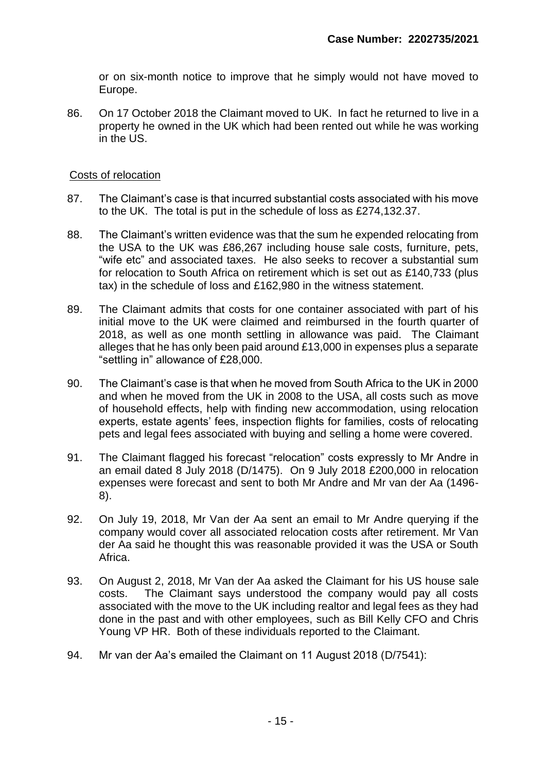or on six-month notice to improve that he simply would not have moved to Europe.

86. On 17 October 2018 the Claimant moved to UK. In fact he returned to live in a property he owned in the UK which had been rented out while he was working in the US.

#### Costs of relocation

- 87. The Claimant's case is that incurred substantial costs associated with his move to the UK. The total is put in the schedule of loss as £274,132.37.
- 88. The Claimant's written evidence was that the sum he expended relocating from the USA to the UK was £86,267 including house sale costs, furniture, pets, "wife etc" and associated taxes. He also seeks to recover a substantial sum for relocation to South Africa on retirement which is set out as £140,733 (plus tax) in the schedule of loss and £162,980 in the witness statement.
- 89. The Claimant admits that costs for one container associated with part of his initial move to the UK were claimed and reimbursed in the fourth quarter of 2018, as well as one month settling in allowance was paid. The Claimant alleges that he has only been paid around £13,000 in expenses plus a separate "settling in" allowance of £28,000.
- 90. The Claimant's case is that when he moved from South Africa to the UK in 2000 and when he moved from the UK in 2008 to the USA, all costs such as move of household effects, help with finding new accommodation, using relocation experts, estate agents' fees, inspection flights for families, costs of relocating pets and legal fees associated with buying and selling a home were covered.
- 91. The Claimant flagged his forecast "relocation" costs expressly to Mr Andre in an email dated 8 July 2018 (D/1475). On 9 July 2018 £200,000 in relocation expenses were forecast and sent to both Mr Andre and Mr van der Aa (1496- 8).
- 92. On July 19, 2018, Mr Van der Aa sent an email to Mr Andre querying if the company would cover all associated relocation costs after retirement. Mr Van der Aa said he thought this was reasonable provided it was the USA or South Africa.
- 93. On August 2, 2018, Mr Van der Aa asked the Claimant for his US house sale costs. The Claimant says understood the company would pay all costs associated with the move to the UK including realtor and legal fees as they had done in the past and with other employees, such as Bill Kelly CFO and Chris Young VP HR. Both of these individuals reported to the Claimant.
- 94. Mr van der Aa's emailed the Claimant on 11 August 2018 (D/7541):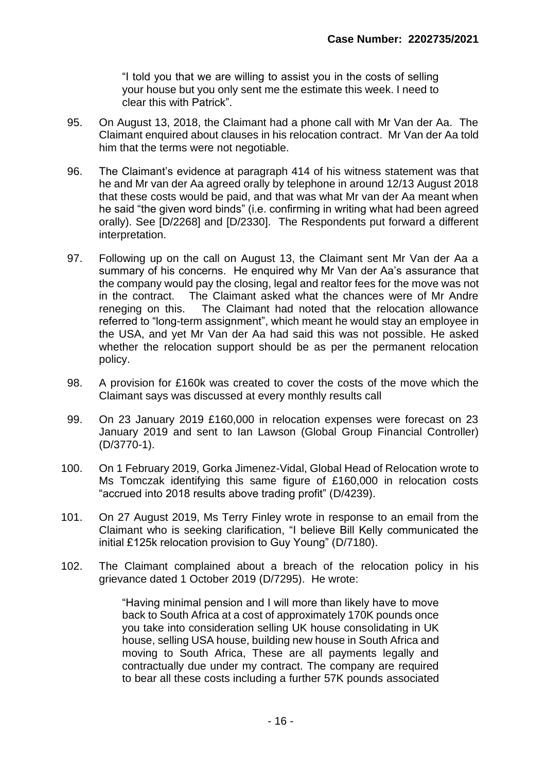"I told you that we are willing to assist you in the costs of selling your house but you only sent me the estimate this week. I need to clear this with Patrick".

- 95. On August 13, 2018, the Claimant had a phone call with Mr Van der Aa. The Claimant enquired about clauses in his relocation contract. Mr Van der Aa told him that the terms were not negotiable.
- 96. The Claimant's evidence at paragraph 414 of his witness statement was that he and Mr van der Aa agreed orally by telephone in around 12/13 August 2018 that these costs would be paid, and that was what Mr van der Aa meant when he said "the given word binds" (i.e. confirming in writing what had been agreed orally). See [D/2268] and [D/2330]. The Respondents put forward a different interpretation.
- 97. Following up on the call on August 13, the Claimant sent Mr Van der Aa a summary of his concerns. He enquired why Mr Van der Aa's assurance that the company would pay the closing, legal and realtor fees for the move was not in the contract. The Claimant asked what the chances were of Mr Andre reneging on this. The Claimant had noted that the relocation allowance referred to "long-term assignment", which meant he would stay an employee in the USA, and yet Mr Van der Aa had said this was not possible. He asked whether the relocation support should be as per the permanent relocation policy.
- 98. A provision for £160k was created to cover the costs of the move which the Claimant says was discussed at every monthly results call
- 99. On 23 January 2019 £160,000 in relocation expenses were forecast on 23 January 2019 and sent to Ian Lawson (Global Group Financial Controller) (D/3770-1).
- 100. On 1 February 2019, Gorka Jimenez-Vidal, Global Head of Relocation wrote to Ms Tomczak identifying this same figure of £160,000 in relocation costs "accrued into 2018 results above trading profit" (D/4239).
- 101. On 27 August 2019, Ms Terry Finley wrote in response to an email from the Claimant who is seeking clarification, "I believe Bill Kelly communicated the initial £125k relocation provision to Guy Young" (D/7180).
- 102. The Claimant complained about a breach of the relocation policy in his grievance dated 1 October 2019 (D/7295). He wrote:

"Having minimal pension and I will more than likely have to move back to South Africa at a cost of approximately 170K pounds once you take into consideration selling UK house consolidating in UK house, selling USA house, building new house in South Africa and moving to South Africa, These are all payments legally and contractually due under my contract. The company are required to bear all these costs including a further 57K pounds associated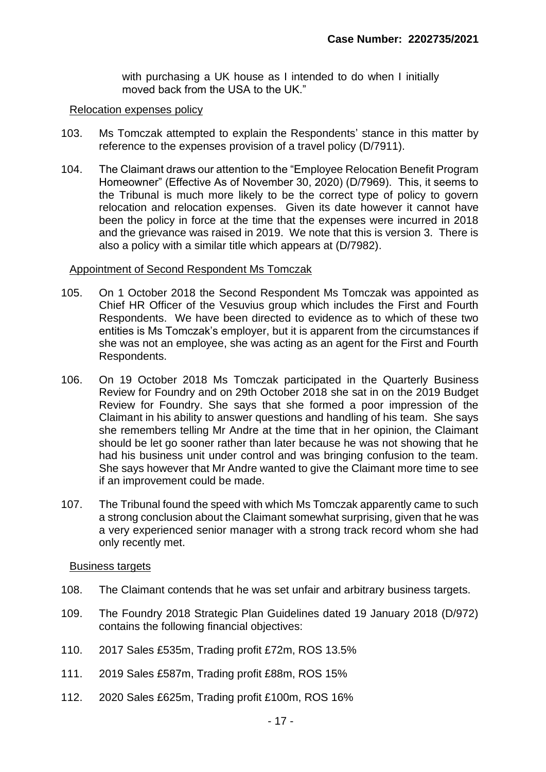with purchasing a UK house as I intended to do when I initially moved back from the USA to the UK."

#### Relocation expenses policy

- 103. Ms Tomczak attempted to explain the Respondents' stance in this matter by reference to the expenses provision of a travel policy (D/7911).
- 104. The Claimant draws our attention to the "Employee Relocation Benefit Program Homeowner" (Effective As of November 30, 2020) (D/7969). This, it seems to the Tribunal is much more likely to be the correct type of policy to govern relocation and relocation expenses. Given its date however it cannot have been the policy in force at the time that the expenses were incurred in 2018 and the grievance was raised in 2019. We note that this is version 3. There is also a policy with a similar title which appears at (D/7982).

#### Appointment of Second Respondent Ms Tomczak

- 105. On 1 October 2018 the Second Respondent Ms Tomczak was appointed as Chief HR Officer of the Vesuvius group which includes the First and Fourth Respondents. We have been directed to evidence as to which of these two entities is Ms Tomczak's employer, but it is apparent from the circumstances if she was not an employee, she was acting as an agent for the First and Fourth Respondents.
- 106. On 19 October 2018 Ms Tomczak participated in the Quarterly Business Review for Foundry and on 29th October 2018 she sat in on the 2019 Budget Review for Foundry. She says that she formed a poor impression of the Claimant in his ability to answer questions and handling of his team. She says she remembers telling Mr Andre at the time that in her opinion, the Claimant should be let go sooner rather than later because he was not showing that he had his business unit under control and was bringing confusion to the team. She says however that Mr Andre wanted to give the Claimant more time to see if an improvement could be made.
- 107. The Tribunal found the speed with which Ms Tomczak apparently came to such a strong conclusion about the Claimant somewhat surprising, given that he was a very experienced senior manager with a strong track record whom she had only recently met.

#### Business targets

- 108. The Claimant contends that he was set unfair and arbitrary business targets.
- 109. The Foundry 2018 Strategic Plan Guidelines dated 19 January 2018 (D/972) contains the following financial objectives:
- 110. 2017 Sales £535m, Trading profit £72m, ROS 13.5%
- 111. 2019 Sales £587m, Trading profit £88m, ROS 15%
- 112. 2020 Sales £625m, Trading profit £100m, ROS 16%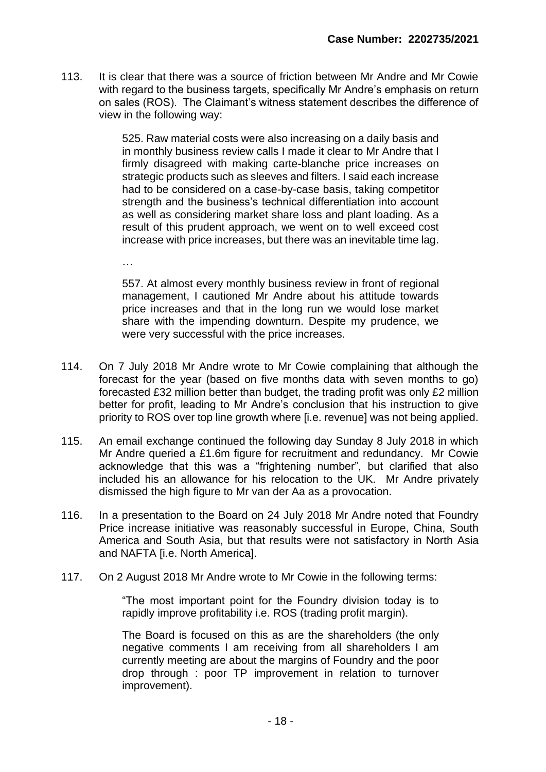113. It is clear that there was a source of friction between Mr Andre and Mr Cowie with regard to the business targets, specifically Mr Andre's emphasis on return on sales (ROS). The Claimant's witness statement describes the difference of view in the following way:

> 525. Raw material costs were also increasing on a daily basis and in monthly business review calls I made it clear to Mr Andre that I firmly disagreed with making carte-blanche price increases on strategic products such as sleeves and filters. I said each increase had to be considered on a case-by-case basis, taking competitor strength and the business's technical differentiation into account as well as considering market share loss and plant loading. As a result of this prudent approach, we went on to well exceed cost increase with price increases, but there was an inevitable time lag.

> 557. At almost every monthly business review in front of regional management, I cautioned Mr Andre about his attitude towards price increases and that in the long run we would lose market share with the impending downturn. Despite my prudence, we were very successful with the price increases.

…

- 114. On 7 July 2018 Mr Andre wrote to Mr Cowie complaining that although the forecast for the year (based on five months data with seven months to go) forecasted £32 million better than budget, the trading profit was only £2 million better for profit, leading to Mr Andre's conclusion that his instruction to give priority to ROS over top line growth where [i.e. revenue] was not being applied.
- 115. An email exchange continued the following day Sunday 8 July 2018 in which Mr Andre queried a £1.6m figure for recruitment and redundancy. Mr Cowie acknowledge that this was a "frightening number", but clarified that also included his an allowance for his relocation to the UK. Mr Andre privately dismissed the high figure to Mr van der Aa as a provocation.
- 116. In a presentation to the Board on 24 July 2018 Mr Andre noted that Foundry Price increase initiative was reasonably successful in Europe, China, South America and South Asia, but that results were not satisfactory in North Asia and NAFTA [i.e. North America].
- 117. On 2 August 2018 Mr Andre wrote to Mr Cowie in the following terms:

"The most important point for the Foundry division today is to rapidly improve profitability i.e. ROS (trading profit margin).

The Board is focused on this as are the shareholders (the only negative comments I am receiving from all shareholders I am currently meeting are about the margins of Foundry and the poor drop through : poor TP improvement in relation to turnover improvement).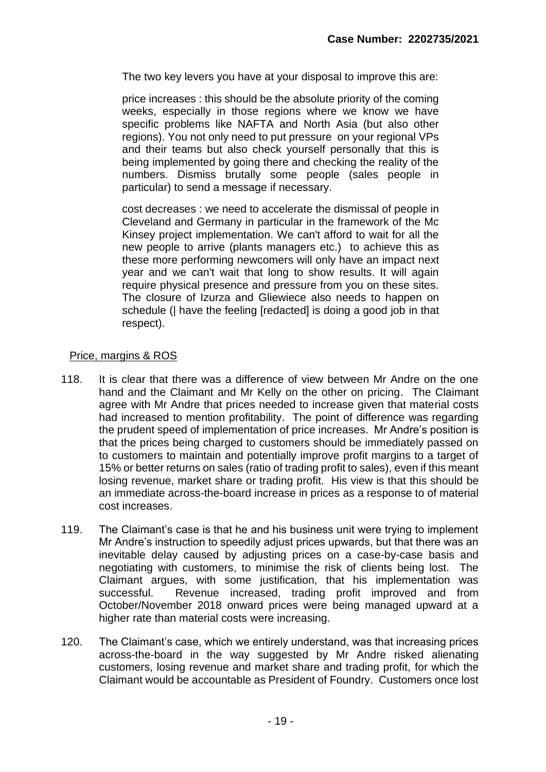The two key levers you have at your disposal to improve this are:

price increases : this should be the absolute priority of the coming weeks, especially in those regions where we know we have specific problems like NAFTA and North Asia (but also other regions). You not only need to put pressure on your regional VPs and their teams but also check yourself personally that this is being implemented by going there and checking the reality of the numbers. Dismiss brutally some people (sales people in particular) to send a message if necessary.

cost decreases : we need to accelerate the dismissal of people in Cleveland and Germany in particular in the framework of the Mc Kinsey project implementation. We can't afford to wait for all the new people to arrive (plants managers etc.) to achieve this as these more performing newcomers will only have an impact next year and we can't wait that long to show results. It will again require physical presence and pressure from you on these sites. The closure of Izurza and Gliewiece also needs to happen on schedule (| have the feeling [redacted] is doing a good job in that respect).

#### Price, margins & ROS

- 118. It is clear that there was a difference of view between Mr Andre on the one hand and the Claimant and Mr Kelly on the other on pricing. The Claimant agree with Mr Andre that prices needed to increase given that material costs had increased to mention profitability. The point of difference was regarding the prudent speed of implementation of price increases. Mr Andre's position is that the prices being charged to customers should be immediately passed on to customers to maintain and potentially improve profit margins to a target of 15% or better returns on sales (ratio of trading profit to sales), even if this meant losing revenue, market share or trading profit. His view is that this should be an immediate across-the-board increase in prices as a response to of material cost increases.
- 119. The Claimant's case is that he and his business unit were trying to implement Mr Andre's instruction to speedily adjust prices upwards, but that there was an inevitable delay caused by adjusting prices on a case-by-case basis and negotiating with customers, to minimise the risk of clients being lost. The Claimant argues, with some justification, that his implementation was successful. Revenue increased, trading profit improved and from October/November 2018 onward prices were being managed upward at a higher rate than material costs were increasing.
- 120. The Claimant's case, which we entirely understand, was that increasing prices across-the-board in the way suggested by Mr Andre risked alienating customers, losing revenue and market share and trading profit, for which the Claimant would be accountable as President of Foundry. Customers once lost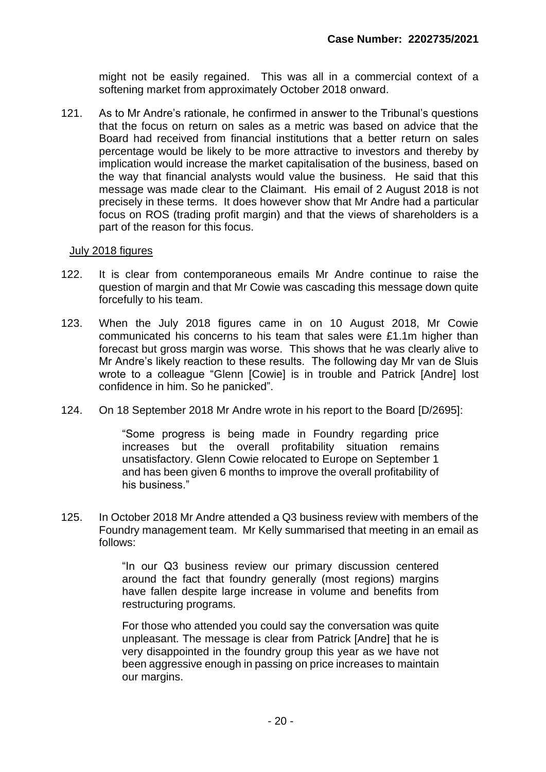might not be easily regained. This was all in a commercial context of a softening market from approximately October 2018 onward.

121. As to Mr Andre's rationale, he confirmed in answer to the Tribunal's questions that the focus on return on sales as a metric was based on advice that the Board had received from financial institutions that a better return on sales percentage would be likely to be more attractive to investors and thereby by implication would increase the market capitalisation of the business, based on the way that financial analysts would value the business. He said that this message was made clear to the Claimant. His email of 2 August 2018 is not precisely in these terms. It does however show that Mr Andre had a particular focus on ROS (trading profit margin) and that the views of shareholders is a part of the reason for this focus.

#### July 2018 figures

- 122. It is clear from contemporaneous emails Mr Andre continue to raise the question of margin and that Mr Cowie was cascading this message down quite forcefully to his team.
- 123. When the July 2018 figures came in on 10 August 2018, Mr Cowie communicated his concerns to his team that sales were £1.1m higher than forecast but gross margin was worse. This shows that he was clearly alive to Mr Andre's likely reaction to these results. The following day Mr van de Sluis wrote to a colleague "Glenn [Cowie] is in trouble and Patrick [Andre] lost confidence in him. So he panicked".
- 124. On 18 September 2018 Mr Andre wrote in his report to the Board [D/2695]:

"Some progress is being made in Foundry regarding price increases but the overall profitability situation remains unsatisfactory. Glenn Cowie relocated to Europe on September 1 and has been given 6 months to improve the overall profitability of his business."

125. In October 2018 Mr Andre attended a Q3 business review with members of the Foundry management team. Mr Kelly summarised that meeting in an email as follows:

> "In our Q3 business review our primary discussion centered around the fact that foundry generally (most regions) margins have fallen despite large increase in volume and benefits from restructuring programs.

> For those who attended you could say the conversation was quite unpleasant. The message is clear from Patrick [Andre] that he is very disappointed in the foundry group this year as we have not been aggressive enough in passing on price increases to maintain our margins.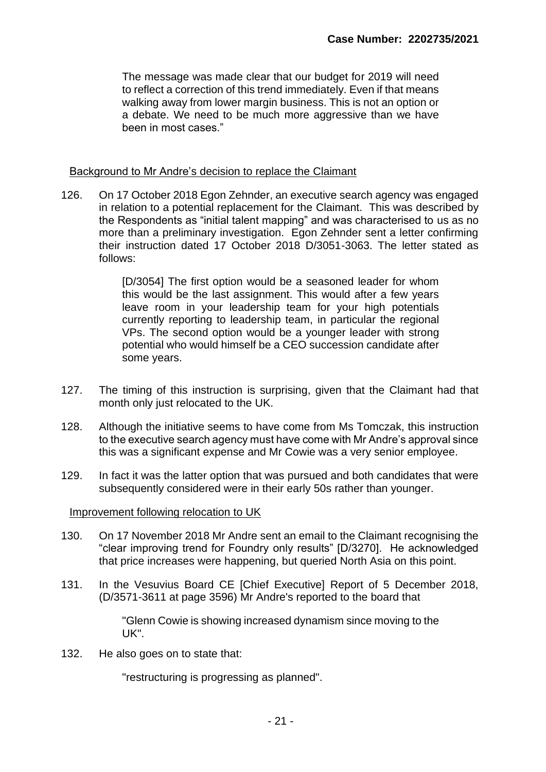The message was made clear that our budget for 2019 will need to reflect a correction of this trend immediately. Even if that means walking away from lower margin business. This is not an option or a debate. We need to be much more aggressive than we have been in most cases."

#### Background to Mr Andre's decision to replace the Claimant

126. On 17 October 2018 Egon Zehnder, an executive search agency was engaged in relation to a potential replacement for the Claimant. This was described by the Respondents as "initial talent mapping" and was characterised to us as no more than a preliminary investigation. Egon Zehnder sent a letter confirming their instruction dated 17 October 2018 D/3051-3063. The letter stated as follows:

> [D/3054] The first option would be a seasoned leader for whom this would be the last assignment. This would after a few years leave room in your leadership team for your high potentials currently reporting to leadership team, in particular the regional VPs. The second option would be a younger leader with strong potential who would himself be a CEO succession candidate after some years.

- 127. The timing of this instruction is surprising, given that the Claimant had that month only just relocated to the UK.
- 128. Although the initiative seems to have come from Ms Tomczak, this instruction to the executive search agency must have come with Mr Andre's approval since this was a significant expense and Mr Cowie was a very senior employee.
- 129. In fact it was the latter option that was pursued and both candidates that were subsequently considered were in their early 50s rather than younger.

#### Improvement following relocation to UK

- 130. On 17 November 2018 Mr Andre sent an email to the Claimant recognising the "clear improving trend for Foundry only results" [D/3270]. He acknowledged that price increases were happening, but queried North Asia on this point.
- 131. In the Vesuvius Board CE [Chief Executive] Report of 5 December 2018, (D/3571-3611 at page 3596) Mr Andre's reported to the board that

"Glenn Cowie is showing increased dynamism since moving to the UK".

132. He also goes on to state that:

"restructuring is progressing as planned".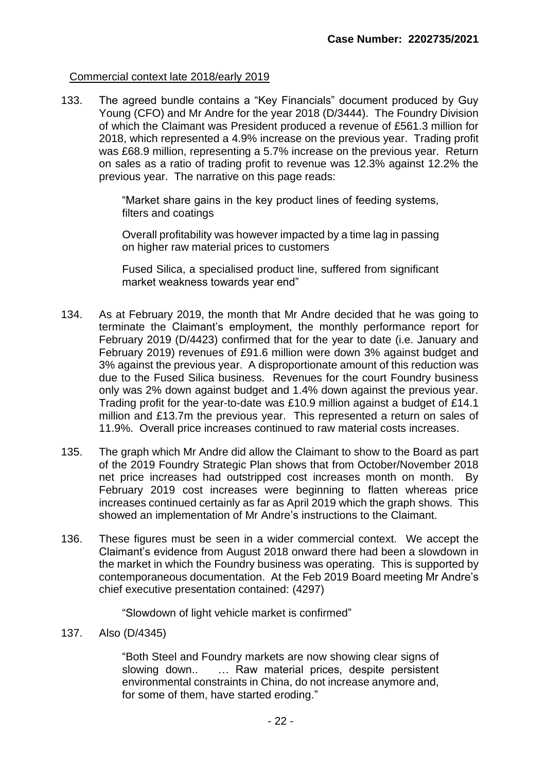#### Commercial context late 2018/early 2019

133. The agreed bundle contains a "Key Financials" document produced by Guy Young (CFO) and Mr Andre for the year 2018 (D/3444). The Foundry Division of which the Claimant was President produced a revenue of £561.3 million for 2018, which represented a 4.9% increase on the previous year. Trading profit was £68.9 million, representing a 5.7% increase on the previous year. Return on sales as a ratio of trading profit to revenue was 12.3% against 12.2% the previous year. The narrative on this page reads:

> "Market share gains in the key product lines of feeding systems, filters and coatings

> Overall profitability was however impacted by a time lag in passing on higher raw material prices to customers

> Fused Silica, a specialised product line, suffered from significant market weakness towards year end"

- 134. As at February 2019, the month that Mr Andre decided that he was going to terminate the Claimant's employment, the monthly performance report for February 2019 (D/4423) confirmed that for the year to date (i.e. January and February 2019) revenues of £91.6 million were down 3% against budget and 3% against the previous year. A disproportionate amount of this reduction was due to the Fused Silica business. Revenues for the court Foundry business only was 2% down against budget and 1.4% down against the previous year. Trading profit for the year-to-date was £10.9 million against a budget of £14.1 million and £13.7m the previous year. This represented a return on sales of 11.9%. Overall price increases continued to raw material costs increases.
- 135. The graph which Mr Andre did allow the Claimant to show to the Board as part of the 2019 Foundry Strategic Plan shows that from October/November 2018 net price increases had outstripped cost increases month on month. By February 2019 cost increases were beginning to flatten whereas price increases continued certainly as far as April 2019 which the graph shows. This showed an implementation of Mr Andre's instructions to the Claimant.
- 136. These figures must be seen in a wider commercial context. We accept the Claimant's evidence from August 2018 onward there had been a slowdown in the market in which the Foundry business was operating. This is supported by contemporaneous documentation. At the Feb 2019 Board meeting Mr Andre's chief executive presentation contained: (4297)

"Slowdown of light vehicle market is confirmed"

137. Also (D/4345)

"Both Steel and Foundry markets are now showing clear signs of slowing down.. … Raw material prices, despite persistent environmental constraints in China, do not increase anymore and, for some of them, have started eroding."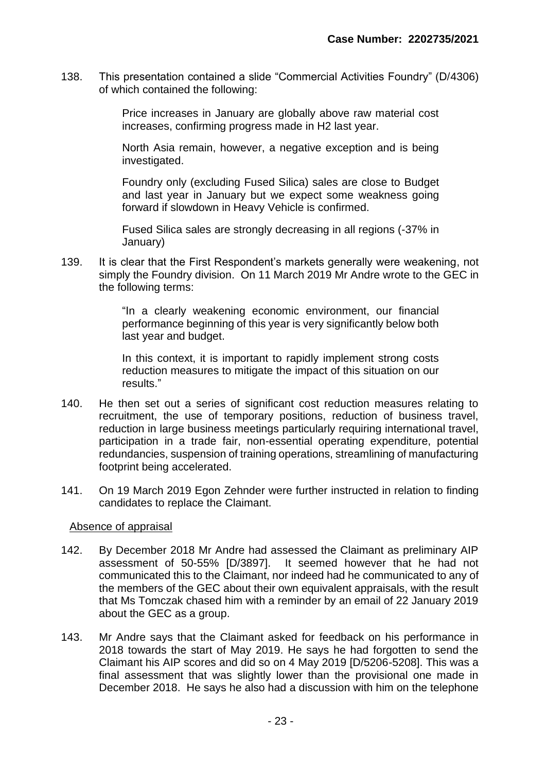138. This presentation contained a slide "Commercial Activities Foundry" (D/4306) of which contained the following:

> Price increases in January are globally above raw material cost increases, confirming progress made in H2 last year.

> North Asia remain, however, a negative exception and is being investigated.

> Foundry only (excluding Fused Silica) sales are close to Budget and last year in January but we expect some weakness going forward if slowdown in Heavy Vehicle is confirmed.

> Fused Silica sales are strongly decreasing in all regions (-37% in January)

139. It is clear that the First Respondent's markets generally were weakening, not simply the Foundry division. On 11 March 2019 Mr Andre wrote to the GEC in the following terms:

> "In a clearly weakening economic environment, our financial performance beginning of this year is very significantly below both last year and budget.

> In this context, it is important to rapidly implement strong costs reduction measures to mitigate the impact of this situation on our results."

- 140. He then set out a series of significant cost reduction measures relating to recruitment, the use of temporary positions, reduction of business travel, reduction in large business meetings particularly requiring international travel, participation in a trade fair, non-essential operating expenditure, potential redundancies, suspension of training operations, streamlining of manufacturing footprint being accelerated.
- 141. On 19 March 2019 Egon Zehnder were further instructed in relation to finding candidates to replace the Claimant.

#### Absence of appraisal

- 142. By December 2018 Mr Andre had assessed the Claimant as preliminary AIP assessment of 50-55% [D/3897]. It seemed however that he had not communicated this to the Claimant, nor indeed had he communicated to any of the members of the GEC about their own equivalent appraisals, with the result that Ms Tomczak chased him with a reminder by an email of 22 January 2019 about the GEC as a group.
- 143. Mr Andre says that the Claimant asked for feedback on his performance in 2018 towards the start of May 2019. He says he had forgotten to send the Claimant his AIP scores and did so on 4 May 2019 [D/5206-5208]. This was a final assessment that was slightly lower than the provisional one made in December 2018. He says he also had a discussion with him on the telephone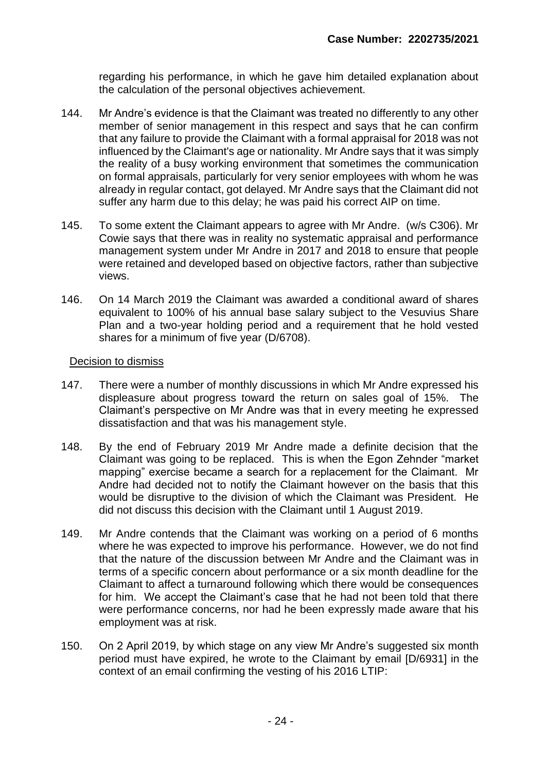regarding his performance, in which he gave him detailed explanation about the calculation of the personal objectives achievement.

- 144. Mr Andre's evidence is that the Claimant was treated no differently to any other member of senior management in this respect and says that he can confirm that any failure to provide the Claimant with a formal appraisal for 2018 was not influenced by the Claimant's age or nationality. Mr Andre says that it was simply the reality of a busy working environment that sometimes the communication on formal appraisals, particularly for very senior employees with whom he was already in regular contact, got delayed. Mr Andre says that the Claimant did not suffer any harm due to this delay; he was paid his correct AIP on time.
- 145. To some extent the Claimant appears to agree with Mr Andre. (w/s C306). Mr Cowie says that there was in reality no systematic appraisal and performance management system under Mr Andre in 2017 and 2018 to ensure that people were retained and developed based on objective factors, rather than subjective views.
- 146. On 14 March 2019 the Claimant was awarded a conditional award of shares equivalent to 100% of his annual base salary subject to the Vesuvius Share Plan and a two-year holding period and a requirement that he hold vested shares for a minimum of five year (D/6708).

#### Decision to dismiss

- 147. There were a number of monthly discussions in which Mr Andre expressed his displeasure about progress toward the return on sales goal of 15%. The Claimant's perspective on Mr Andre was that in every meeting he expressed dissatisfaction and that was his management style.
- 148. By the end of February 2019 Mr Andre made a definite decision that the Claimant was going to be replaced. This is when the Egon Zehnder "market mapping" exercise became a search for a replacement for the Claimant. Mr Andre had decided not to notify the Claimant however on the basis that this would be disruptive to the division of which the Claimant was President. He did not discuss this decision with the Claimant until 1 August 2019.
- 149. Mr Andre contends that the Claimant was working on a period of 6 months where he was expected to improve his performance. However, we do not find that the nature of the discussion between Mr Andre and the Claimant was in terms of a specific concern about performance or a six month deadline for the Claimant to affect a turnaround following which there would be consequences for him. We accept the Claimant's case that he had not been told that there were performance concerns, nor had he been expressly made aware that his employment was at risk.
- 150. On 2 April 2019, by which stage on any view Mr Andre's suggested six month period must have expired, he wrote to the Claimant by email [D/6931] in the context of an email confirming the vesting of his 2016 LTIP: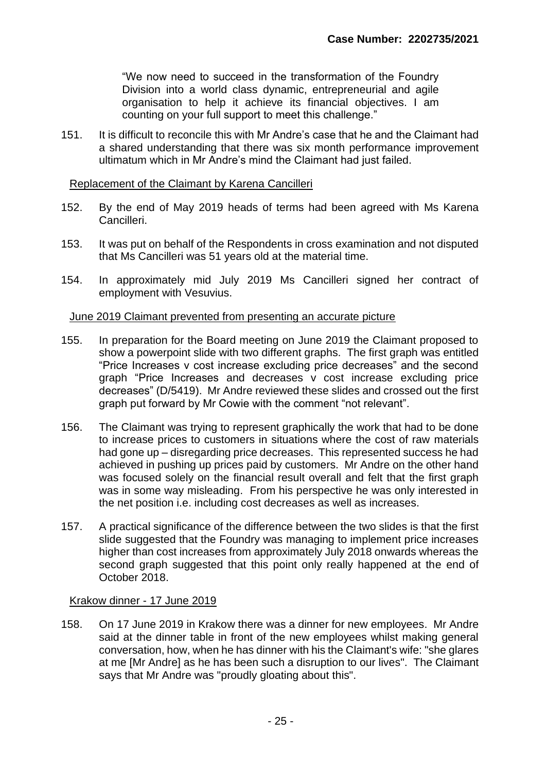"We now need to succeed in the transformation of the Foundry Division into a world class dynamic, entrepreneurial and agile organisation to help it achieve its financial objectives. I am counting on your full support to meet this challenge."

151. It is difficult to reconcile this with Mr Andre's case that he and the Claimant had a shared understanding that there was six month performance improvement ultimatum which in Mr Andre's mind the Claimant had just failed.

#### Replacement of the Claimant by Karena Cancilleri

- 152. By the end of May 2019 heads of terms had been agreed with Ms Karena Cancilleri.
- 153. It was put on behalf of the Respondents in cross examination and not disputed that Ms Cancilleri was 51 years old at the material time.
- 154. In approximately mid July 2019 Ms Cancilleri signed her contract of employment with Vesuvius.

#### June 2019 Claimant prevented from presenting an accurate picture

- 155. In preparation for the Board meeting on June 2019 the Claimant proposed to show a powerpoint slide with two different graphs. The first graph was entitled "Price Increases v cost increase excluding price decreases" and the second graph "Price Increases and decreases v cost increase excluding price decreases" (D/5419). Mr Andre reviewed these slides and crossed out the first graph put forward by Mr Cowie with the comment "not relevant".
- 156. The Claimant was trying to represent graphically the work that had to be done to increase prices to customers in situations where the cost of raw materials had gone up – disregarding price decreases. This represented success he had achieved in pushing up prices paid by customers. Mr Andre on the other hand was focused solely on the financial result overall and felt that the first graph was in some way misleading. From his perspective he was only interested in the net position i.e. including cost decreases as well as increases.
- 157. A practical significance of the difference between the two slides is that the first slide suggested that the Foundry was managing to implement price increases higher than cost increases from approximately July 2018 onwards whereas the second graph suggested that this point only really happened at the end of October 2018.

#### Krakow dinner - 17 June 2019

158. On 17 June 2019 in Krakow there was a dinner for new employees. Mr Andre said at the dinner table in front of the new employees whilst making general conversation, how, when he has dinner with his the Claimant's wife: "she glares at me [Mr Andre] as he has been such a disruption to our lives". The Claimant says that Mr Andre was "proudly gloating about this".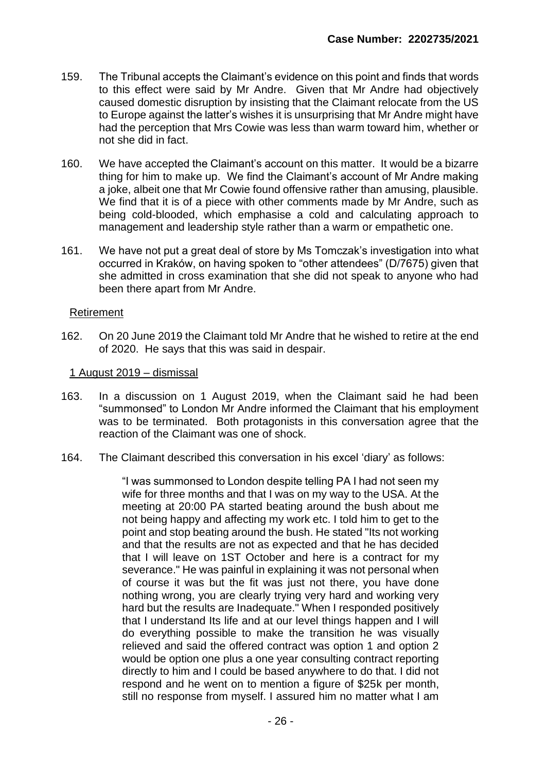- 159. The Tribunal accepts the Claimant's evidence on this point and finds that words to this effect were said by Mr Andre. Given that Mr Andre had objectively caused domestic disruption by insisting that the Claimant relocate from the US to Europe against the latter's wishes it is unsurprising that Mr Andre might have had the perception that Mrs Cowie was less than warm toward him, whether or not she did in fact.
- 160. We have accepted the Claimant's account on this matter. It would be a bizarre thing for him to make up. We find the Claimant's account of Mr Andre making a joke, albeit one that Mr Cowie found offensive rather than amusing, plausible. We find that it is of a piece with other comments made by Mr Andre, such as being cold-blooded, which emphasise a cold and calculating approach to management and leadership style rather than a warm or empathetic one.
- 161. We have not put a great deal of store by Ms Tomczak's investigation into what occurred in Kraków, on having spoken to "other attendees" (D/7675) given that she admitted in cross examination that she did not speak to anyone who had been there apart from Mr Andre.

#### Retirement

162. On 20 June 2019 the Claimant told Mr Andre that he wished to retire at the end of 2020. He says that this was said in despair.

#### 1 August 2019 – dismissal

- 163. In a discussion on 1 August 2019, when the Claimant said he had been "summonsed" to London Mr Andre informed the Claimant that his employment was to be terminated. Both protagonists in this conversation agree that the reaction of the Claimant was one of shock.
- 164. The Claimant described this conversation in his excel 'diary' as follows:

"I was summonsed to London despite telling PA I had not seen my wife for three months and that I was on my way to the USA. At the meeting at 20:00 PA started beating around the bush about me not being happy and affecting my work etc. I told him to get to the point and stop beating around the bush. He stated "Its not working and that the results are not as expected and that he has decided that I will leave on 1ST October and here is a contract for my severance." He was painful in explaining it was not personal when of course it was but the fit was just not there, you have done nothing wrong, you are clearly trying very hard and working very hard but the results are Inadequate." When I responded positively that I understand Its life and at our level things happen and I will do everything possible to make the transition he was visually relieved and said the offered contract was option 1 and option 2 would be option one plus a one year consulting contract reporting directly to him and I could be based anywhere to do that. I did not respond and he went on to mention a figure of \$25k per month, still no response from myself. I assured him no matter what I am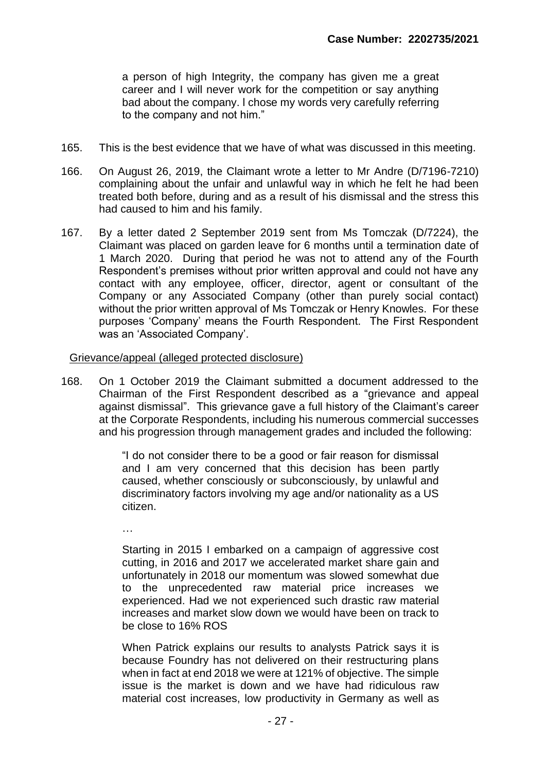a person of high Integrity, the company has given me a great career and I will never work for the competition or say anything bad about the company. l chose my words very carefully referring to the company and not him."

- 165. This is the best evidence that we have of what was discussed in this meeting.
- 166. On August 26, 2019, the Claimant wrote a letter to Mr Andre (D/7196-7210) complaining about the unfair and unlawful way in which he felt he had been treated both before, during and as a result of his dismissal and the stress this had caused to him and his family.
- 167. By a letter dated 2 September 2019 sent from Ms Tomczak (D/7224), the Claimant was placed on garden leave for 6 months until a termination date of 1 March 2020. During that period he was not to attend any of the Fourth Respondent's premises without prior written approval and could not have any contact with any employee, officer, director, agent or consultant of the Company or any Associated Company (other than purely social contact) without the prior written approval of Ms Tomczak or Henry Knowles. For these purposes 'Company' means the Fourth Respondent. The First Respondent was an 'Associated Company'.

Grievance/appeal (alleged protected disclosure)

168. On 1 October 2019 the Claimant submitted a document addressed to the Chairman of the First Respondent described as a "grievance and appeal against dismissal". This grievance gave a full history of the Claimant's career at the Corporate Respondents, including his numerous commercial successes and his progression through management grades and included the following:

> "I do not consider there to be a good or fair reason for dismissal and I am very concerned that this decision has been partly caused, whether consciously or subconsciously, by unlawful and discriminatory factors involving my age and/or nationality as a US citizen.

…

Starting in 2015 I embarked on a campaign of aggressive cost cutting, in 2016 and 2017 we accelerated market share gain and unfortunately in 2018 our momentum was slowed somewhat due to the unprecedented raw material price increases we experienced. Had we not experienced such drastic raw material increases and market slow down we would have been on track to be close to 16% ROS

When Patrick explains our results to analysts Patrick says it is because Foundry has not delivered on their restructuring plans when in fact at end 2018 we were at 121% of objective. The simple issue is the market is down and we have had ridiculous raw material cost increases, low productivity in Germany as well as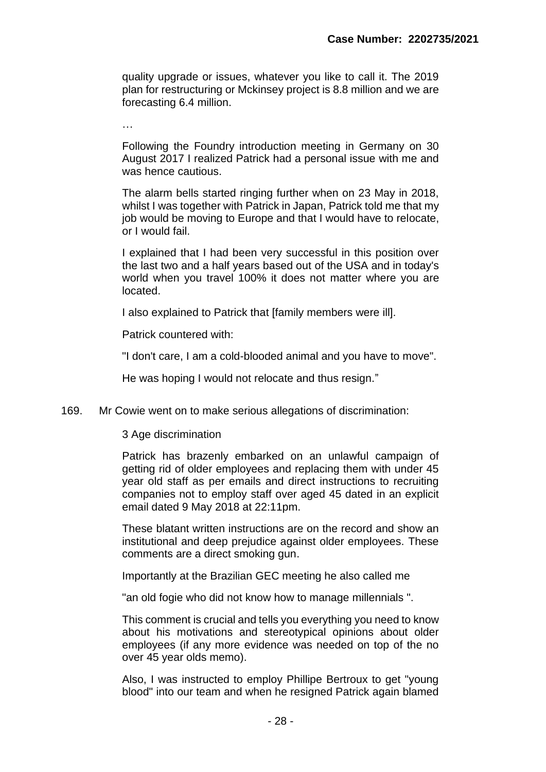quality upgrade or issues, whatever you like to call it. The 2019 plan for restructuring or Mckinsey project is 8.8 million and we are forecasting 6.4 million.

…

Following the Foundry introduction meeting in Germany on 30 August 2017 I realized Patrick had a personal issue with me and was hence cautious.

The alarm bells started ringing further when on 23 May in 2018, whilst I was together with Patrick in Japan, Patrick told me that my job would be moving to Europe and that I would have to relocate, or I would fail.

I explained that I had been very successful in this position over the last two and a half years based out of the USA and in today's world when you travel 100% it does not matter where you are located.

I also explained to Patrick that [family members were ill].

Patrick countered with:

"I don't care, I am a cold-blooded animal and you have to move".

He was hoping I would not relocate and thus resign."

169. Mr Cowie went on to make serious allegations of discrimination:

#### 3 Age discrimination

Patrick has brazenly embarked on an unlawful campaign of getting rid of older employees and replacing them with under 45 year old staff as per emails and direct instructions to recruiting companies not to employ staff over aged 45 dated in an explicit email dated 9 May 2018 at 22:11pm.

These blatant written instructions are on the record and show an institutional and deep prejudice against older employees. These comments are a direct smoking gun.

Importantly at the Brazilian GEC meeting he also called me

"an old fogie who did not know how to manage millennials ".

This comment is crucial and tells you everything you need to know about his motivations and stereotypical opinions about older employees (if any more evidence was needed on top of the no over 45 year olds memo).

Also, I was instructed to employ Phillipe Bertroux to get "young blood" into our team and when he resigned Patrick again blamed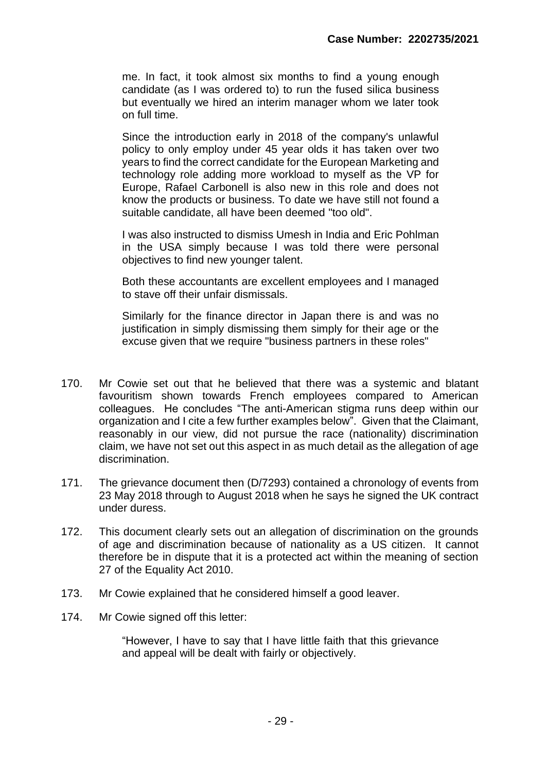me. In fact, it took almost six months to find a young enough candidate (as I was ordered to) to run the fused silica business but eventually we hired an interim manager whom we later took on full time.

Since the introduction early in 2018 of the company's unlawful policy to only employ under 45 year olds it has taken over two years to find the correct candidate for the European Marketing and technology role adding more workload to myself as the VP for Europe, Rafael Carbonell is also new in this role and does not know the products or business. To date we have still not found a suitable candidate, all have been deemed "too old".

I was also instructed to dismiss Umesh in India and Eric Pohlman in the USA simply because I was told there were personal objectives to find new younger talent.

Both these accountants are excellent employees and I managed to stave off their unfair dismissals.

Similarly for the finance director in Japan there is and was no justification in simply dismissing them simply for their age or the excuse given that we require "business partners in these roles"

- 170. Mr Cowie set out that he believed that there was a systemic and blatant favouritism shown towards French employees compared to American colleagues. He concludes "The anti-American stigma runs deep within our organization and I cite a few further examples below". Given that the Claimant, reasonably in our view, did not pursue the race (nationality) discrimination claim, we have not set out this aspect in as much detail as the allegation of age discrimination.
- 171. The grievance document then (D/7293) contained a chronology of events from 23 May 2018 through to August 2018 when he says he signed the UK contract under duress.
- 172. This document clearly sets out an allegation of discrimination on the grounds of age and discrimination because of nationality as a US citizen. It cannot therefore be in dispute that it is a protected act within the meaning of section 27 of the Equality Act 2010.
- 173. Mr Cowie explained that he considered himself a good leaver.
- 174. Mr Cowie signed off this letter:

"However, I have to say that I have little faith that this grievance and appeal will be dealt with fairly or objectively.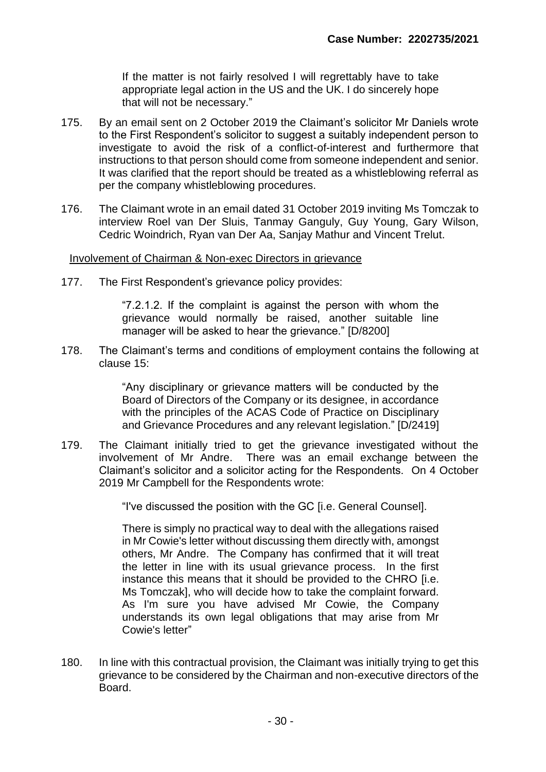If the matter is not fairly resolved I will regrettably have to take appropriate legal action in the US and the UK. I do sincerely hope that will not be necessary."

- 175. By an email sent on 2 October 2019 the Claimant's solicitor Mr Daniels wrote to the First Respondent's solicitor to suggest a suitably independent person to investigate to avoid the risk of a conflict-of-interest and furthermore that instructions to that person should come from someone independent and senior. It was clarified that the report should be treated as a whistleblowing referral as per the company whistleblowing procedures.
- 176. The Claimant wrote in an email dated 31 October 2019 inviting Ms Tomczak to interview Roel van Der Sluis, Tanmay Ganguly, Guy Young, Gary Wilson, Cedric Woindrich, Ryan van Der Aa, Sanjay Mathur and Vincent Trelut.

#### Involvement of Chairman & Non-exec Directors in grievance

177. The First Respondent's grievance policy provides:

"7.2.1.2. If the complaint is against the person with whom the grievance would normally be raised, another suitable line manager will be asked to hear the grievance." [D/8200]

178. The Claimant's terms and conditions of employment contains the following at clause 15:

> "Any disciplinary or grievance matters will be conducted by the Board of Directors of the Company or its designee, in accordance with the principles of the ACAS Code of Practice on Disciplinary and Grievance Procedures and any relevant legislation." [D/2419]

179. The Claimant initially tried to get the grievance investigated without the involvement of Mr Andre. There was an email exchange between the Claimant's solicitor and a solicitor acting for the Respondents. On 4 October 2019 Mr Campbell for the Respondents wrote:

"I've discussed the position with the GC [i.e. General Counsel].

There is simply no practical way to deal with the allegations raised in Mr Cowie's letter without discussing them directly with, amongst others, Mr Andre. The Company has confirmed that it will treat the letter in line with its usual grievance process. In the first instance this means that it should be provided to the CHRO [i.e. Ms Tomczak], who will decide how to take the complaint forward. As I'm sure you have advised Mr Cowie, the Company understands its own legal obligations that may arise from Mr Cowie's letter"

180. In line with this contractual provision, the Claimant was initially trying to get this grievance to be considered by the Chairman and non-executive directors of the Board.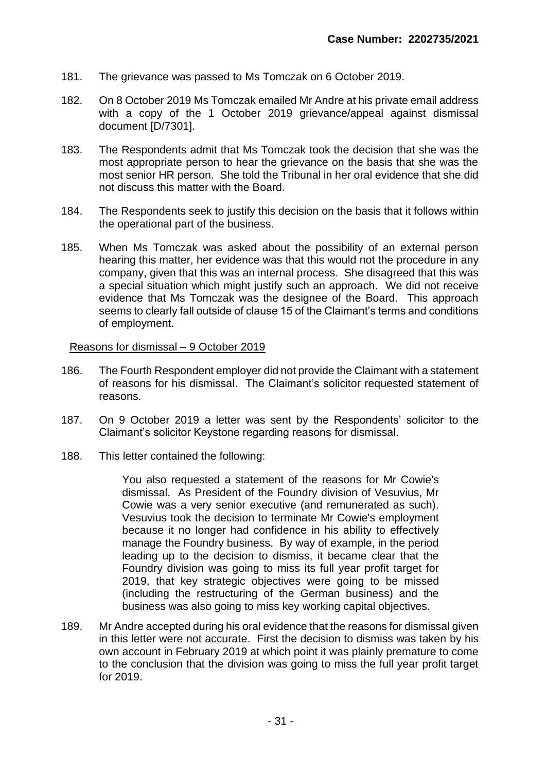- 181. The grievance was passed to Ms Tomczak on 6 October 2019.
- 182. On 8 October 2019 Ms Tomczak emailed Mr Andre at his private email address with a copy of the 1 October 2019 grievance/appeal against dismissal document [D/7301].
- 183. The Respondents admit that Ms Tomczak took the decision that she was the most appropriate person to hear the grievance on the basis that she was the most senior HR person. She told the Tribunal in her oral evidence that she did not discuss this matter with the Board.
- 184. The Respondents seek to justify this decision on the basis that it follows within the operational part of the business.
- 185. When Ms Tomczak was asked about the possibility of an external person hearing this matter, her evidence was that this would not the procedure in any company, given that this was an internal process. She disagreed that this was a special situation which might justify such an approach. We did not receive evidence that Ms Tomczak was the designee of the Board. This approach seems to clearly fall outside of clause 15 of the Claimant's terms and conditions of employment.

#### Reasons for dismissal – 9 October 2019

- 186. The Fourth Respondent employer did not provide the Claimant with a statement of reasons for his dismissal. The Claimant's solicitor requested statement of reasons.
- 187. On 9 October 2019 a letter was sent by the Respondents' solicitor to the Claimant's solicitor Keystone regarding reasons for dismissal.
- 188. This letter contained the following:

You also requested a statement of the reasons for Mr Cowie's dismissal. As President of the Foundry division of Vesuvius, Mr Cowie was a very senior executive (and remunerated as such). Vesuvius took the decision to terminate Mr Cowie's employment because it no longer had confidence in his ability to effectively manage the Foundry business. By way of example, in the period leading up to the decision to dismiss, it became clear that the Foundry division was going to miss its full year profit target for 2019, that key strategic objectives were going to be missed (including the restructuring of the German business) and the business was also going to miss key working capital objectives.

189. Mr Andre accepted during his oral evidence that the reasons for dismissal given in this letter were not accurate. First the decision to dismiss was taken by his own account in February 2019 at which point it was plainly premature to come to the conclusion that the division was going to miss the full year profit target for 2019.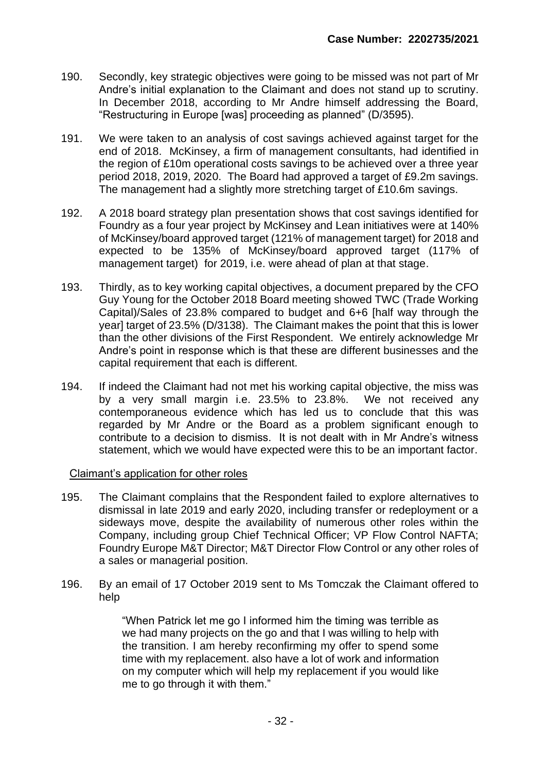- 190. Secondly, key strategic objectives were going to be missed was not part of Mr Andre's initial explanation to the Claimant and does not stand up to scrutiny. In December 2018, according to Mr Andre himself addressing the Board, "Restructuring in Europe [was] proceeding as planned" (D/3595).
- 191. We were taken to an analysis of cost savings achieved against target for the end of 2018. McKinsey, a firm of management consultants, had identified in the region of £10m operational costs savings to be achieved over a three year period 2018, 2019, 2020. The Board had approved a target of £9.2m savings. The management had a slightly more stretching target of £10.6m savings.
- 192. A 2018 board strategy plan presentation shows that cost savings identified for Foundry as a four year project by McKinsey and Lean initiatives were at 140% of McKinsey/board approved target (121% of management target) for 2018 and expected to be 135% of McKinsey/board approved target (117% of management target) for 2019, i.e. were ahead of plan at that stage.
- 193. Thirdly, as to key working capital objectives, a document prepared by the CFO Guy Young for the October 2018 Board meeting showed TWC (Trade Working Capital)/Sales of 23.8% compared to budget and 6+6 [half way through the year] target of 23.5% (D/3138). The Claimant makes the point that this is lower than the other divisions of the First Respondent. We entirely acknowledge Mr Andre's point in response which is that these are different businesses and the capital requirement that each is different.
- 194. If indeed the Claimant had not met his working capital objective, the miss was by a very small margin i.e. 23.5% to 23.8%. We not received any contemporaneous evidence which has led us to conclude that this was regarded by Mr Andre or the Board as a problem significant enough to contribute to a decision to dismiss. It is not dealt with in Mr Andre's witness statement, which we would have expected were this to be an important factor.

#### Claimant's application for other roles

- 195. The Claimant complains that the Respondent failed to explore alternatives to dismissal in late 2019 and early 2020, including transfer or redeployment or a sideways move, despite the availability of numerous other roles within the Company, including group Chief Technical Officer; VP Flow Control NAFTA; Foundry Europe M&T Director; M&T Director Flow Control or any other roles of a sales or managerial position.
- 196. By an email of 17 October 2019 sent to Ms Tomczak the Claimant offered to help

"When Patrick let me go I informed him the timing was terrible as we had many projects on the go and that I was willing to help with the transition. I am hereby reconfirming my offer to spend some time with my replacement. also have a lot of work and information on my computer which will help my replacement if you would like me to go through it with them."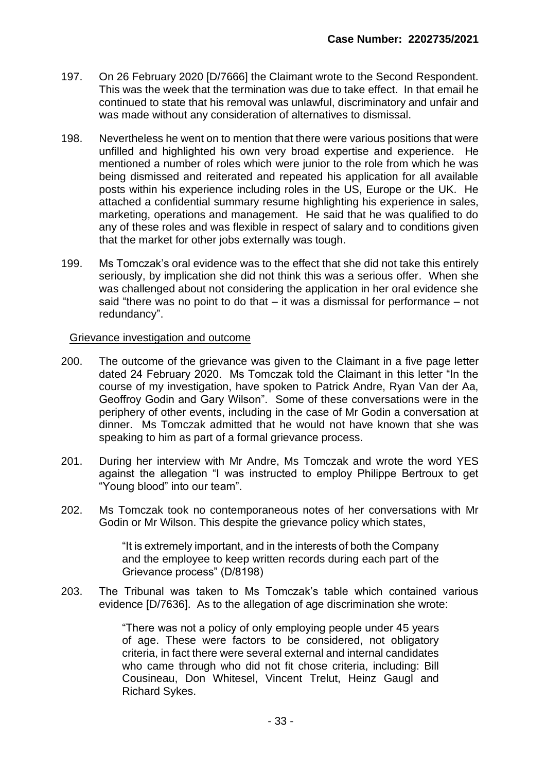- 197. On 26 February 2020 [D/7666] the Claimant wrote to the Second Respondent. This was the week that the termination was due to take effect. In that email he continued to state that his removal was unlawful, discriminatory and unfair and was made without any consideration of alternatives to dismissal.
- 198. Nevertheless he went on to mention that there were various positions that were unfilled and highlighted his own very broad expertise and experience. He mentioned a number of roles which were junior to the role from which he was being dismissed and reiterated and repeated his application for all available posts within his experience including roles in the US, Europe or the UK. He attached a confidential summary resume highlighting his experience in sales, marketing, operations and management. He said that he was qualified to do any of these roles and was flexible in respect of salary and to conditions given that the market for other jobs externally was tough.
- 199. Ms Tomczak's oral evidence was to the effect that she did not take this entirely seriously, by implication she did not think this was a serious offer. When she was challenged about not considering the application in her oral evidence she said "there was no point to do that – it was a dismissal for performance – not redundancy".

#### Grievance investigation and outcome

- 200. The outcome of the grievance was given to the Claimant in a five page letter dated 24 February 2020. Ms Tomczak told the Claimant in this letter "In the course of my investigation, have spoken to Patrick Andre, Ryan Van der Aa, Geoffroy Godin and Gary Wilson". Some of these conversations were in the periphery of other events, including in the case of Mr Godin a conversation at dinner. Ms Tomczak admitted that he would not have known that she was speaking to him as part of a formal grievance process.
- 201. During her interview with Mr Andre, Ms Tomczak and wrote the word YES against the allegation "I was instructed to employ Philippe Bertroux to get "Young blood" into our team".
- 202. Ms Tomczak took no contemporaneous notes of her conversations with Mr Godin or Mr Wilson. This despite the grievance policy which states,

"It is extremely important, and in the interests of both the Company and the employee to keep written records during each part of the Grievance process" (D/8198)

203. The Tribunal was taken to Ms Tomczak's table which contained various evidence [D/7636]. As to the allegation of age discrimination she wrote:

> "There was not a policy of only employing people under 45 years of age. These were factors to be considered, not obligatory criteria, in fact there were several external and internal candidates who came through who did not fit chose criteria, including: Bill Cousineau, Don Whitesel, Vincent Trelut, Heinz Gaugl and Richard Sykes.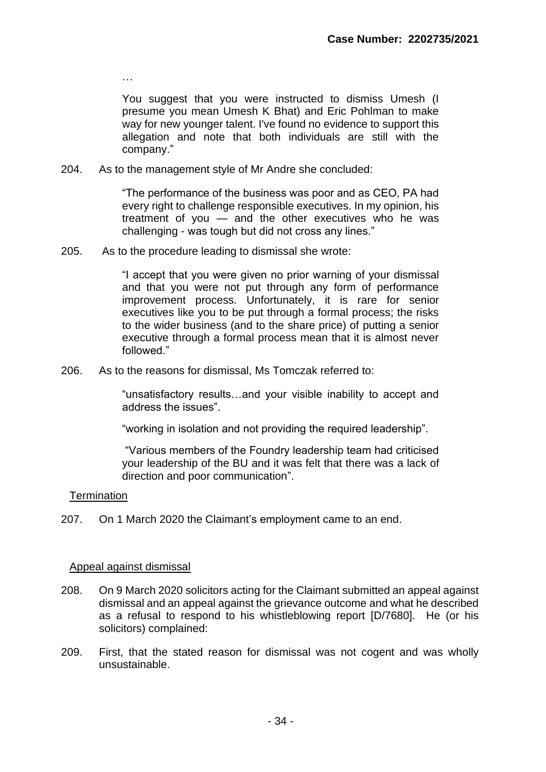You suggest that you were instructed to dismiss Umesh (I presume you mean Umesh K Bhat) and Eric Pohlman to make way for new younger talent. I've found no evidence to support this allegation and note that both individuals are still with the company."

204. As to the management style of Mr Andre she concluded:

"The performance of the business was poor and as CEO, PA had every right to challenge responsible executives. In my opinion, his treatment of you — and the other executives who he was challenging - was tough but did not cross any lines."

205. As to the procedure leading to dismissal she wrote:

"I accept that you were given no prior warning of your dismissal and that you were not put through any form of performance improvement process. Unfortunately, it is rare for senior executives like you to be put through a formal process; the risks to the wider business (and to the share price) of putting a senior executive through a formal process mean that it is almost never followed."

206. As to the reasons for dismissal, Ms Tomczak referred to:

"unsatisfactory results…and your visible inability to accept and address the issues".

"working in isolation and not providing the required leadership".

"Various members of the Foundry leadership team had criticised your leadership of the BU and it was felt that there was a lack of direction and poor communication".

#### **Termination**

207. On 1 March 2020 the Claimant's employment came to an end.

#### Appeal against dismissal

…

- 208. On 9 March 2020 solicitors acting for the Claimant submitted an appeal against dismissal and an appeal against the grievance outcome and what he described as a refusal to respond to his whistleblowing report [D/7680]. He (or his solicitors) complained:
- 209. First, that the stated reason for dismissal was not cogent and was wholly unsustainable.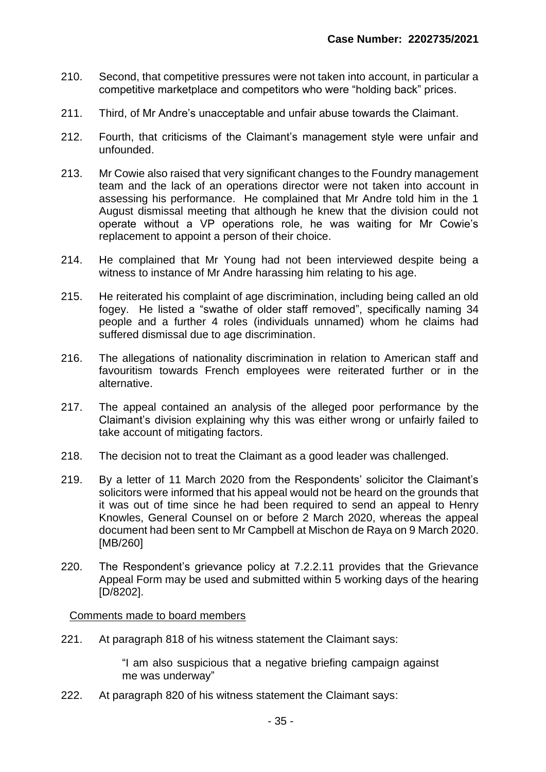- 210. Second, that competitive pressures were not taken into account, in particular a competitive marketplace and competitors who were "holding back" prices.
- 211. Third, of Mr Andre's unacceptable and unfair abuse towards the Claimant.
- 212. Fourth, that criticisms of the Claimant's management style were unfair and unfounded.
- 213. Mr Cowie also raised that very significant changes to the Foundry management team and the lack of an operations director were not taken into account in assessing his performance. He complained that Mr Andre told him in the 1 August dismissal meeting that although he knew that the division could not operate without a VP operations role, he was waiting for Mr Cowie's replacement to appoint a person of their choice.
- 214. He complained that Mr Young had not been interviewed despite being a witness to instance of Mr Andre harassing him relating to his age.
- 215. He reiterated his complaint of age discrimination, including being called an old fogey. He listed a "swathe of older staff removed", specifically naming 34 people and a further 4 roles (individuals unnamed) whom he claims had suffered dismissal due to age discrimination.
- 216. The allegations of nationality discrimination in relation to American staff and favouritism towards French employees were reiterated further or in the alternative.
- 217. The appeal contained an analysis of the alleged poor performance by the Claimant's division explaining why this was either wrong or unfairly failed to take account of mitigating factors.
- 218. The decision not to treat the Claimant as a good leader was challenged.
- 219. By a letter of 11 March 2020 from the Respondents' solicitor the Claimant's solicitors were informed that his appeal would not be heard on the grounds that it was out of time since he had been required to send an appeal to Henry Knowles, General Counsel on or before 2 March 2020, whereas the appeal document had been sent to Mr Campbell at Mischon de Raya on 9 March 2020. [MB/260]
- 220. The Respondent's grievance policy at 7.2.2.11 provides that the Grievance Appeal Form may be used and submitted within 5 working days of the hearing [D/8202].

#### Comments made to board members

221. At paragraph 818 of his witness statement the Claimant says:

"I am also suspicious that a negative briefing campaign against me was underway"

222. At paragraph 820 of his witness statement the Claimant says: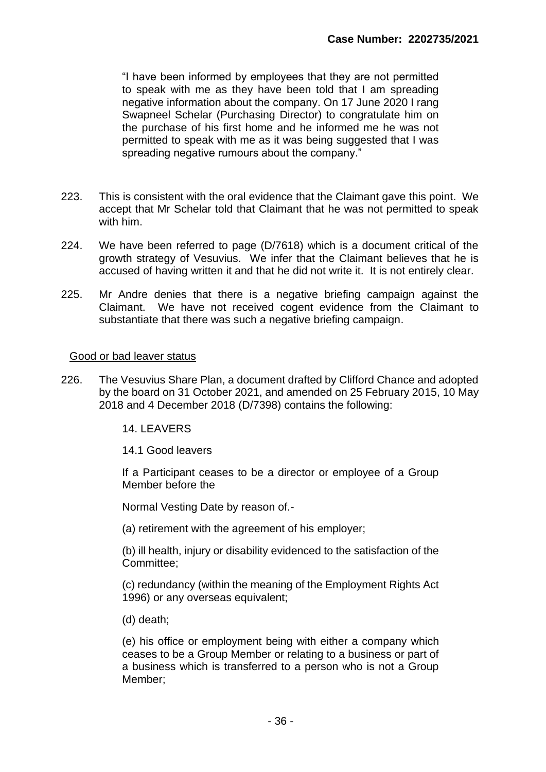"I have been informed by employees that they are not permitted to speak with me as they have been told that I am spreading negative information about the company. On 17 June 2020 I rang Swapneel Schelar (Purchasing Director) to congratulate him on the purchase of his first home and he informed me he was not permitted to speak with me as it was being suggested that I was spreading negative rumours about the company."

- 223. This is consistent with the oral evidence that the Claimant gave this point. We accept that Mr Schelar told that Claimant that he was not permitted to speak with him.
- 224. We have been referred to page (D/7618) which is a document critical of the growth strategy of Vesuvius. We infer that the Claimant believes that he is accused of having written it and that he did not write it. It is not entirely clear.
- 225. Mr Andre denies that there is a negative briefing campaign against the Claimant. We have not received cogent evidence from the Claimant to substantiate that there was such a negative briefing campaign.

#### Good or bad leaver status

- 226. The Vesuvius Share Plan, a document drafted by Clifford Chance and adopted by the board on 31 October 2021, and amended on 25 February 2015, 10 May 2018 and 4 December 2018 (D/7398) contains the following:
	- 14. LEAVERS

#### 14.1 Good leavers

If a Participant ceases to be a director or employee of a Group Member before the

Normal Vesting Date by reason of.-

(a) retirement with the agreement of his employer;

(b) ill health, injury or disability evidenced to the satisfaction of the Committee;

(c) redundancy (within the meaning of the Employment Rights Act 1996) or any overseas equivalent;

(d) death;

(e) his office or employment being with either a company which ceases to be a Group Member or relating to a business or part of a business which is transferred to a person who is not a Group Member;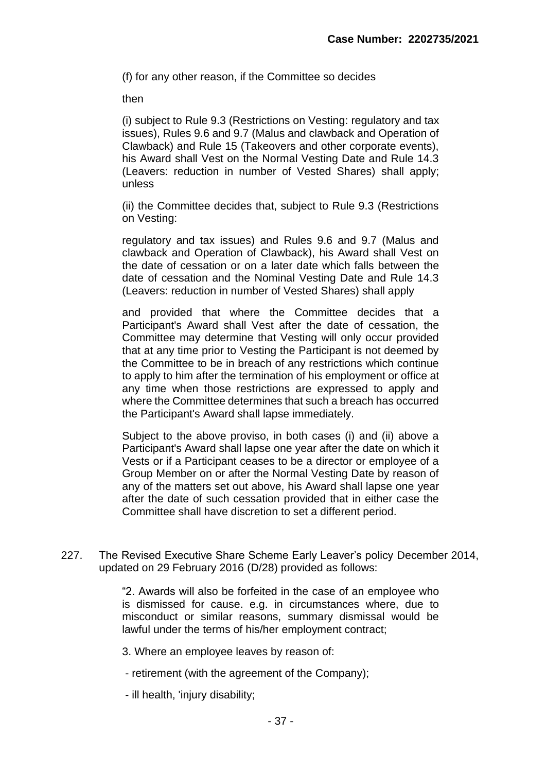(f) for any other reason, if the Committee so decides

then

(i) subject to Rule 9.3 (Restrictions on Vesting: regulatory and tax issues), Rules 9.6 and 9.7 (Malus and clawback and Operation of Clawback) and Rule 15 (Takeovers and other corporate events), his Award shall Vest on the Normal Vesting Date and Rule 14.3 (Leavers: reduction in number of Vested Shares) shall apply; unless

(ii) the Committee decides that, subject to Rule 9.3 (Restrictions on Vesting:

regulatory and tax issues) and Rules 9.6 and 9.7 (Malus and clawback and Operation of Clawback), his Award shall Vest on the date of cessation or on a later date which falls between the date of cessation and the Nominal Vesting Date and Rule 14.3 (Leavers: reduction in number of Vested Shares) shall apply

and provided that where the Committee decides that a Participant's Award shall Vest after the date of cessation, the Committee may determine that Vesting will only occur provided that at any time prior to Vesting the Participant is not deemed by the Committee to be in breach of any restrictions which continue to apply to him after the termination of his employment or office at any time when those restrictions are expressed to apply and where the Committee determines that such a breach has occurred the Participant's Award shall lapse immediately.

Subject to the above proviso, in both cases (i) and (ii) above a Participant's Award shall lapse one year after the date on which it Vests or if a Participant ceases to be a director or employee of a Group Member on or after the Normal Vesting Date by reason of any of the matters set out above, his Award shall lapse one year after the date of such cessation provided that in either case the Committee shall have discretion to set a different period.

227. The Revised Executive Share Scheme Early Leaver's policy December 2014, updated on 29 February 2016 (D/28) provided as follows:

> "2. Awards will also be forfeited in the case of an employee who is dismissed for cause. e.g. in circumstances where, due to misconduct or similar reasons, summary dismissal would be lawful under the terms of his/her employment contract;

3. Where an employee leaves by reason of:

- retirement (with the agreement of the Company);
- ill health, 'injury disability;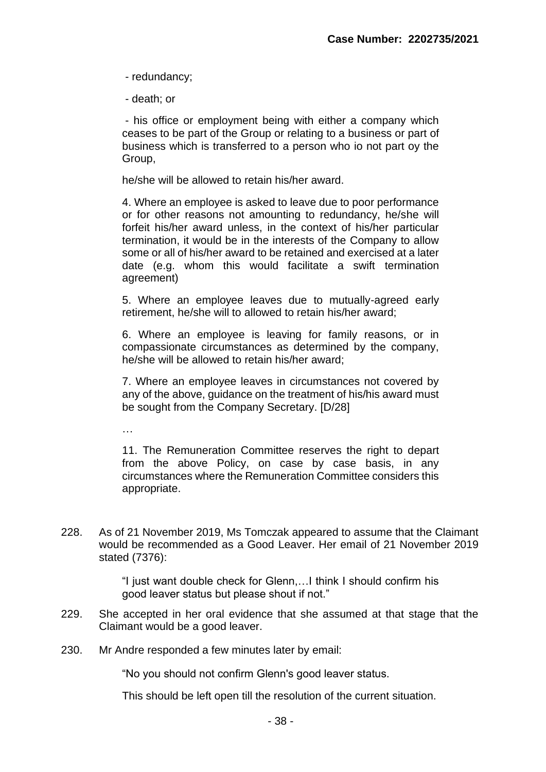- redundancy;

- death; or

- his office or employment being with either a company which ceases to be part of the Group or relating to a business or part of business which is transferred to a person who io not part oy the Group,

he/she will be allowed to retain his/her award.

4. Where an employee is asked to leave due to poor performance or for other reasons not amounting to redundancy, he/she will forfeit his/her award unless, in the context of his/her particular termination, it would be in the interests of the Company to allow some or all of his/her award to be retained and exercised at a later date (e.g. whom this would facilitate a swift termination agreement)

5. Where an employee leaves due to mutually-agreed early retirement, he/she will to allowed to retain his/her award;

6. Where an employee is leaving for family reasons, or in compassionate circumstances as determined by the company, he/she will be allowed to retain his/her award;

7. Where an employee leaves in circumstances not covered by any of the above, guidance on the treatment of his/his award must be sought from the Company Secretary. [D/28]

…

11. The Remuneration Committee reserves the right to depart from the above Policy, on case by case basis, in any circumstances where the Remuneration Committee considers this appropriate.

228. As of 21 November 2019, Ms Tomczak appeared to assume that the Claimant would be recommended as a Good Leaver. Her email of 21 November 2019 stated (7376):

> "I just want double check for Glenn,…I think I should confirm his good leaver status but please shout if not."

- 229. She accepted in her oral evidence that she assumed at that stage that the Claimant would be a good leaver.
- 230. Mr Andre responded a few minutes later by email:

"No you should not confirm Glenn's good leaver status.

This should be left open till the resolution of the current situation.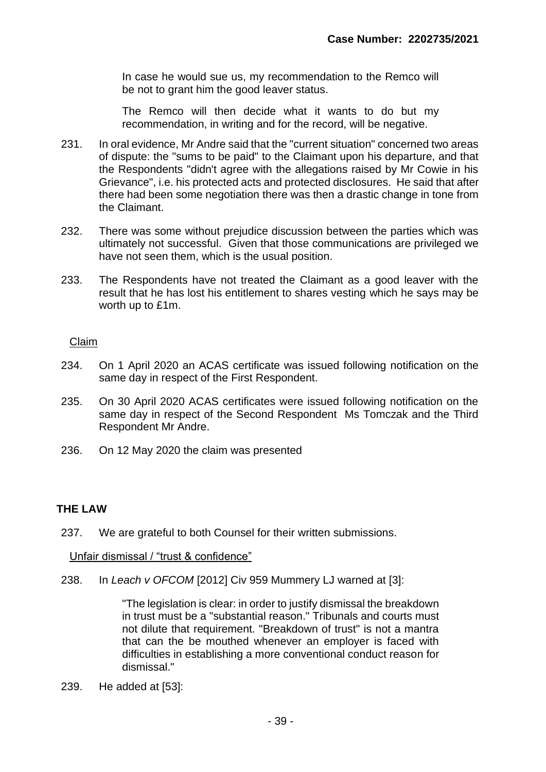In case he would sue us, my recommendation to the Remco will be not to grant him the good leaver status.

The Remco will then decide what it wants to do but my recommendation, in writing and for the record, will be negative.

- 231. In oral evidence, Mr Andre said that the "current situation" concerned two areas of dispute: the "sums to be paid" to the Claimant upon his departure, and that the Respondents "didn't agree with the allegations raised by Mr Cowie in his Grievance", i.e. his protected acts and protected disclosures. He said that after there had been some negotiation there was then a drastic change in tone from the Claimant.
- 232. There was some without prejudice discussion between the parties which was ultimately not successful. Given that those communications are privileged we have not seen them, which is the usual position.
- 233. The Respondents have not treated the Claimant as a good leaver with the result that he has lost his entitlement to shares vesting which he says may be worth up to £1m.

# Claim

- 234. On 1 April 2020 an ACAS certificate was issued following notification on the same day in respect of the First Respondent.
- 235. On 30 April 2020 ACAS certificates were issued following notification on the same day in respect of the Second Respondent Ms Tomczak and the Third Respondent Mr Andre.
- 236. On 12 May 2020 the claim was presented

# **THE LAW**

237. We are grateful to both Counsel for their written submissions.

Unfair dismissal / "trust & confidence"

238. In *Leach v OFCOM* [2012] Civ 959 Mummery LJ warned at [3]:

"The legislation is clear: in order to justify dismissal the breakdown in trust must be a "substantial reason." Tribunals and courts must not dilute that requirement. "Breakdown of trust" is not a mantra that can the be mouthed whenever an employer is faced with difficulties in establishing a more conventional conduct reason for dismissal."

239. He added at [53]: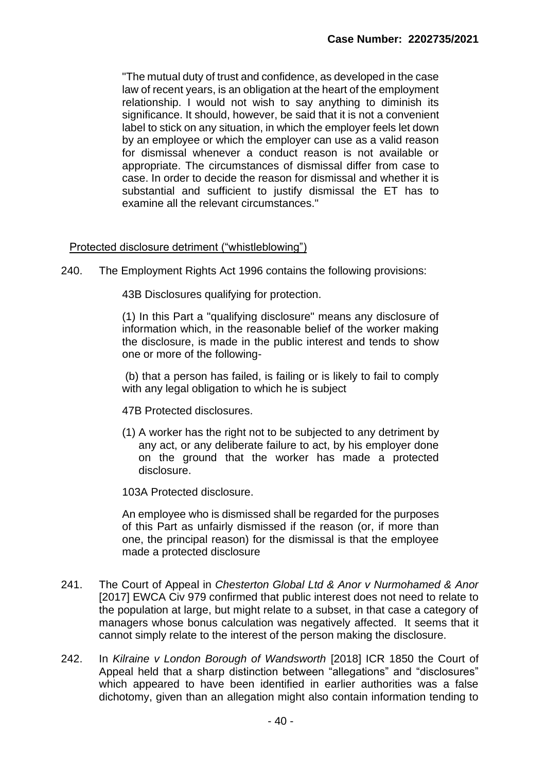"The mutual duty of trust and confidence, as developed in the case law of recent years, is an obligation at the heart of the employment relationship. I would not wish to say anything to diminish its significance. It should, however, be said that it is not a convenient label to stick on any situation, in which the employer feels let down by an employee or which the employer can use as a valid reason for dismissal whenever a conduct reason is not available or appropriate. The circumstances of dismissal differ from case to case. In order to decide the reason for dismissal and whether it is substantial and sufficient to justify dismissal the ET has to examine all the relevant circumstances."

## Protected disclosure detriment ("whistleblowing")

240. The Employment Rights Act 1996 contains the following provisions:

43B Disclosures qualifying for protection.

(1) In this Part a "qualifying disclosure" means any disclosure of information which, in the reasonable belief of the worker making the disclosure, is made in the public interest and tends to show one or more of the following-

(b) that a person has failed, is failing or is likely to fail to comply with any legal obligation to which he is subject

- 47B Protected disclosures.
- (1) A worker has the right not to be subjected to any detriment by any act, or any deliberate failure to act, by his employer done on the ground that the worker has made a protected disclosure.

103A Protected disclosure.

An employee who is dismissed shall be regarded for the purposes of this Part as unfairly dismissed if the reason (or, if more than one, the principal reason) for the dismissal is that the employee made a protected disclosure

- 241. The Court of Appeal in *Chesterton Global Ltd & Anor v Nurmohamed & Anor* [2017] EWCA Civ 979 confirmed that public interest does not need to relate to the population at large, but might relate to a subset, in that case a category of managers whose bonus calculation was negatively affected. It seems that it cannot simply relate to the interest of the person making the disclosure.
- 242. In *Kilraine v London Borough of Wandsworth* [2018] ICR 1850 the Court of Appeal held that a sharp distinction between "allegations" and "disclosures" which appeared to have been identified in earlier authorities was a false dichotomy, given than an allegation might also contain information tending to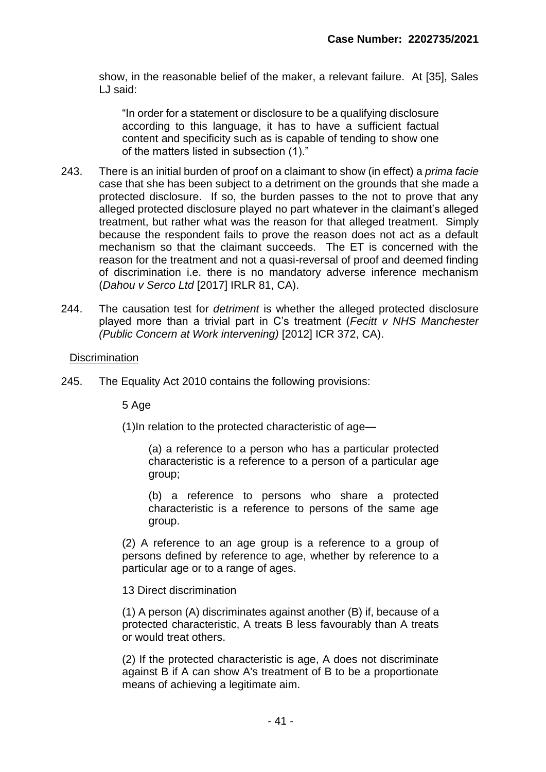show, in the reasonable belief of the maker, a relevant failure. At [35], Sales LJ said:

"In order for a statement or disclosure to be a qualifying disclosure according to this language, it has to have a sufficient factual content and specificity such as is capable of tending to show one of the matters listed in subsection (1)."

- 243. There is an initial burden of proof on a claimant to show (in effect) a *prima facie* case that she has been subject to a detriment on the grounds that she made a protected disclosure. If so, the burden passes to the not to prove that any alleged protected disclosure played no part whatever in the claimant's alleged treatment, but rather what was the reason for that alleged treatment. Simply because the respondent fails to prove the reason does not act as a default mechanism so that the claimant succeeds. The ET is concerned with the reason for the treatment and not a quasi-reversal of proof and deemed finding of discrimination i.e. there is no mandatory adverse inference mechanism (*Dahou v Serco Ltd* [2017] IRLR 81, CA).
- 244. The causation test for *detriment* is whether the alleged protected disclosure played more than a trivial part in C's treatment (*Fecitt v NHS Manchester (Public Concern at Work intervening)* [2012] ICR 372, CA).

## **Discrimination**

245. The Equality Act 2010 contains the following provisions:

5 Age

(1)In relation to the protected characteristic of age—

(a) a reference to a person who has a particular protected characteristic is a reference to a person of a particular age group;

(b) a reference to persons who share a protected characteristic is a reference to persons of the same age group.

(2) A reference to an age group is a reference to a group of persons defined by reference to age, whether by reference to a particular age or to a range of ages.

13 Direct discrimination

(1) A person (A) discriminates against another (B) if, because of a protected characteristic, A treats B less favourably than A treats or would treat others.

(2) If the protected characteristic is age, A does not discriminate against B if A can show A's treatment of B to be a proportionate means of achieving a legitimate aim.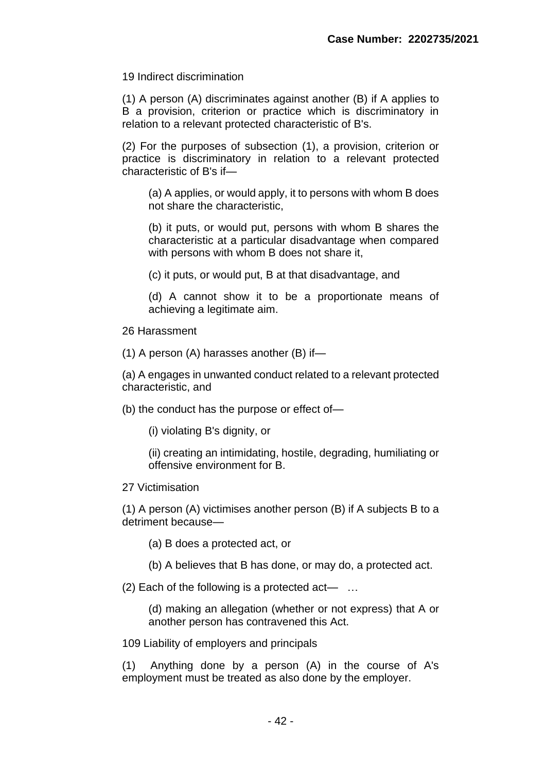19 Indirect discrimination

(1) A person (A) discriminates against another (B) if A applies to B a provision, criterion or practice which is discriminatory in relation to a relevant protected characteristic of B's.

(2) For the purposes of subsection (1), a provision, criterion or practice is discriminatory in relation to a relevant protected characteristic of B's if—

(a) A applies, or would apply, it to persons with whom B does not share the characteristic,

(b) it puts, or would put, persons with whom B shares the characteristic at a particular disadvantage when compared with persons with whom B does not share it.

(c) it puts, or would put, B at that disadvantage, and

(d) A cannot show it to be a proportionate means of achieving a legitimate aim.

26 Harassment

(1) A person (A) harasses another (B) if—

(a) A engages in unwanted conduct related to a relevant protected characteristic, and

(b) the conduct has the purpose or effect of—

(i) violating B's dignity, or

(ii) creating an intimidating, hostile, degrading, humiliating or offensive environment for B.

27 Victimisation

(1) A person (A) victimises another person (B) if A subjects B to a detriment because—

(a) B does a protected act, or

(b) A believes that B has done, or may do, a protected act.

(2) Each of the following is a protected act— …

(d) making an allegation (whether or not express) that A or another person has contravened this Act.

109 Liability of employers and principals

(1) Anything done by a person (A) in the course of A's employment must be treated as also done by the employer.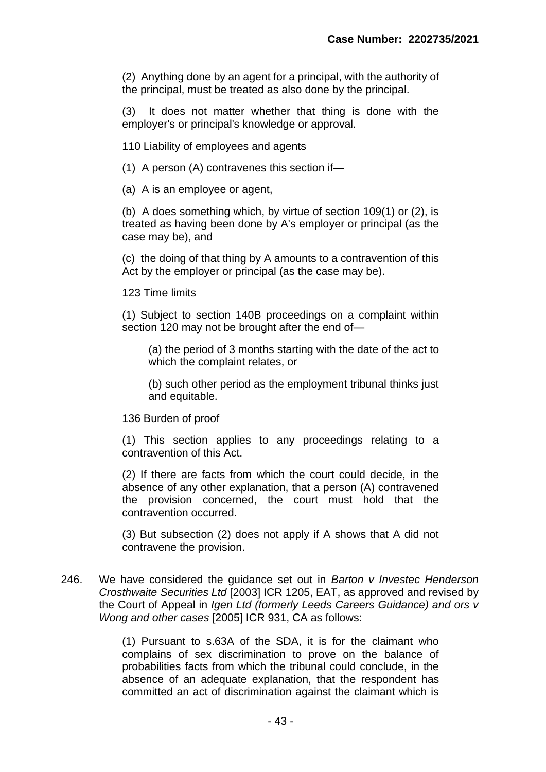(2) Anything done by an agent for a principal, with the authority of the principal, must be treated as also done by the principal.

(3) It does not matter whether that thing is done with the employer's or principal's knowledge or approval.

110 Liability of employees and agents

(1) A person (A) contravenes this section if—

(a) A is an employee or agent,

(b) A does something which, by virtue of section 109(1) or (2), is treated as having been done by A's employer or principal (as the case may be), and

(c) the doing of that thing by A amounts to a contravention of this Act by the employer or principal (as the case may be).

123 Time limits

(1) Subject to section 140B proceedings on a complaint within section 120 may not be brought after the end of—

(a) the period of 3 months starting with the date of the act to which the complaint relates, or

(b) such other period as the employment tribunal thinks just and equitable.

136 Burden of proof

(1) This section applies to any proceedings relating to a contravention of this Act.

(2) If there are facts from which the court could decide, in the absence of any other explanation, that a person (A) contravened the provision concerned, the court must hold that the contravention occurred.

(3) But subsection (2) does not apply if A shows that A did not contravene the provision.

246. We have considered the guidance set out in *Barton v Investec Henderson Crosthwaite Securities Ltd* [2003] ICR 1205, EAT, as approved and revised by the Court of Appeal in *Igen Ltd (formerly Leeds Careers Guidance) and ors v Wong and other cases* [2005] ICR 931, CA as follows:

> (1) Pursuant to s.63A of the SDA, it is for the claimant who complains of sex discrimination to prove on the balance of probabilities facts from which the tribunal could conclude, in the absence of an adequate explanation, that the respondent has committed an act of discrimination against the claimant which is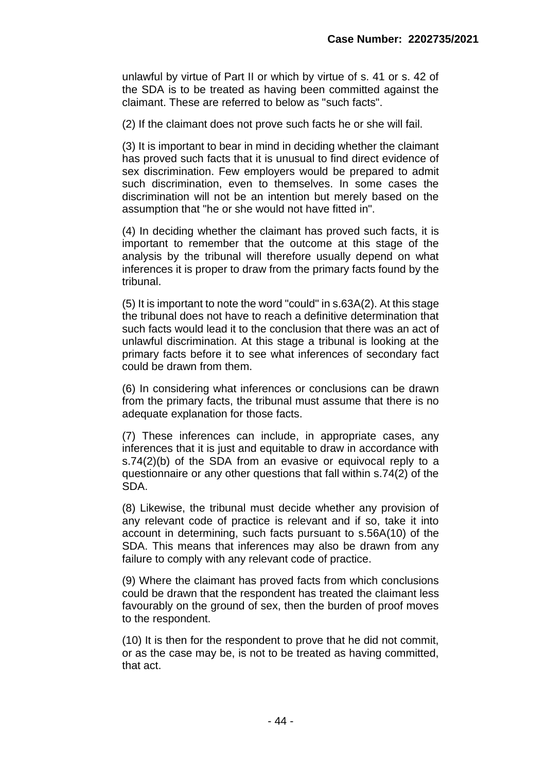unlawful by virtue of Part II or which by virtue of s. 41 or s. 42 of the SDA is to be treated as having been committed against the claimant. These are referred to below as "such facts".

(2) If the claimant does not prove such facts he or she will fail.

(3) It is important to bear in mind in deciding whether the claimant has proved such facts that it is unusual to find direct evidence of sex discrimination. Few employers would be prepared to admit such discrimination, even to themselves. In some cases the discrimination will not be an intention but merely based on the assumption that "he or she would not have fitted in".

(4) In deciding whether the claimant has proved such facts, it is important to remember that the outcome at this stage of the analysis by the tribunal will therefore usually depend on what inferences it is proper to draw from the primary facts found by the tribunal.

(5) It is important to note the word "could" in s.63A(2). At this stage the tribunal does not have to reach a definitive determination that such facts would lead it to the conclusion that there was an act of unlawful discrimination. At this stage a tribunal is looking at the primary facts before it to see what inferences of secondary fact could be drawn from them.

(6) In considering what inferences or conclusions can be drawn from the primary facts, the tribunal must assume that there is no adequate explanation for those facts.

(7) These inferences can include, in appropriate cases, any inferences that it is just and equitable to draw in accordance with s.74(2)(b) of the SDA from an evasive or equivocal reply to a questionnaire or any other questions that fall within s.74(2) of the SDA.

(8) Likewise, the tribunal must decide whether any provision of any relevant code of practice is relevant and if so, take it into account in determining, such facts pursuant to s.56A(10) of the SDA. This means that inferences may also be drawn from any failure to comply with any relevant code of practice.

(9) Where the claimant has proved facts from which conclusions could be drawn that the respondent has treated the claimant less favourably on the ground of sex, then the burden of proof moves to the respondent.

(10) It is then for the respondent to prove that he did not commit, or as the case may be, is not to be treated as having committed, that act.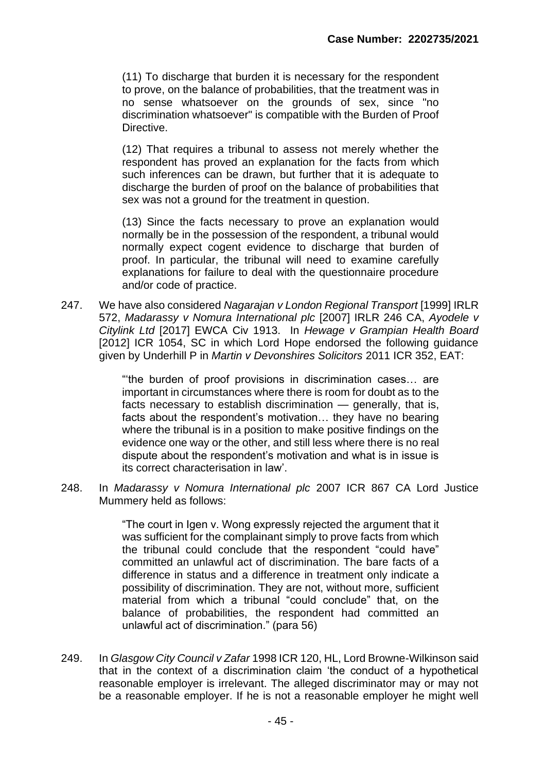(11) To discharge that burden it is necessary for the respondent to prove, on the balance of probabilities, that the treatment was in no sense whatsoever on the grounds of sex, since "no discrimination whatsoever" is compatible with the Burden of Proof Directive.

(12) That requires a tribunal to assess not merely whether the respondent has proved an explanation for the facts from which such inferences can be drawn, but further that it is adequate to discharge the burden of proof on the balance of probabilities that sex was not a ground for the treatment in question.

(13) Since the facts necessary to prove an explanation would normally be in the possession of the respondent, a tribunal would normally expect cogent evidence to discharge that burden of proof. In particular, the tribunal will need to examine carefully explanations for failure to deal with the questionnaire procedure and/or code of practice.

247. We have also considered *Nagarajan v London Regional Transport* [1999] IRLR 572, *Madarassy v Nomura International plc* [2007] IRLR 246 CA, *Ayodele v Citylink Ltd* [2017] EWCA Civ 1913. In *Hewage v Grampian Health Board* [2012] ICR 1054, SC in which Lord Hope endorsed the following guidance given by Underhill P in *Martin v Devonshires Solicitors* 2011 ICR 352, EAT:

> "'the burden of proof provisions in discrimination cases… are important in circumstances where there is room for doubt as to the facts necessary to establish discrimination — generally, that is, facts about the respondent's motivation… they have no bearing where the tribunal is in a position to make positive findings on the evidence one way or the other, and still less where there is no real dispute about the respondent's motivation and what is in issue is its correct characterisation in law'.

248. In *Madarassy v Nomura International plc* 2007 ICR 867 CA Lord Justice Mummery held as follows:

> "The court in Igen v. Wong expressly rejected the argument that it was sufficient for the complainant simply to prove facts from which the tribunal could conclude that the respondent "could have" committed an unlawful act of discrimination. The bare facts of a difference in status and a difference in treatment only indicate a possibility of discrimination. They are not, without more, sufficient material from which a tribunal "could conclude" that, on the balance of probabilities, the respondent had committed an unlawful act of discrimination." (para 56)

249. In *Glasgow City Council v Zafar* 1998 ICR 120, HL, Lord Browne-Wilkinson said that in the context of a discrimination claim 'the conduct of a hypothetical reasonable employer is irrelevant. The alleged discriminator may or may not be a reasonable employer. If he is not a reasonable employer he might well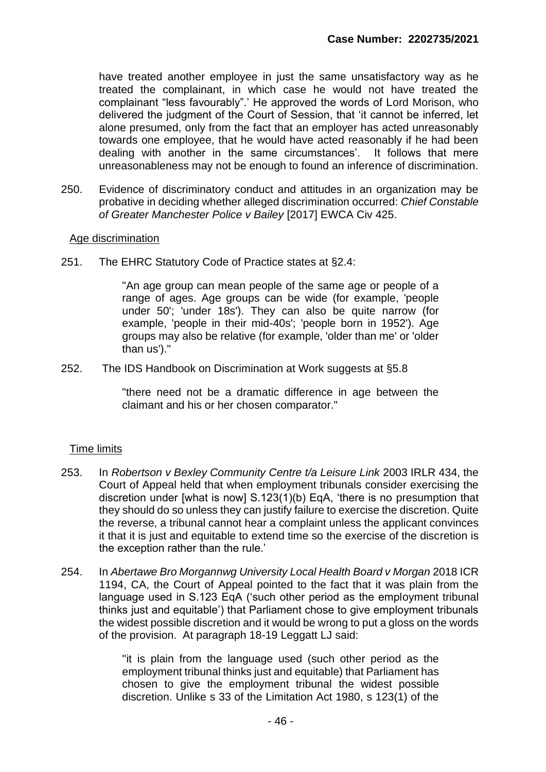have treated another employee in just the same unsatisfactory way as he treated the complainant, in which case he would not have treated the complainant "less favourably".' He approved the words of Lord Morison, who delivered the judgment of the Court of Session, that 'it cannot be inferred, let alone presumed, only from the fact that an employer has acted unreasonably towards one employee, that he would have acted reasonably if he had been dealing with another in the same circumstances'. It follows that mere unreasonableness may not be enough to found an inference of discrimination.

250. Evidence of discriminatory conduct and attitudes in an organization may be probative in deciding whether alleged discrimination occurred: *Chief Constable of Greater Manchester Police v Bailey* [2017] EWCA Civ 425.

### Age discrimination

251. The EHRC Statutory Code of Practice states at §2.4:

"An age group can mean people of the same age or people of a range of ages. Age groups can be wide (for example, 'people under 50'; 'under 18s'). They can also be quite narrow (for example, 'people in their mid-40s'; 'people born in 1952'). Age groups may also be relative (for example, 'older than me' or 'older than us')."

252. The IDS Handbook on Discrimination at Work suggests at §5.8

"there need not be a dramatic difference in age between the claimant and his or her chosen comparator."

### Time limits

- 253. In *Robertson v Bexley Community Centre t/a Leisure Link* 2003 IRLR 434, the Court of Appeal held that when employment tribunals consider exercising the discretion under [what is now] S.123(1)(b) EqA, 'there is no presumption that they should do so unless they can justify failure to exercise the discretion. Quite the reverse, a tribunal cannot hear a complaint unless the applicant convinces it that it is just and equitable to extend time so the exercise of the discretion is the exception rather than the rule.'
- 254. In *Abertawe Bro Morgannwg University Local Health Board v Morgan* 2018 ICR 1194, CA, the Court of Appeal pointed to the fact that it was plain from the language used in S.123 EqA ('such other period as the employment tribunal thinks just and equitable') that Parliament chose to give employment tribunals the widest possible discretion and it would be wrong to put a gloss on the words of the provision. At paragraph 18-19 Leggatt LJ said:

''it is plain from the language used (such other period as the employment tribunal thinks just and equitable) that Parliament has chosen to give the employment tribunal the widest possible discretion. Unlike s 33 of the Limitation Act 1980, s 123(1) of the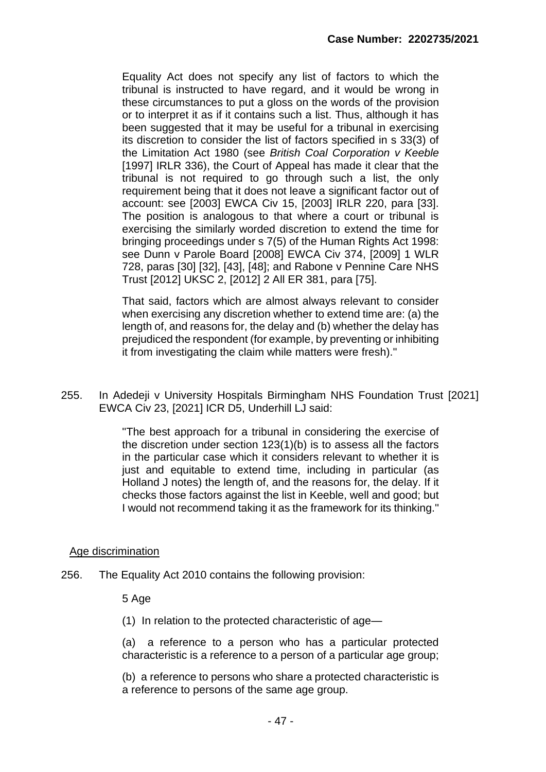Equality Act does not specify any list of factors to which the tribunal is instructed to have regard, and it would be wrong in these circumstances to put a gloss on the words of the provision or to interpret it as if it contains such a list. Thus, although it has been suggested that it may be useful for a tribunal in exercising its discretion to consider the list of factors specified in s 33(3) of the Limitation Act 1980 (see *British Coal Corporation v Keeble* [1997] IRLR 336), the Court of Appeal has made it clear that the tribunal is not required to go through such a list, the only requirement being that it does not leave a significant factor out of account: see [2003] EWCA Civ 15, [2003] IRLR 220, para [33]. The position is analogous to that where a court or tribunal is exercising the similarly worded discretion to extend the time for bringing proceedings under s 7(5) of the Human Rights Act 1998: see Dunn v Parole Board [2008] EWCA Civ 374, [2009] 1 WLR 728, paras [30] [32], [43], [48]; and Rabone v Pennine Care NHS Trust [2012] UKSC 2, [2012] 2 All ER 381, para [75].

That said, factors which are almost always relevant to consider when exercising any discretion whether to extend time are: (a) the length of, and reasons for, the delay and (b) whether the delay has prejudiced the respondent (for example, by preventing or inhibiting it from investigating the claim while matters were fresh).''

255. In Adedeji v University Hospitals Birmingham NHS Foundation Trust [2021] EWCA Civ 23, [2021] ICR D5, Underhill LJ said:

> ''The best approach for a tribunal in considering the exercise of the discretion under section 123(1)(b) is to assess all the factors in the particular case which it considers relevant to whether it is just and equitable to extend time, including in particular (as Holland J notes) the length of, and the reasons for, the delay. If it checks those factors against the list in Keeble, well and good; but I would not recommend taking it as the framework for its thinking.''

## Age discrimination

256. The Equality Act 2010 contains the following provision:

5 Age

(1) In relation to the protected characteristic of age—

(a) a reference to a person who has a particular protected characteristic is a reference to a person of a particular age group;

(b) a reference to persons who share a protected characteristic is a reference to persons of the same age group.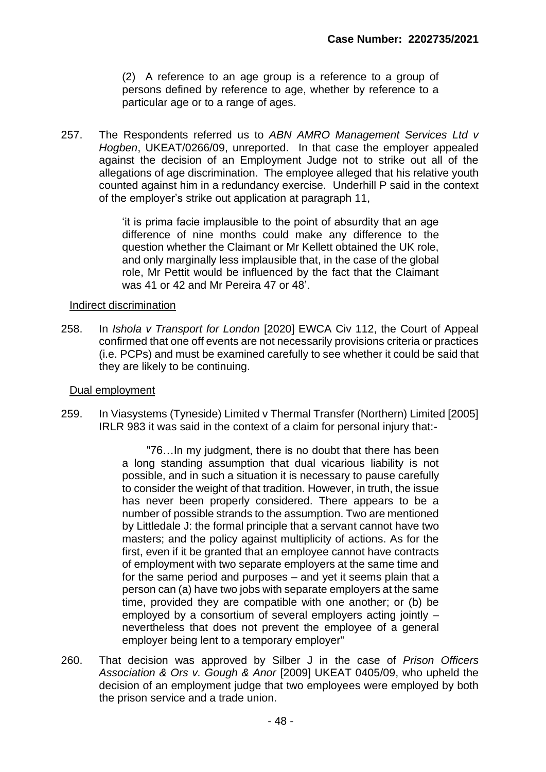(2) A reference to an age group is a reference to a group of persons defined by reference to age, whether by reference to a particular age or to a range of ages.

257. The Respondents referred us to *ABN AMRO Management Services Ltd v Hogben*, UKEAT/0266/09, unreported. In that case the employer appealed against the decision of an Employment Judge not to strike out all of the allegations of age discrimination. The employee alleged that his relative youth counted against him in a redundancy exercise. Underhill P said in the context of the employer's strike out application at paragraph 11,

> 'it is prima facie implausible to the point of absurdity that an age difference of nine months could make any difference to the question whether the Claimant or Mr Kellett obtained the UK role, and only marginally less implausible that, in the case of the global role, Mr Pettit would be influenced by the fact that the Claimant was 41 or 42 and Mr Pereira 47 or 48'.

## Indirect discrimination

258. In *Ishola v Transport for London* [2020] EWCA Civ 112, the Court of Appeal confirmed that one off events are not necessarily provisions criteria or practices (i.e. PCPs) and must be examined carefully to see whether it could be said that they are likely to be continuing.

### Dual employment

259. In Viasystems (Tyneside) Limited v Thermal Transfer (Northern) Limited [2005] IRLR 983 it was said in the context of a claim for personal injury that:-

> "76…In my judgment, there is no doubt that there has been a long standing assumption that dual vicarious liability is not possible, and in such a situation it is necessary to pause carefully to consider the weight of that tradition. However, in truth, the issue has never been properly considered. There appears to be a number of possible strands to the assumption. Two are mentioned by Littledale J: the formal principle that a servant cannot have two masters; and the policy against multiplicity of actions. As for the first, even if it be granted that an employee cannot have contracts of employment with two separate employers at the same time and for the same period and purposes – and yet it seems plain that a person can (a) have two jobs with separate employers at the same time, provided they are compatible with one another; or (b) be employed by a consortium of several employers acting jointly – nevertheless that does not prevent the employee of a general employer being lent to a temporary employer"

260. That decision was approved by Silber J in the case of *Prison Officers Association & Ors v. Gough & Anor* [2009] UKEAT 0405/09, who upheld the decision of an employment judge that two employees were employed by both the prison service and a trade union.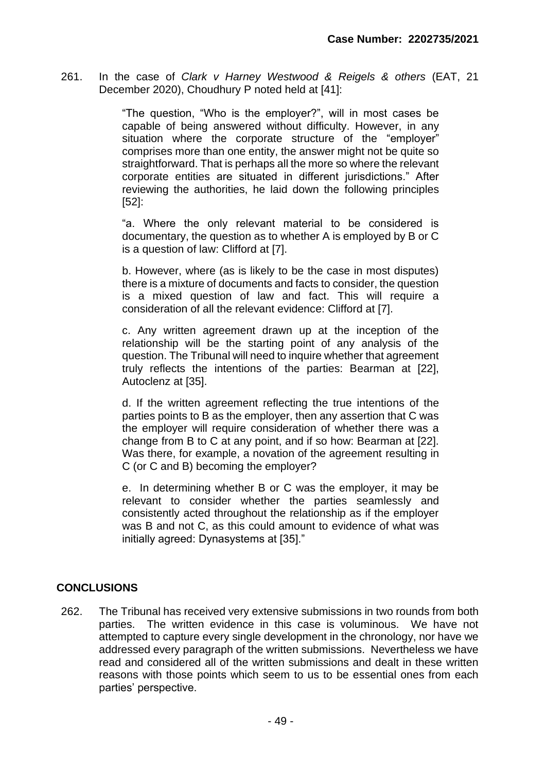261. In the case of *Clark v Harney Westwood & Reigels & others* (EAT, 21 December 2020), Choudhury P noted held at [41]:

> "The question, "Who is the employer?", will in most cases be capable of being answered without difficulty. However, in any situation where the corporate structure of the "employer" comprises more than one entity, the answer might not be quite so straightforward. That is perhaps all the more so where the relevant corporate entities are situated in different jurisdictions." After reviewing the authorities, he laid down the following principles [52]:

> "a. Where the only relevant material to be considered is documentary, the question as to whether A is employed by B or C is a question of law: Clifford at [7].

> b. However, where (as is likely to be the case in most disputes) there is a mixture of documents and facts to consider, the question is a mixed question of law and fact. This will require a consideration of all the relevant evidence: Clifford at [7].

> c. Any written agreement drawn up at the inception of the relationship will be the starting point of any analysis of the question. The Tribunal will need to inquire whether that agreement truly reflects the intentions of the parties: Bearman at [22], Autoclenz at [35].

> d. If the written agreement reflecting the true intentions of the parties points to B as the employer, then any assertion that C was the employer will require consideration of whether there was a change from B to C at any point, and if so how: Bearman at [22]. Was there, for example, a novation of the agreement resulting in C (or C and B) becoming the employer?

> e. In determining whether B or C was the employer, it may be relevant to consider whether the parties seamlessly and consistently acted throughout the relationship as if the employer was B and not C, as this could amount to evidence of what was initially agreed: Dynasystems at [35]."

# **CONCLUSIONS**

262. The Tribunal has received very extensive submissions in two rounds from both parties. The written evidence in this case is voluminous. We have not attempted to capture every single development in the chronology, nor have we addressed every paragraph of the written submissions. Nevertheless we have read and considered all of the written submissions and dealt in these written reasons with those points which seem to us to be essential ones from each parties' perspective.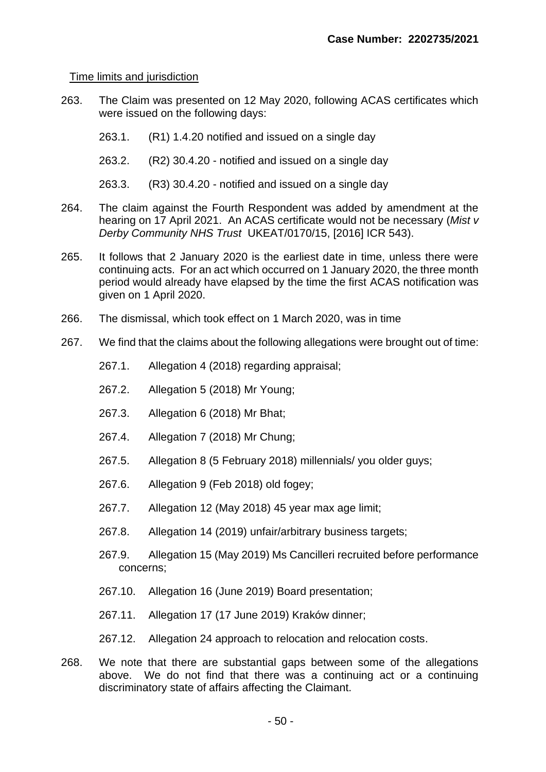## Time limits and jurisdiction

- 263. The Claim was presented on 12 May 2020, following ACAS certificates which were issued on the following days:
	- 263.1. (R1) 1.4.20 notified and issued on a single day
	- 263.2. (R2) 30.4.20 notified and issued on a single day
	- 263.3. (R3) 30.4.20 notified and issued on a single day
- 264. The claim against the Fourth Respondent was added by amendment at the hearing on 17 April 2021. An ACAS certificate would not be necessary (*Mist v Derby Community NHS Trust* UKEAT/0170/15, [2016] ICR 543).
- 265. It follows that 2 January 2020 is the earliest date in time, unless there were continuing acts. For an act which occurred on 1 January 2020, the three month period would already have elapsed by the time the first ACAS notification was given on 1 April 2020.
- 266. The dismissal, which took effect on 1 March 2020, was in time
- 267. We find that the claims about the following allegations were brought out of time:
	- 267.1. Allegation 4 (2018) regarding appraisal;
	- 267.2. Allegation 5 (2018) Mr Young;
	- 267.3. Allegation 6 (2018) Mr Bhat;
	- 267.4. Allegation 7 (2018) Mr Chung;
	- 267.5. Allegation 8 (5 February 2018) millennials/ you older guys;
	- 267.6. Allegation 9 (Feb 2018) old fogey;
	- 267.7. Allegation 12 (May 2018) 45 year max age limit;
	- 267.8. Allegation 14 (2019) unfair/arbitrary business targets;
	- 267.9. Allegation 15 (May 2019) Ms Cancilleri recruited before performance concerns;
	- 267.10. Allegation 16 (June 2019) Board presentation;
	- 267.11. Allegation 17 (17 June 2019) Kraków dinner;
	- 267.12. Allegation 24 approach to relocation and relocation costs.
- 268. We note that there are substantial gaps between some of the allegations above. We do not find that there was a continuing act or a continuing discriminatory state of affairs affecting the Claimant.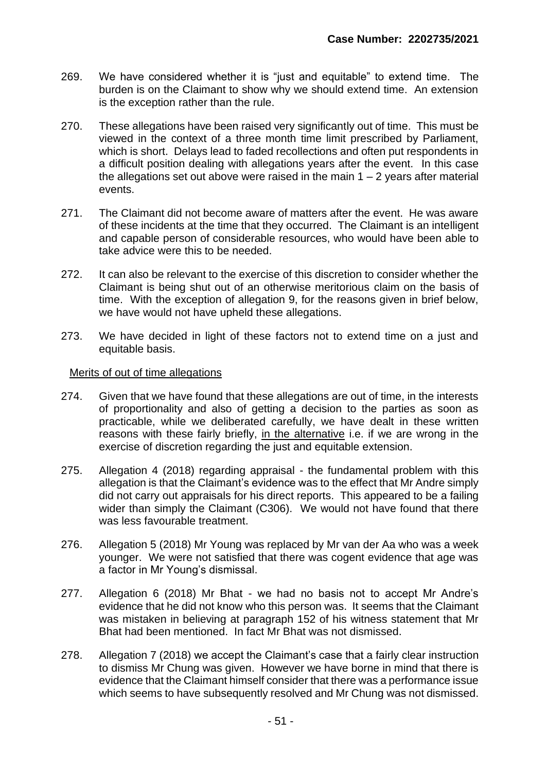- 269. We have considered whether it is "just and equitable" to extend time. The burden is on the Claimant to show why we should extend time. An extension is the exception rather than the rule.
- 270. These allegations have been raised very significantly out of time. This must be viewed in the context of a three month time limit prescribed by Parliament, which is short. Delays lead to faded recollections and often put respondents in a difficult position dealing with allegations years after the event. In this case the allegations set out above were raised in the main  $1 - 2$  years after material events.
- 271. The Claimant did not become aware of matters after the event. He was aware of these incidents at the time that they occurred. The Claimant is an intelligent and capable person of considerable resources, who would have been able to take advice were this to be needed.
- 272. It can also be relevant to the exercise of this discretion to consider whether the Claimant is being shut out of an otherwise meritorious claim on the basis of time. With the exception of allegation 9, for the reasons given in brief below, we have would not have upheld these allegations.
- 273. We have decided in light of these factors not to extend time on a just and equitable basis.

## Merits of out of time allegations

- 274. Given that we have found that these allegations are out of time, in the interests of proportionality and also of getting a decision to the parties as soon as practicable, while we deliberated carefully, we have dealt in these written reasons with these fairly briefly, in the alternative i.e. if we are wrong in the exercise of discretion regarding the just and equitable extension.
- 275. Allegation 4 (2018) regarding appraisal the fundamental problem with this allegation is that the Claimant's evidence was to the effect that Mr Andre simply did not carry out appraisals for his direct reports. This appeared to be a failing wider than simply the Claimant (C306). We would not have found that there was less favourable treatment.
- 276. Allegation 5 (2018) Mr Young was replaced by Mr van der Aa who was a week younger. We were not satisfied that there was cogent evidence that age was a factor in Mr Young's dismissal.
- 277. Allegation 6 (2018) Mr Bhat we had no basis not to accept Mr Andre's evidence that he did not know who this person was. It seems that the Claimant was mistaken in believing at paragraph 152 of his witness statement that Mr Bhat had been mentioned. In fact Mr Bhat was not dismissed.
- 278. Allegation 7 (2018) we accept the Claimant's case that a fairly clear instruction to dismiss Mr Chung was given. However we have borne in mind that there is evidence that the Claimant himself consider that there was a performance issue which seems to have subsequently resolved and Mr Chung was not dismissed.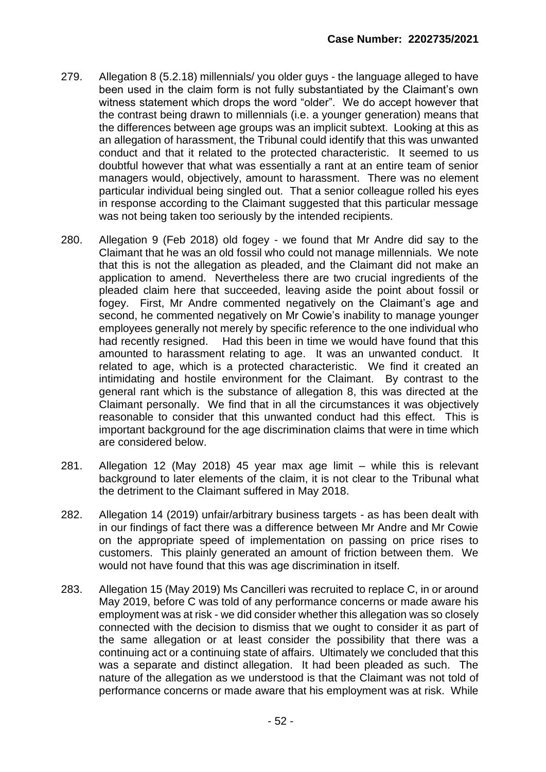- 279. Allegation 8 (5.2.18) millennials/ you older guys the language alleged to have been used in the claim form is not fully substantiated by the Claimant's own witness statement which drops the word "older". We do accept however that the contrast being drawn to millennials (i.e. a younger generation) means that the differences between age groups was an implicit subtext. Looking at this as an allegation of harassment, the Tribunal could identify that this was unwanted conduct and that it related to the protected characteristic. It seemed to us doubtful however that what was essentially a rant at an entire team of senior managers would, objectively, amount to harassment. There was no element particular individual being singled out. That a senior colleague rolled his eyes in response according to the Claimant suggested that this particular message was not being taken too seriously by the intended recipients.
- 280. Allegation 9 (Feb 2018) old fogey we found that Mr Andre did say to the Claimant that he was an old fossil who could not manage millennials. We note that this is not the allegation as pleaded, and the Claimant did not make an application to amend. Nevertheless there are two crucial ingredients of the pleaded claim here that succeeded, leaving aside the point about fossil or fogey. First, Mr Andre commented negatively on the Claimant's age and second, he commented negatively on Mr Cowie's inability to manage younger employees generally not merely by specific reference to the one individual who had recently resigned. Had this been in time we would have found that this amounted to harassment relating to age. It was an unwanted conduct. It related to age, which is a protected characteristic. We find it created an intimidating and hostile environment for the Claimant. By contrast to the general rant which is the substance of allegation 8, this was directed at the Claimant personally. We find that in all the circumstances it was objectively reasonable to consider that this unwanted conduct had this effect. This is important background for the age discrimination claims that were in time which are considered below.
- 281. Allegation 12 (May 2018) 45 year max age limit while this is relevant background to later elements of the claim, it is not clear to the Tribunal what the detriment to the Claimant suffered in May 2018.
- 282. Allegation 14 (2019) unfair/arbitrary business targets as has been dealt with in our findings of fact there was a difference between Mr Andre and Mr Cowie on the appropriate speed of implementation on passing on price rises to customers. This plainly generated an amount of friction between them. We would not have found that this was age discrimination in itself.
- 283. Allegation 15 (May 2019) Ms Cancilleri was recruited to replace C, in or around May 2019, before C was told of any performance concerns or made aware his employment was at risk - we did consider whether this allegation was so closely connected with the decision to dismiss that we ought to consider it as part of the same allegation or at least consider the possibility that there was a continuing act or a continuing state of affairs. Ultimately we concluded that this was a separate and distinct allegation. It had been pleaded as such. The nature of the allegation as we understood is that the Claimant was not told of performance concerns or made aware that his employment was at risk. While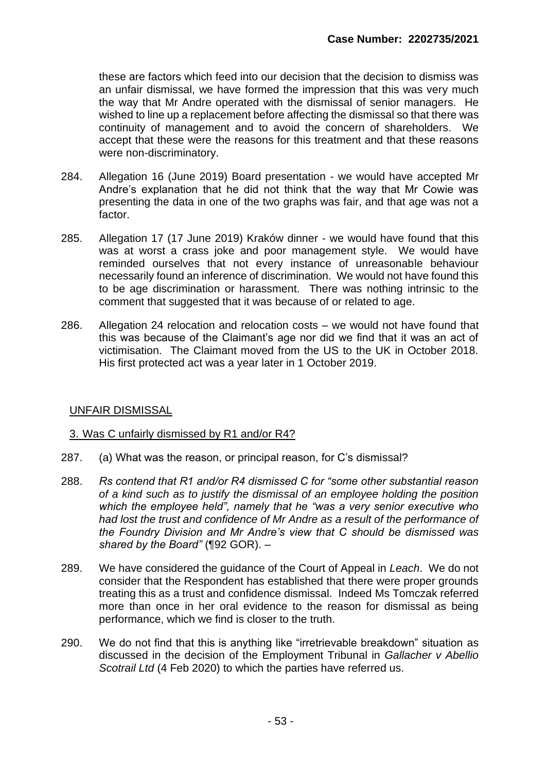these are factors which feed into our decision that the decision to dismiss was an unfair dismissal, we have formed the impression that this was very much the way that Mr Andre operated with the dismissal of senior managers. He wished to line up a replacement before affecting the dismissal so that there was continuity of management and to avoid the concern of shareholders. We accept that these were the reasons for this treatment and that these reasons were non-discriminatory.

- 284. Allegation 16 (June 2019) Board presentation we would have accepted Mr Andre's explanation that he did not think that the way that Mr Cowie was presenting the data in one of the two graphs was fair, and that age was not a factor.
- 285. Allegation 17 (17 June 2019) Kraków dinner we would have found that this was at worst a crass joke and poor management style. We would have reminded ourselves that not every instance of unreasonable behaviour necessarily found an inference of discrimination. We would not have found this to be age discrimination or harassment. There was nothing intrinsic to the comment that suggested that it was because of or related to age.
- 286. Allegation 24 relocation and relocation costs we would not have found that this was because of the Claimant's age nor did we find that it was an act of victimisation. The Claimant moved from the US to the UK in October 2018. His first protected act was a year later in 1 October 2019.

## UNFAIR DISMISSAL

### 3. Was C unfairly dismissed by R1 and/or R4?

- 287. (a) What was the reason, or principal reason, for C's dismissal?
- 288. *Rs contend that R1 and/or R4 dismissed C for "some other substantial reason of a kind such as to justify the dismissal of an employee holding the position which the employee held", namely that he "was a very senior executive who had lost the trust and confidence of Mr Andre as a result of the performance of the Foundry Division and Mr Andre's view that C should be dismissed was shared by the Board"* (¶92 GOR). –
- 289. We have considered the guidance of the Court of Appeal in *Leach*. We do not consider that the Respondent has established that there were proper grounds treating this as a trust and confidence dismissal. Indeed Ms Tomczak referred more than once in her oral evidence to the reason for dismissal as being performance, which we find is closer to the truth.
- 290. We do not find that this is anything like "irretrievable breakdown" situation as discussed in the decision of the Employment Tribunal in *Gallacher v Abellio Scotrail Ltd* (4 Feb 2020) to which the parties have referred us.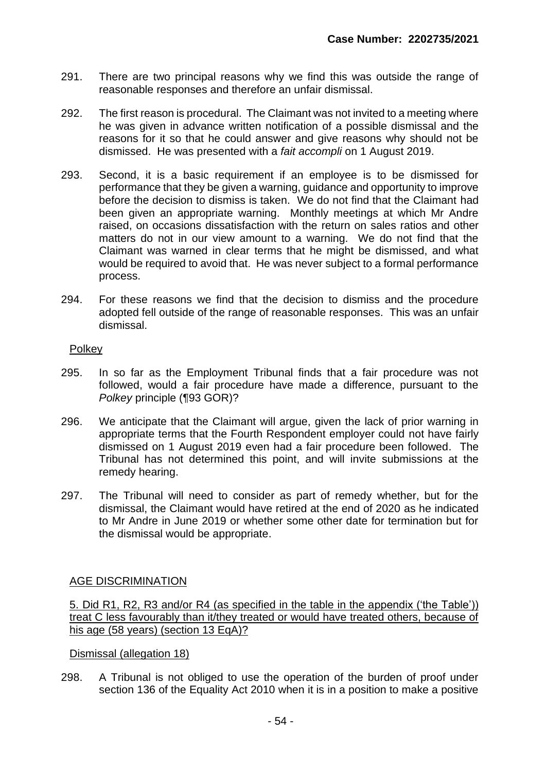- 291. There are two principal reasons why we find this was outside the range of reasonable responses and therefore an unfair dismissal.
- 292. The first reason is procedural. The Claimant was not invited to a meeting where he was given in advance written notification of a possible dismissal and the reasons for it so that he could answer and give reasons why should not be dismissed. He was presented with a *fait accompli* on 1 August 2019.
- 293. Second, it is a basic requirement if an employee is to be dismissed for performance that they be given a warning, guidance and opportunity to improve before the decision to dismiss is taken. We do not find that the Claimant had been given an appropriate warning. Monthly meetings at which Mr Andre raised, on occasions dissatisfaction with the return on sales ratios and other matters do not in our view amount to a warning. We do not find that the Claimant was warned in clear terms that he might be dismissed, and what would be required to avoid that. He was never subject to a formal performance process.
- 294. For these reasons we find that the decision to dismiss and the procedure adopted fell outside of the range of reasonable responses. This was an unfair dismissal.

# Polkey

- 295. In so far as the Employment Tribunal finds that a fair procedure was not followed, would a fair procedure have made a difference, pursuant to the *Polkey* principle (¶93 GOR)?
- 296. We anticipate that the Claimant will argue, given the lack of prior warning in appropriate terms that the Fourth Respondent employer could not have fairly dismissed on 1 August 2019 even had a fair procedure been followed. The Tribunal has not determined this point, and will invite submissions at the remedy hearing.
- 297. The Tribunal will need to consider as part of remedy whether, but for the dismissal, the Claimant would have retired at the end of 2020 as he indicated to Mr Andre in June 2019 or whether some other date for termination but for the dismissal would be appropriate.

## AGE DISCRIMINATION

5. Did R1, R2, R3 and/or R4 (as specified in the table in the appendix ('the Table')) treat C less favourably than it/they treated or would have treated others, because of his age (58 years) (section 13 EqA)?

## Dismissal (allegation 18)

298. A Tribunal is not obliged to use the operation of the burden of proof under section 136 of the Equality Act 2010 when it is in a position to make a positive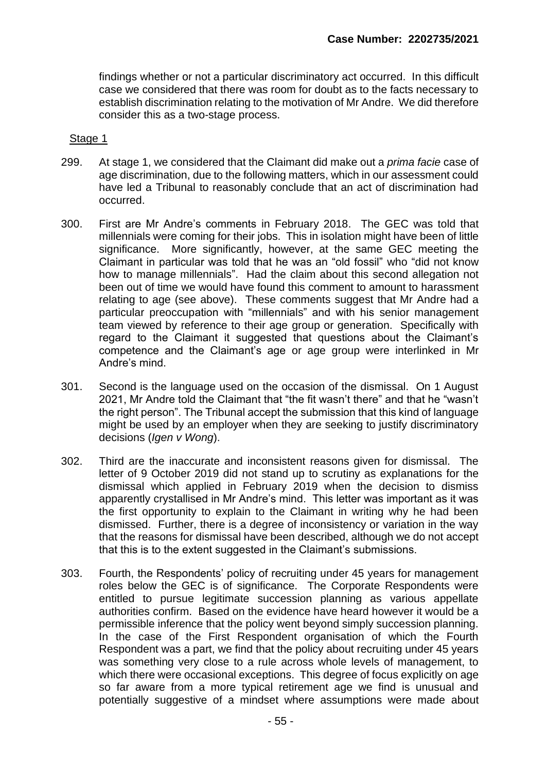findings whether or not a particular discriminatory act occurred. In this difficult case we considered that there was room for doubt as to the facts necessary to establish discrimination relating to the motivation of Mr Andre. We did therefore consider this as a two-stage process.

### Stage 1

- 299. At stage 1, we considered that the Claimant did make out a *prima facie* case of age discrimination, due to the following matters, which in our assessment could have led a Tribunal to reasonably conclude that an act of discrimination had occurred.
- 300. First are Mr Andre's comments in February 2018. The GEC was told that millennials were coming for their jobs. This in isolation might have been of little significance. More significantly, however, at the same GEC meeting the Claimant in particular was told that he was an "old fossil" who "did not know how to manage millennials". Had the claim about this second allegation not been out of time we would have found this comment to amount to harassment relating to age (see above). These comments suggest that Mr Andre had a particular preoccupation with "millennials" and with his senior management team viewed by reference to their age group or generation. Specifically with regard to the Claimant it suggested that questions about the Claimant's competence and the Claimant's age or age group were interlinked in Mr Andre's mind.
- 301. Second is the language used on the occasion of the dismissal. On 1 August 2021, Mr Andre told the Claimant that "the fit wasn't there" and that he "wasn't the right person". The Tribunal accept the submission that this kind of language might be used by an employer when they are seeking to justify discriminatory decisions (*Igen v Wong*).
- 302. Third are the inaccurate and inconsistent reasons given for dismissal. The letter of 9 October 2019 did not stand up to scrutiny as explanations for the dismissal which applied in February 2019 when the decision to dismiss apparently crystallised in Mr Andre's mind. This letter was important as it was the first opportunity to explain to the Claimant in writing why he had been dismissed. Further, there is a degree of inconsistency or variation in the way that the reasons for dismissal have been described, although we do not accept that this is to the extent suggested in the Claimant's submissions.
- 303. Fourth, the Respondents' policy of recruiting under 45 years for management roles below the GEC is of significance. The Corporate Respondents were entitled to pursue legitimate succession planning as various appellate authorities confirm. Based on the evidence have heard however it would be a permissible inference that the policy went beyond simply succession planning. In the case of the First Respondent organisation of which the Fourth Respondent was a part, we find that the policy about recruiting under 45 years was something very close to a rule across whole levels of management, to which there were occasional exceptions. This degree of focus explicitly on age so far aware from a more typical retirement age we find is unusual and potentially suggestive of a mindset where assumptions were made about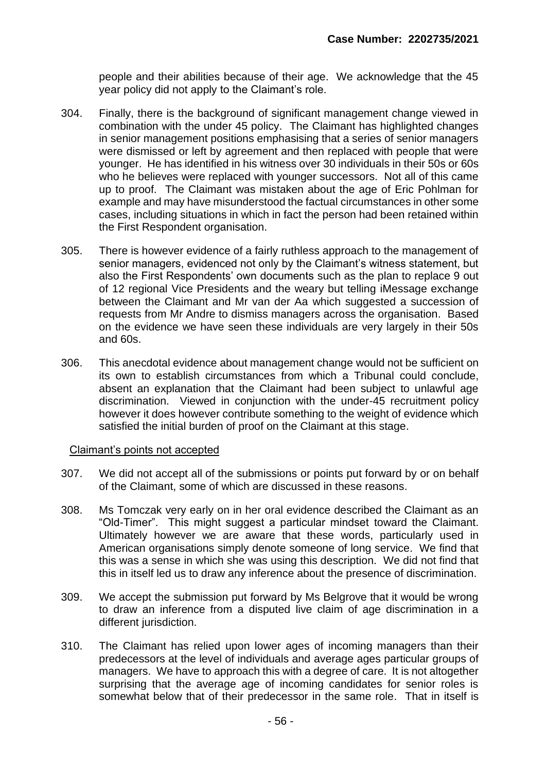people and their abilities because of their age. We acknowledge that the 45 year policy did not apply to the Claimant's role.

- 304. Finally, there is the background of significant management change viewed in combination with the under 45 policy. The Claimant has highlighted changes in senior management positions emphasising that a series of senior managers were dismissed or left by agreement and then replaced with people that were younger. He has identified in his witness over 30 individuals in their 50s or 60s who he believes were replaced with younger successors. Not all of this came up to proof. The Claimant was mistaken about the age of Eric Pohlman for example and may have misunderstood the factual circumstances in other some cases, including situations in which in fact the person had been retained within the First Respondent organisation.
- 305. There is however evidence of a fairly ruthless approach to the management of senior managers, evidenced not only by the Claimant's witness statement, but also the First Respondents' own documents such as the plan to replace 9 out of 12 regional Vice Presidents and the weary but telling iMessage exchange between the Claimant and Mr van der Aa which suggested a succession of requests from Mr Andre to dismiss managers across the organisation. Based on the evidence we have seen these individuals are very largely in their 50s and 60s.
- 306. This anecdotal evidence about management change would not be sufficient on its own to establish circumstances from which a Tribunal could conclude, absent an explanation that the Claimant had been subject to unlawful age discrimination. Viewed in conjunction with the under-45 recruitment policy however it does however contribute something to the weight of evidence which satisfied the initial burden of proof on the Claimant at this stage.

### Claimant's points not accepted

- 307. We did not accept all of the submissions or points put forward by or on behalf of the Claimant, some of which are discussed in these reasons.
- 308. Ms Tomczak very early on in her oral evidence described the Claimant as an "Old-Timer". This might suggest a particular mindset toward the Claimant. Ultimately however we are aware that these words, particularly used in American organisations simply denote someone of long service. We find that this was a sense in which she was using this description. We did not find that this in itself led us to draw any inference about the presence of discrimination.
- 309. We accept the submission put forward by Ms Belgrove that it would be wrong to draw an inference from a disputed live claim of age discrimination in a different jurisdiction.
- 310. The Claimant has relied upon lower ages of incoming managers than their predecessors at the level of individuals and average ages particular groups of managers. We have to approach this with a degree of care. It is not altogether surprising that the average age of incoming candidates for senior roles is somewhat below that of their predecessor in the same role. That in itself is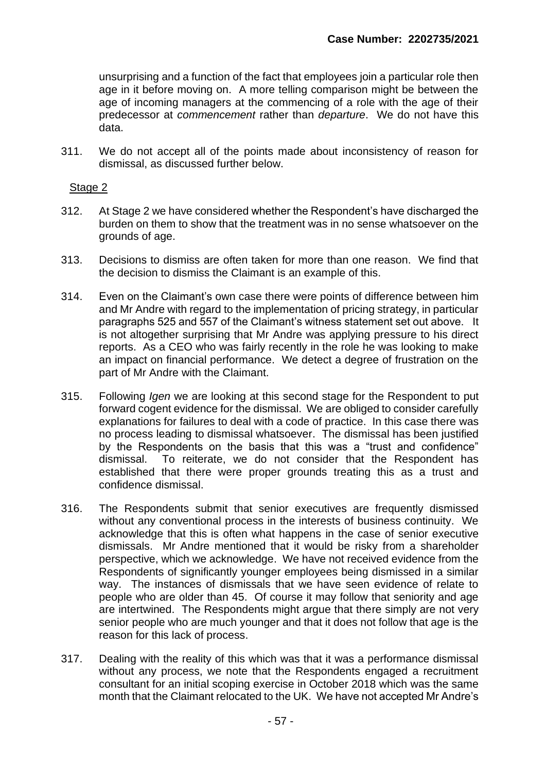unsurprising and a function of the fact that employees join a particular role then age in it before moving on. A more telling comparison might be between the age of incoming managers at the commencing of a role with the age of their predecessor at *commencement* rather than *departure*. We do not have this data.

311. We do not accept all of the points made about inconsistency of reason for dismissal, as discussed further below.

## Stage 2

- 312. At Stage 2 we have considered whether the Respondent's have discharged the burden on them to show that the treatment was in no sense whatsoever on the grounds of age.
- 313. Decisions to dismiss are often taken for more than one reason. We find that the decision to dismiss the Claimant is an example of this.
- 314. Even on the Claimant's own case there were points of difference between him and Mr Andre with regard to the implementation of pricing strategy, in particular paragraphs 525 and 557 of the Claimant's witness statement set out above. It is not altogether surprising that Mr Andre was applying pressure to his direct reports. As a CEO who was fairly recently in the role he was looking to make an impact on financial performance. We detect a degree of frustration on the part of Mr Andre with the Claimant.
- 315. Following *Igen* we are looking at this second stage for the Respondent to put forward cogent evidence for the dismissal. We are obliged to consider carefully explanations for failures to deal with a code of practice. In this case there was no process leading to dismissal whatsoever. The dismissal has been justified by the Respondents on the basis that this was a "trust and confidence" dismissal. To reiterate, we do not consider that the Respondent has established that there were proper grounds treating this as a trust and confidence dismissal.
- 316. The Respondents submit that senior executives are frequently dismissed without any conventional process in the interests of business continuity. We acknowledge that this is often what happens in the case of senior executive dismissals. Mr Andre mentioned that it would be risky from a shareholder perspective, which we acknowledge. We have not received evidence from the Respondents of significantly younger employees being dismissed in a similar way. The instances of dismissals that we have seen evidence of relate to people who are older than 45. Of course it may follow that seniority and age are intertwined. The Respondents might argue that there simply are not very senior people who are much younger and that it does not follow that age is the reason for this lack of process.
- 317. Dealing with the reality of this which was that it was a performance dismissal without any process, we note that the Respondents engaged a recruitment consultant for an initial scoping exercise in October 2018 which was the same month that the Claimant relocated to the UK. We have not accepted Mr Andre's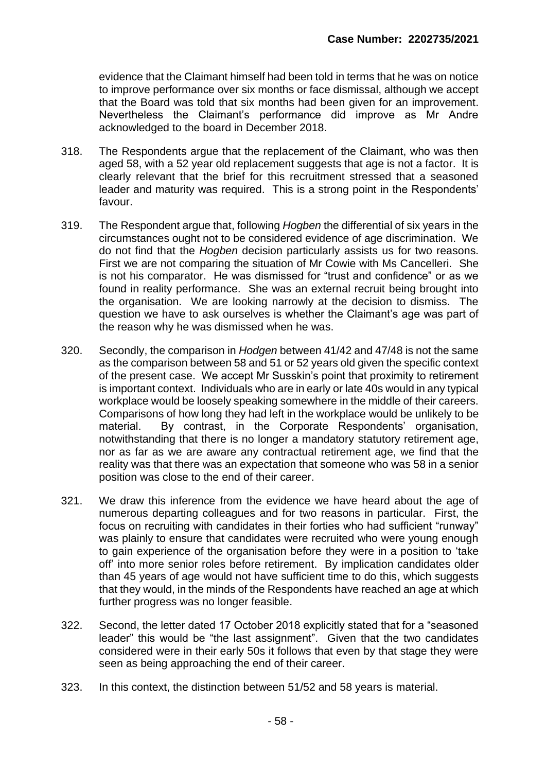evidence that the Claimant himself had been told in terms that he was on notice to improve performance over six months or face dismissal, although we accept that the Board was told that six months had been given for an improvement. Nevertheless the Claimant's performance did improve as Mr Andre acknowledged to the board in December 2018.

- 318. The Respondents argue that the replacement of the Claimant, who was then aged 58, with a 52 year old replacement suggests that age is not a factor. It is clearly relevant that the brief for this recruitment stressed that a seasoned leader and maturity was required. This is a strong point in the Respondents' favour.
- 319. The Respondent argue that, following *Hogben* the differential of six years in the circumstances ought not to be considered evidence of age discrimination. We do not find that the *Hogben* decision particularly assists us for two reasons. First we are not comparing the situation of Mr Cowie with Ms Cancelleri. She is not his comparator. He was dismissed for "trust and confidence" or as we found in reality performance. She was an external recruit being brought into the organisation. We are looking narrowly at the decision to dismiss. The question we have to ask ourselves is whether the Claimant's age was part of the reason why he was dismissed when he was.
- 320. Secondly, the comparison in *Hodgen* between 41/42 and 47/48 is not the same as the comparison between 58 and 51 or 52 years old given the specific context of the present case. We accept Mr Susskin's point that proximity to retirement is important context. Individuals who are in early or late 40s would in any typical workplace would be loosely speaking somewhere in the middle of their careers. Comparisons of how long they had left in the workplace would be unlikely to be material. By contrast, in the Corporate Respondents' organisation, notwithstanding that there is no longer a mandatory statutory retirement age, nor as far as we are aware any contractual retirement age, we find that the reality was that there was an expectation that someone who was 58 in a senior position was close to the end of their career.
- 321. We draw this inference from the evidence we have heard about the age of numerous departing colleagues and for two reasons in particular. First, the focus on recruiting with candidates in their forties who had sufficient "runway" was plainly to ensure that candidates were recruited who were young enough to gain experience of the organisation before they were in a position to 'take off' into more senior roles before retirement. By implication candidates older than 45 years of age would not have sufficient time to do this, which suggests that they would, in the minds of the Respondents have reached an age at which further progress was no longer feasible.
- 322. Second, the letter dated 17 October 2018 explicitly stated that for a "seasoned leader" this would be "the last assignment". Given that the two candidates considered were in their early 50s it follows that even by that stage they were seen as being approaching the end of their career.
- 323. In this context, the distinction between 51/52 and 58 years is material.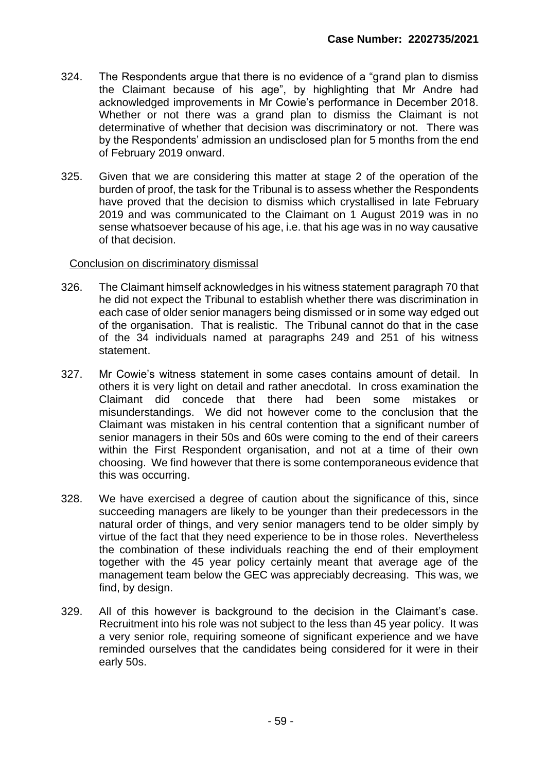- 324. The Respondents argue that there is no evidence of a "grand plan to dismiss the Claimant because of his age", by highlighting that Mr Andre had acknowledged improvements in Mr Cowie's performance in December 2018. Whether or not there was a grand plan to dismiss the Claimant is not determinative of whether that decision was discriminatory or not. There was by the Respondents' admission an undisclosed plan for 5 months from the end of February 2019 onward.
- 325. Given that we are considering this matter at stage 2 of the operation of the burden of proof, the task for the Tribunal is to assess whether the Respondents have proved that the decision to dismiss which crystallised in late February 2019 and was communicated to the Claimant on 1 August 2019 was in no sense whatsoever because of his age, i.e. that his age was in no way causative of that decision.

## Conclusion on discriminatory dismissal

- 326. The Claimant himself acknowledges in his witness statement paragraph 70 that he did not expect the Tribunal to establish whether there was discrimination in each case of older senior managers being dismissed or in some way edged out of the organisation. That is realistic. The Tribunal cannot do that in the case of the 34 individuals named at paragraphs 249 and 251 of his witness statement.
- 327. Mr Cowie's witness statement in some cases contains amount of detail. In others it is very light on detail and rather anecdotal. In cross examination the Claimant did concede that there had been some mistakes or misunderstandings. We did not however come to the conclusion that the Claimant was mistaken in his central contention that a significant number of senior managers in their 50s and 60s were coming to the end of their careers within the First Respondent organisation, and not at a time of their own choosing. We find however that there is some contemporaneous evidence that this was occurring.
- 328. We have exercised a degree of caution about the significance of this, since succeeding managers are likely to be younger than their predecessors in the natural order of things, and very senior managers tend to be older simply by virtue of the fact that they need experience to be in those roles. Nevertheless the combination of these individuals reaching the end of their employment together with the 45 year policy certainly meant that average age of the management team below the GEC was appreciably decreasing. This was, we find, by design.
- 329. All of this however is background to the decision in the Claimant's case. Recruitment into his role was not subject to the less than 45 year policy. It was a very senior role, requiring someone of significant experience and we have reminded ourselves that the candidates being considered for it were in their early 50s.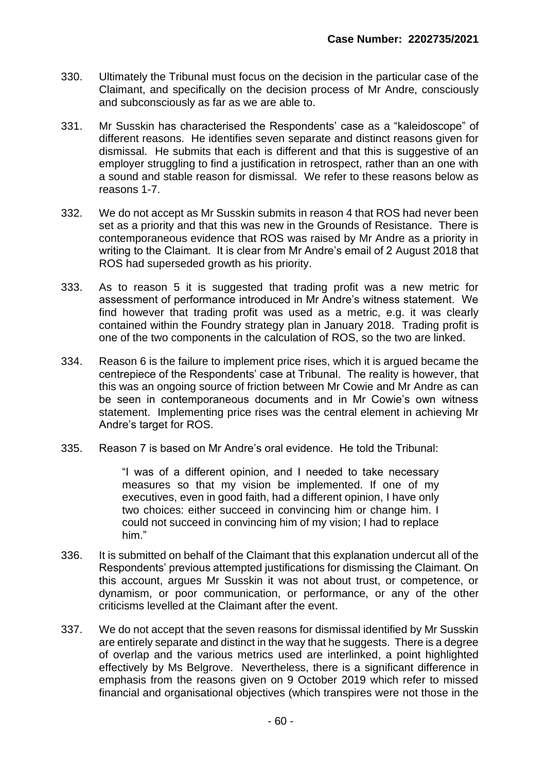- 330. Ultimately the Tribunal must focus on the decision in the particular case of the Claimant, and specifically on the decision process of Mr Andre, consciously and subconsciously as far as we are able to.
- 331. Mr Susskin has characterised the Respondents' case as a "kaleidoscope" of different reasons. He identifies seven separate and distinct reasons given for dismissal. He submits that each is different and that this is suggestive of an employer struggling to find a justification in retrospect, rather than an one with a sound and stable reason for dismissal. We refer to these reasons below as reasons 1-7.
- 332. We do not accept as Mr Susskin submits in reason 4 that ROS had never been set as a priority and that this was new in the Grounds of Resistance. There is contemporaneous evidence that ROS was raised by Mr Andre as a priority in writing to the Claimant. It is clear from Mr Andre's email of 2 August 2018 that ROS had superseded growth as his priority.
- 333. As to reason 5 it is suggested that trading profit was a new metric for assessment of performance introduced in Mr Andre's witness statement. We find however that trading profit was used as a metric, e.g. it was clearly contained within the Foundry strategy plan in January 2018. Trading profit is one of the two components in the calculation of ROS, so the two are linked.
- 334. Reason 6 is the failure to implement price rises, which it is argued became the centrepiece of the Respondents' case at Tribunal. The reality is however, that this was an ongoing source of friction between Mr Cowie and Mr Andre as can be seen in contemporaneous documents and in Mr Cowie's own witness statement. Implementing price rises was the central element in achieving Mr Andre's target for ROS.
- 335. Reason 7 is based on Mr Andre's oral evidence. He told the Tribunal:

"I was of a different opinion, and I needed to take necessary measures so that my vision be implemented. If one of my executives, even in good faith, had a different opinion, I have only two choices: either succeed in convincing him or change him. I could not succeed in convincing him of my vision; I had to replace him."

- 336. It is submitted on behalf of the Claimant that this explanation undercut all of the Respondents' previous attempted justifications for dismissing the Claimant. On this account, argues Mr Susskin it was not about trust, or competence, or dynamism, or poor communication, or performance, or any of the other criticisms levelled at the Claimant after the event.
- 337. We do not accept that the seven reasons for dismissal identified by Mr Susskin are entirely separate and distinct in the way that he suggests. There is a degree of overlap and the various metrics used are interlinked, a point highlighted effectively by Ms Belgrove. Nevertheless, there is a significant difference in emphasis from the reasons given on 9 October 2019 which refer to missed financial and organisational objectives (which transpires were not those in the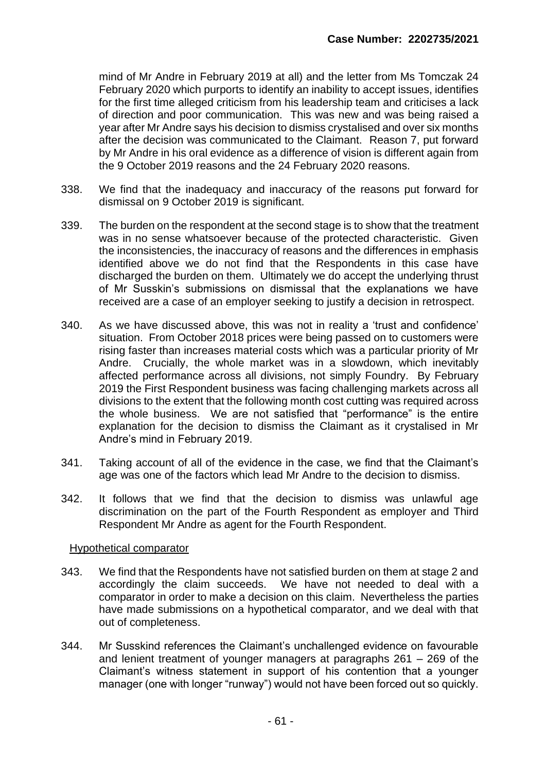mind of Mr Andre in February 2019 at all) and the letter from Ms Tomczak 24 February 2020 which purports to identify an inability to accept issues, identifies for the first time alleged criticism from his leadership team and criticises a lack of direction and poor communication. This was new and was being raised a year after Mr Andre says his decision to dismiss crystalised and over six months after the decision was communicated to the Claimant. Reason 7, put forward by Mr Andre in his oral evidence as a difference of vision is different again from the 9 October 2019 reasons and the 24 February 2020 reasons.

- 338. We find that the inadequacy and inaccuracy of the reasons put forward for dismissal on 9 October 2019 is significant.
- 339. The burden on the respondent at the second stage is to show that the treatment was in no sense whatsoever because of the protected characteristic. Given the inconsistencies, the inaccuracy of reasons and the differences in emphasis identified above we do not find that the Respondents in this case have discharged the burden on them. Ultimately we do accept the underlying thrust of Mr Susskin's submissions on dismissal that the explanations we have received are a case of an employer seeking to justify a decision in retrospect.
- 340. As we have discussed above, this was not in reality a 'trust and confidence' situation. From October 2018 prices were being passed on to customers were rising faster than increases material costs which was a particular priority of Mr Andre. Crucially, the whole market was in a slowdown, which inevitably affected performance across all divisions, not simply Foundry. By February 2019 the First Respondent business was facing challenging markets across all divisions to the extent that the following month cost cutting was required across the whole business. We are not satisfied that "performance" is the entire explanation for the decision to dismiss the Claimant as it crystalised in Mr Andre's mind in February 2019.
- 341. Taking account of all of the evidence in the case, we find that the Claimant's age was one of the factors which lead Mr Andre to the decision to dismiss.
- 342. It follows that we find that the decision to dismiss was unlawful age discrimination on the part of the Fourth Respondent as employer and Third Respondent Mr Andre as agent for the Fourth Respondent.

### Hypothetical comparator

- 343. We find that the Respondents have not satisfied burden on them at stage 2 and accordingly the claim succeeds. We have not needed to deal with a comparator in order to make a decision on this claim. Nevertheless the parties have made submissions on a hypothetical comparator, and we deal with that out of completeness.
- 344. Mr Susskind references the Claimant's unchallenged evidence on favourable and lenient treatment of younger managers at paragraphs 261 – 269 of the Claimant's witness statement in support of his contention that a younger manager (one with longer "runway") would not have been forced out so quickly.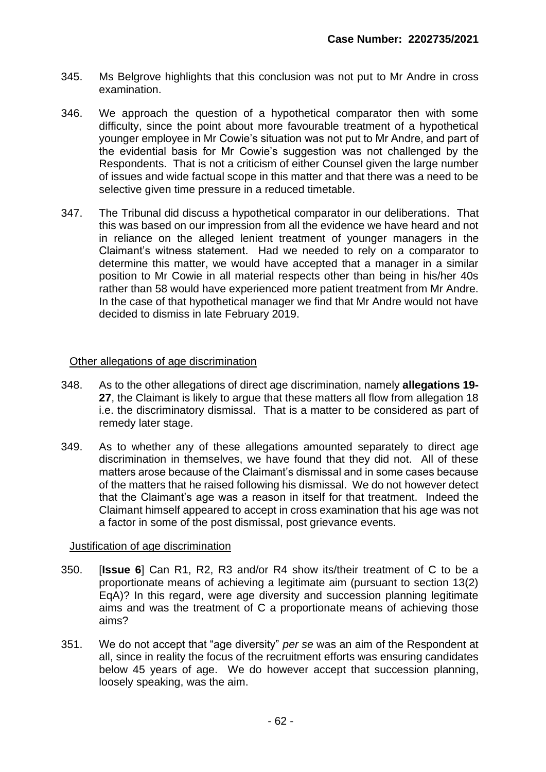- 345. Ms Belgrove highlights that this conclusion was not put to Mr Andre in cross examination.
- 346. We approach the question of a hypothetical comparator then with some difficulty, since the point about more favourable treatment of a hypothetical younger employee in Mr Cowie's situation was not put to Mr Andre, and part of the evidential basis for Mr Cowie's suggestion was not challenged by the Respondents. That is not a criticism of either Counsel given the large number of issues and wide factual scope in this matter and that there was a need to be selective given time pressure in a reduced timetable.
- 347. The Tribunal did discuss a hypothetical comparator in our deliberations. That this was based on our impression from all the evidence we have heard and not in reliance on the alleged lenient treatment of younger managers in the Claimant's witness statement. Had we needed to rely on a comparator to determine this matter, we would have accepted that a manager in a similar position to Mr Cowie in all material respects other than being in his/her 40s rather than 58 would have experienced more patient treatment from Mr Andre. In the case of that hypothetical manager we find that Mr Andre would not have decided to dismiss in late February 2019.

## Other allegations of age discrimination

- 348. As to the other allegations of direct age discrimination, namely **allegations 19- 27**, the Claimant is likely to argue that these matters all flow from allegation 18 i.e. the discriminatory dismissal. That is a matter to be considered as part of remedy later stage.
- 349. As to whether any of these allegations amounted separately to direct age discrimination in themselves, we have found that they did not. All of these matters arose because of the Claimant's dismissal and in some cases because of the matters that he raised following his dismissal. We do not however detect that the Claimant's age was a reason in itself for that treatment. Indeed the Claimant himself appeared to accept in cross examination that his age was not a factor in some of the post dismissal, post grievance events.

## Justification of age discrimination

- 350. [**Issue 6**] Can R1, R2, R3 and/or R4 show its/their treatment of C to be a proportionate means of achieving a legitimate aim (pursuant to section 13(2) EqA)? In this regard, were age diversity and succession planning legitimate aims and was the treatment of C a proportionate means of achieving those aims?
- 351. We do not accept that "age diversity" *per se* was an aim of the Respondent at all, since in reality the focus of the recruitment efforts was ensuring candidates below 45 years of age. We do however accept that succession planning, loosely speaking, was the aim.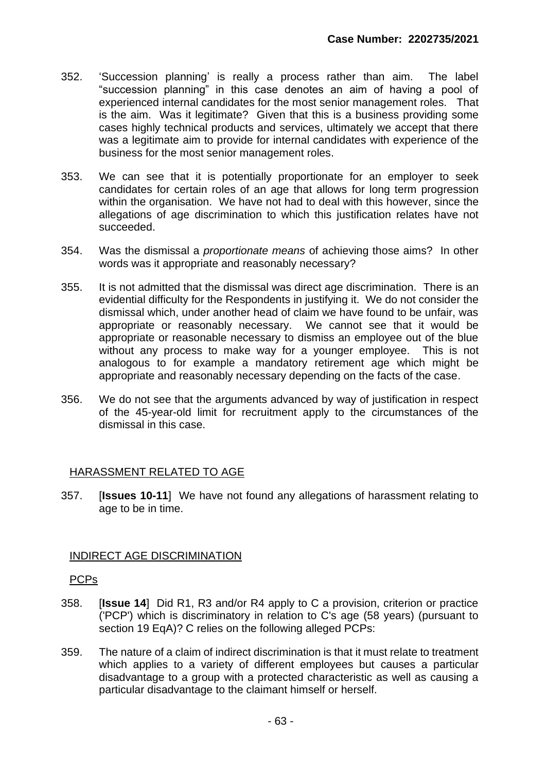- 352. 'Succession planning' is really a process rather than aim. The label "succession planning" in this case denotes an aim of having a pool of experienced internal candidates for the most senior management roles. That is the aim. Was it legitimate? Given that this is a business providing some cases highly technical products and services, ultimately we accept that there was a legitimate aim to provide for internal candidates with experience of the business for the most senior management roles.
- 353. We can see that it is potentially proportionate for an employer to seek candidates for certain roles of an age that allows for long term progression within the organisation. We have not had to deal with this however, since the allegations of age discrimination to which this justification relates have not succeeded.
- 354. Was the dismissal a *proportionate means* of achieving those aims? In other words was it appropriate and reasonably necessary?
- 355. It is not admitted that the dismissal was direct age discrimination. There is an evidential difficulty for the Respondents in justifying it. We do not consider the dismissal which, under another head of claim we have found to be unfair, was appropriate or reasonably necessary. We cannot see that it would be appropriate or reasonable necessary to dismiss an employee out of the blue without any process to make way for a younger employee. This is not analogous to for example a mandatory retirement age which might be appropriate and reasonably necessary depending on the facts of the case.
- 356. We do not see that the arguments advanced by way of justification in respect of the 45-year-old limit for recruitment apply to the circumstances of the dismissal in this case.

# HARASSMENT RELATED TO AGE

357. [**Issues 10-11**] We have not found any allegations of harassment relating to age to be in time.

## INDIRECT AGE DISCRIMINATION

## PCPs

- 358. [**Issue 14**] Did R1, R3 and/or R4 apply to C a provision, criterion or practice ('PCP') which is discriminatory in relation to C's age (58 years) (pursuant to section 19 EqA)? C relies on the following alleged PCPs:
- 359. The nature of a claim of indirect discrimination is that it must relate to treatment which applies to a variety of different employees but causes a particular disadvantage to a group with a protected characteristic as well as causing a particular disadvantage to the claimant himself or herself.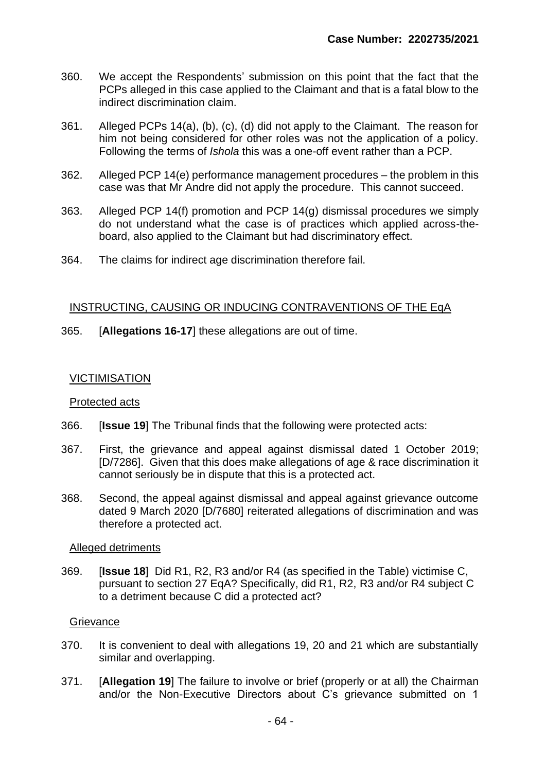- 360. We accept the Respondents' submission on this point that the fact that the PCPs alleged in this case applied to the Claimant and that is a fatal blow to the indirect discrimination claim.
- 361. Alleged PCPs 14(a), (b), (c), (d) did not apply to the Claimant. The reason for him not being considered for other roles was not the application of a policy. Following the terms of *Ishola* this was a one-off event rather than a PCP.
- 362. Alleged PCP 14(e) performance management procedures the problem in this case was that Mr Andre did not apply the procedure. This cannot succeed.
- 363. Alleged PCP 14(f) promotion and PCP 14(g) dismissal procedures we simply do not understand what the case is of practices which applied across-theboard, also applied to the Claimant but had discriminatory effect.
- 364. The claims for indirect age discrimination therefore fail.

# INSTRUCTING, CAUSING OR INDUCING CONTRAVENTIONS OF THE EqA

365. [**Allegations 16-17**] these allegations are out of time.

# VICTIMISATION

## Protected acts

- 366. [**Issue 19**] The Tribunal finds that the following were protected acts:
- 367. First, the grievance and appeal against dismissal dated 1 October 2019; [D/7286]. Given that this does make allegations of age & race discrimination it cannot seriously be in dispute that this is a protected act.
- 368. Second, the appeal against dismissal and appeal against grievance outcome dated 9 March 2020 [D/7680] reiterated allegations of discrimination and was therefore a protected act.

## Alleged detriments

369. [**Issue 18**] Did R1, R2, R3 and/or R4 (as specified in the Table) victimise C, pursuant to section 27 EqA? Specifically, did R1, R2, R3 and/or R4 subject C to a detriment because C did a protected act?

## **Grievance**

- 370. It is convenient to deal with allegations 19, 20 and 21 which are substantially similar and overlapping.
- 371. [**Allegation 19**] The failure to involve or brief (properly or at all) the Chairman and/or the Non-Executive Directors about C's grievance submitted on 1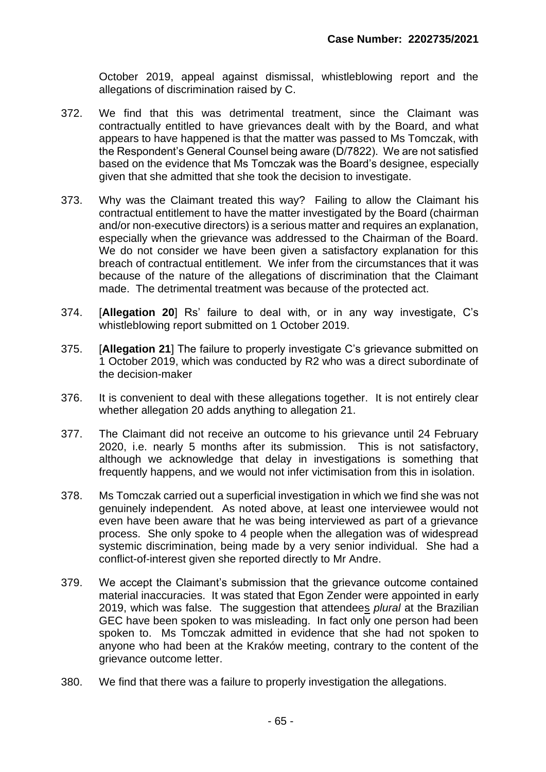October 2019, appeal against dismissal, whistleblowing report and the allegations of discrimination raised by C.

- 372. We find that this was detrimental treatment, since the Claimant was contractually entitled to have grievances dealt with by the Board, and what appears to have happened is that the matter was passed to Ms Tomczak, with the Respondent's General Counsel being aware (D/7822). We are not satisfied based on the evidence that Ms Tomczak was the Board's designee, especially given that she admitted that she took the decision to investigate.
- 373. Why was the Claimant treated this way? Failing to allow the Claimant his contractual entitlement to have the matter investigated by the Board (chairman and/or non-executive directors) is a serious matter and requires an explanation, especially when the grievance was addressed to the Chairman of the Board. We do not consider we have been given a satisfactory explanation for this breach of contractual entitlement. We infer from the circumstances that it was because of the nature of the allegations of discrimination that the Claimant made. The detrimental treatment was because of the protected act.
- 374. [**Allegation 20**] Rs' failure to deal with, or in any way investigate, C's whistleblowing report submitted on 1 October 2019.
- 375. [**Allegation 21**] The failure to properly investigate C's grievance submitted on 1 October 2019, which was conducted by R2 who was a direct subordinate of the decision-maker
- 376. It is convenient to deal with these allegations together. It is not entirely clear whether allegation 20 adds anything to allegation 21.
- 377. The Claimant did not receive an outcome to his grievance until 24 February 2020, i.e. nearly 5 months after its submission. This is not satisfactory, although we acknowledge that delay in investigations is something that frequently happens, and we would not infer victimisation from this in isolation.
- 378. Ms Tomczak carried out a superficial investigation in which we find she was not genuinely independent. As noted above, at least one interviewee would not even have been aware that he was being interviewed as part of a grievance process. She only spoke to 4 people when the allegation was of widespread systemic discrimination, being made by a very senior individual. She had a conflict-of-interest given she reported directly to Mr Andre.
- 379. We accept the Claimant's submission that the grievance outcome contained material inaccuracies. It was stated that Egon Zender were appointed in early 2019, which was false. The suggestion that attendees *plural* at the Brazilian GEC have been spoken to was misleading. In fact only one person had been spoken to. Ms Tomczak admitted in evidence that she had not spoken to anyone who had been at the Kraków meeting, contrary to the content of the grievance outcome letter.
- 380. We find that there was a failure to properly investigation the allegations.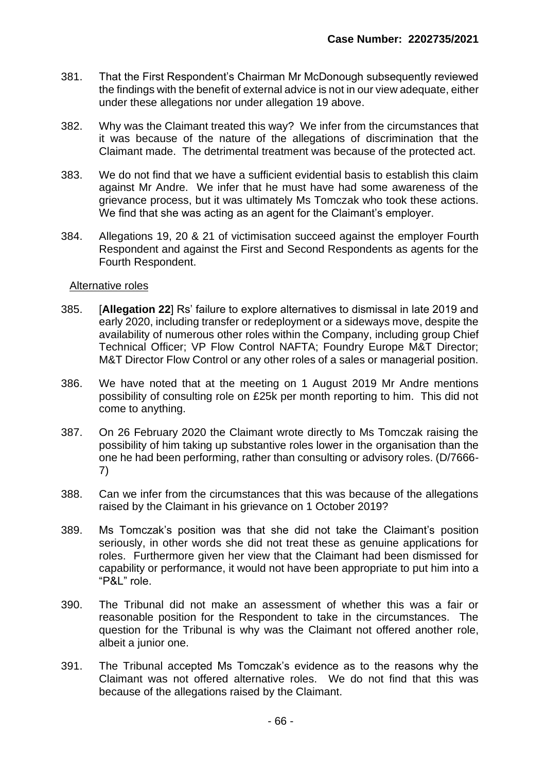- 381. That the First Respondent's Chairman Mr McDonough subsequently reviewed the findings with the benefit of external advice is not in our view adequate, either under these allegations nor under allegation 19 above.
- 382. Why was the Claimant treated this way? We infer from the circumstances that it was because of the nature of the allegations of discrimination that the Claimant made. The detrimental treatment was because of the protected act.
- 383. We do not find that we have a sufficient evidential basis to establish this claim against Mr Andre. We infer that he must have had some awareness of the grievance process, but it was ultimately Ms Tomczak who took these actions. We find that she was acting as an agent for the Claimant's employer.
- 384. Allegations 19, 20 & 21 of victimisation succeed against the employer Fourth Respondent and against the First and Second Respondents as agents for the Fourth Respondent.

## Alternative roles

- 385. [**Allegation 22**] Rs' failure to explore alternatives to dismissal in late 2019 and early 2020, including transfer or redeployment or a sideways move, despite the availability of numerous other roles within the Company, including group Chief Technical Officer; VP Flow Control NAFTA; Foundry Europe M&T Director; M&T Director Flow Control or any other roles of a sales or managerial position.
- 386. We have noted that at the meeting on 1 August 2019 Mr Andre mentions possibility of consulting role on £25k per month reporting to him. This did not come to anything.
- 387. On 26 February 2020 the Claimant wrote directly to Ms Tomczak raising the possibility of him taking up substantive roles lower in the organisation than the one he had been performing, rather than consulting or advisory roles. (D/7666- 7)
- 388. Can we infer from the circumstances that this was because of the allegations raised by the Claimant in his grievance on 1 October 2019?
- 389. Ms Tomczak's position was that she did not take the Claimant's position seriously, in other words she did not treat these as genuine applications for roles. Furthermore given her view that the Claimant had been dismissed for capability or performance, it would not have been appropriate to put him into a "P&L" role.
- 390. The Tribunal did not make an assessment of whether this was a fair or reasonable position for the Respondent to take in the circumstances. The question for the Tribunal is why was the Claimant not offered another role, albeit a junior one.
- 391. The Tribunal accepted Ms Tomczak's evidence as to the reasons why the Claimant was not offered alternative roles. We do not find that this was because of the allegations raised by the Claimant.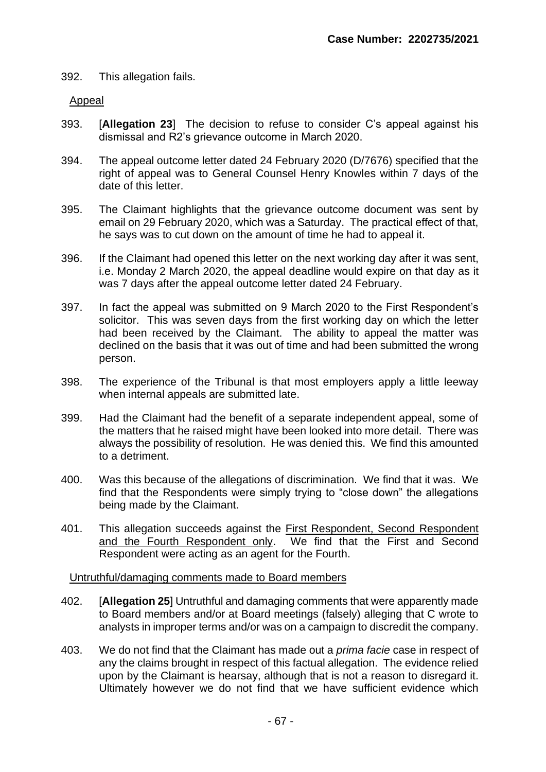## 392. This allegation fails.

## Appeal

- 393. [**Allegation 23**] The decision to refuse to consider C's appeal against his dismissal and R2's grievance outcome in March 2020.
- 394. The appeal outcome letter dated 24 February 2020 (D/7676) specified that the right of appeal was to General Counsel Henry Knowles within 7 days of the date of this letter.
- 395. The Claimant highlights that the grievance outcome document was sent by email on 29 February 2020, which was a Saturday. The practical effect of that, he says was to cut down on the amount of time he had to appeal it.
- 396. If the Claimant had opened this letter on the next working day after it was sent, i.e. Monday 2 March 2020, the appeal deadline would expire on that day as it was 7 days after the appeal outcome letter dated 24 February.
- 397. In fact the appeal was submitted on 9 March 2020 to the First Respondent's solicitor. This was seven days from the first working day on which the letter had been received by the Claimant. The ability to appeal the matter was declined on the basis that it was out of time and had been submitted the wrong person.
- 398. The experience of the Tribunal is that most employers apply a little leeway when internal appeals are submitted late.
- 399. Had the Claimant had the benefit of a separate independent appeal, some of the matters that he raised might have been looked into more detail. There was always the possibility of resolution. He was denied this. We find this amounted to a detriment.
- 400. Was this because of the allegations of discrimination. We find that it was. We find that the Respondents were simply trying to "close down" the allegations being made by the Claimant.
- 401. This allegation succeeds against the First Respondent, Second Respondent and the Fourth Respondent only. We find that the First and Second Respondent were acting as an agent for the Fourth.

### Untruthful/damaging comments made to Board members

- 402. [**Allegation 25**] Untruthful and damaging comments that were apparently made to Board members and/or at Board meetings (falsely) alleging that C wrote to analysts in improper terms and/or was on a campaign to discredit the company.
- 403. We do not find that the Claimant has made out a *prima facie* case in respect of any the claims brought in respect of this factual allegation. The evidence relied upon by the Claimant is hearsay, although that is not a reason to disregard it. Ultimately however we do not find that we have sufficient evidence which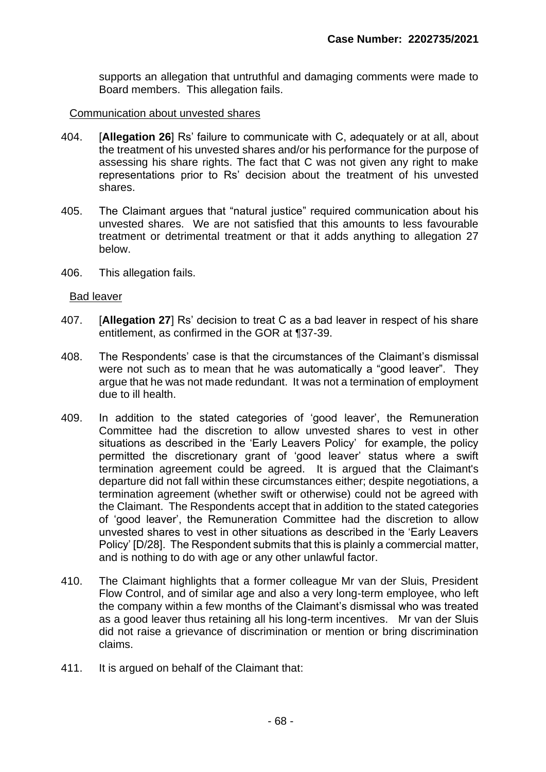supports an allegation that untruthful and damaging comments were made to Board members. This allegation fails.

### Communication about unvested shares

- 404. [**Allegation 26**] Rs' failure to communicate with C, adequately or at all, about the treatment of his unvested shares and/or his performance for the purpose of assessing his share rights. The fact that C was not given any right to make representations prior to Rs' decision about the treatment of his unvested shares.
- 405. The Claimant argues that "natural justice" required communication about his unvested shares. We are not satisfied that this amounts to less favourable treatment or detrimental treatment or that it adds anything to allegation 27 below.
- 406. This allegation fails.

### Bad leaver

- 407. [**Allegation 27**] Rs' decision to treat C as a bad leaver in respect of his share entitlement, as confirmed in the GOR at ¶37-39.
- 408. The Respondents' case is that the circumstances of the Claimant's dismissal were not such as to mean that he was automatically a "good leaver". They argue that he was not made redundant. It was not a termination of employment due to ill health.
- 409. In addition to the stated categories of 'good leaver', the Remuneration Committee had the discretion to allow unvested shares to vest in other situations as described in the 'Early Leavers Policy' for example, the policy permitted the discretionary grant of 'good leaver' status where a swift termination agreement could be agreed. It is argued that the Claimant's departure did not fall within these circumstances either; despite negotiations, a termination agreement (whether swift or otherwise) could not be agreed with the Claimant. The Respondents accept that in addition to the stated categories of 'good leaver', the Remuneration Committee had the discretion to allow unvested shares to vest in other situations as described in the 'Early Leavers Policy' [D/28]. The Respondent submits that this is plainly a commercial matter, and is nothing to do with age or any other unlawful factor.
- 410. The Claimant highlights that a former colleague Mr van der Sluis, President Flow Control, and of similar age and also a very long-term employee, who left the company within a few months of the Claimant's dismissal who was treated as a good leaver thus retaining all his long-term incentives. Mr van der Sluis did not raise a grievance of discrimination or mention or bring discrimination claims.
- 411. It is argued on behalf of the Claimant that: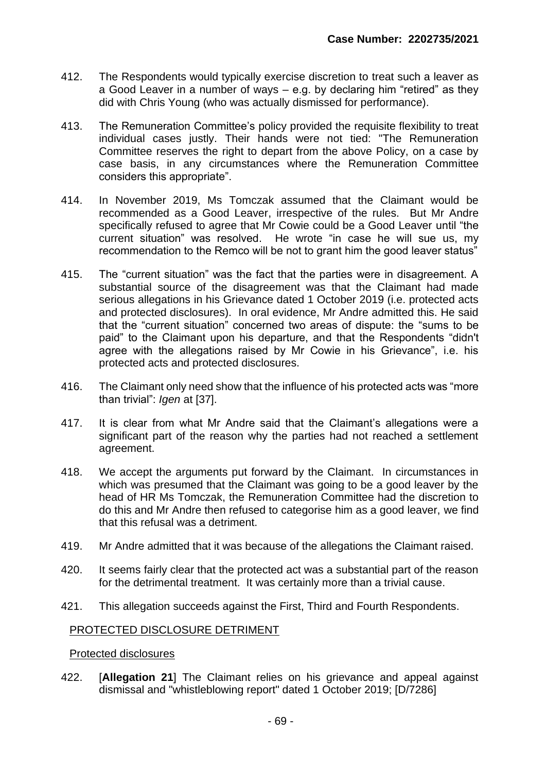- 412. The Respondents would typically exercise discretion to treat such a leaver as a Good Leaver in a number of ways – e.g. by declaring him "retired" as they did with Chris Young (who was actually dismissed for performance).
- 413. The Remuneration Committee's policy provided the requisite flexibility to treat individual cases justly. Their hands were not tied: "The Remuneration Committee reserves the right to depart from the above Policy, on a case by case basis, in any circumstances where the Remuneration Committee considers this appropriate".
- 414. In November 2019, Ms Tomczak assumed that the Claimant would be recommended as a Good Leaver, irrespective of the rules. But Mr Andre specifically refused to agree that Mr Cowie could be a Good Leaver until "the current situation" was resolved. He wrote "in case he will sue us, my recommendation to the Remco will be not to grant him the good leaver status"
- 415. The "current situation" was the fact that the parties were in disagreement. A substantial source of the disagreement was that the Claimant had made serious allegations in his Grievance dated 1 October 2019 (i.e. protected acts and protected disclosures). In oral evidence, Mr Andre admitted this. He said that the "current situation" concerned two areas of dispute: the "sums to be paid" to the Claimant upon his departure, and that the Respondents "didn't agree with the allegations raised by Mr Cowie in his Grievance", i.e. his protected acts and protected disclosures.
- 416. The Claimant only need show that the influence of his protected acts was "more than trivial": *Igen* at [37].
- 417. It is clear from what Mr Andre said that the Claimant's allegations were a significant part of the reason why the parties had not reached a settlement agreement.
- 418. We accept the arguments put forward by the Claimant. In circumstances in which was presumed that the Claimant was going to be a good leaver by the head of HR Ms Tomczak, the Remuneration Committee had the discretion to do this and Mr Andre then refused to categorise him as a good leaver, we find that this refusal was a detriment.
- 419. Mr Andre admitted that it was because of the allegations the Claimant raised.
- 420. It seems fairly clear that the protected act was a substantial part of the reason for the detrimental treatment. It was certainly more than a trivial cause.
- 421. This allegation succeeds against the First, Third and Fourth Respondents.

## PROTECTED DISCLOSURE DETRIMENT

### Protected disclosures

422. [**Allegation 21**] The Claimant relies on his grievance and appeal against dismissal and "whistleblowing report" dated 1 October 2019; [D/7286]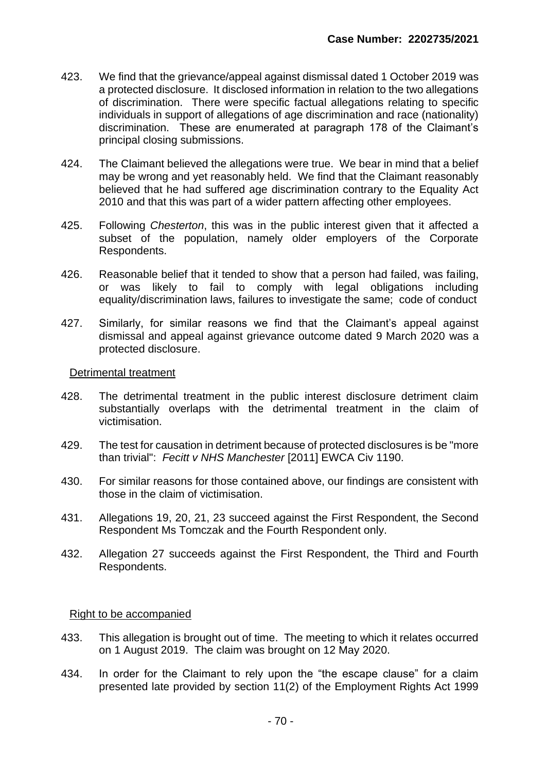- 423. We find that the grievance/appeal against dismissal dated 1 October 2019 was a protected disclosure. It disclosed information in relation to the two allegations of discrimination. There were specific factual allegations relating to specific individuals in support of allegations of age discrimination and race (nationality) discrimination. These are enumerated at paragraph 178 of the Claimant's principal closing submissions.
- 424. The Claimant believed the allegations were true. We bear in mind that a belief may be wrong and yet reasonably held. We find that the Claimant reasonably believed that he had suffered age discrimination contrary to the Equality Act 2010 and that this was part of a wider pattern affecting other employees.
- 425. Following *Chesterton*, this was in the public interest given that it affected a subset of the population, namely older employers of the Corporate Respondents.
- 426. Reasonable belief that it tended to show that a person had failed, was failing, or was likely to fail to comply with legal obligations including equality/discrimination laws, failures to investigate the same; code of conduct
- 427. Similarly, for similar reasons we find that the Claimant's appeal against dismissal and appeal against grievance outcome dated 9 March 2020 was a protected disclosure.

### Detrimental treatment

- 428. The detrimental treatment in the public interest disclosure detriment claim substantially overlaps with the detrimental treatment in the claim of victimisation.
- 429. The test for causation in detriment because of protected disclosures is be "more than trivial": *Fecitt v NHS Manchester* [2011] EWCA Civ 1190.
- 430. For similar reasons for those contained above, our findings are consistent with those in the claim of victimisation.
- 431. Allegations 19, 20, 21, 23 succeed against the First Respondent, the Second Respondent Ms Tomczak and the Fourth Respondent only.
- 432. Allegation 27 succeeds against the First Respondent, the Third and Fourth Respondents.

## Right to be accompanied

- 433. This allegation is brought out of time. The meeting to which it relates occurred on 1 August 2019. The claim was brought on 12 May 2020.
- 434. In order for the Claimant to rely upon the "the escape clause" for a claim presented late provided by section 11(2) of the Employment Rights Act 1999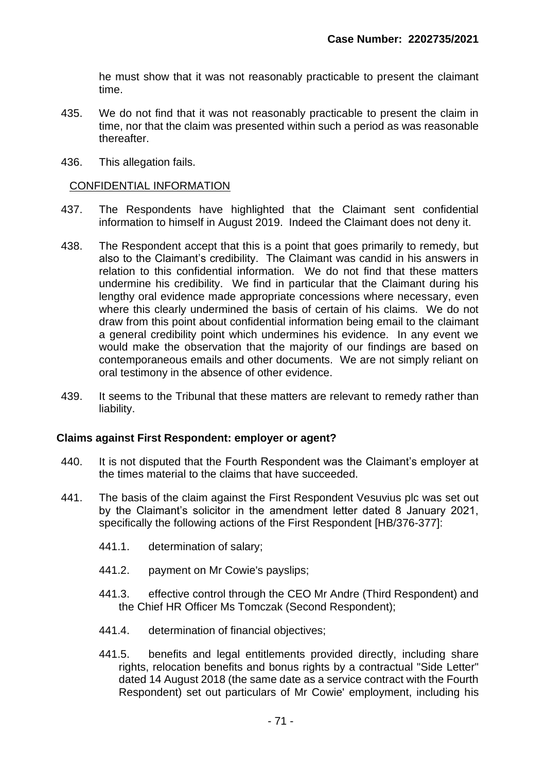he must show that it was not reasonably practicable to present the claimant time.

- 435. We do not find that it was not reasonably practicable to present the claim in time, nor that the claim was presented within such a period as was reasonable thereafter.
- 436. This allegation fails.

### CONFIDENTIAL INFORMATION

- 437. The Respondents have highlighted that the Claimant sent confidential information to himself in August 2019. Indeed the Claimant does not deny it.
- 438. The Respondent accept that this is a point that goes primarily to remedy, but also to the Claimant's credibility. The Claimant was candid in his answers in relation to this confidential information. We do not find that these matters undermine his credibility. We find in particular that the Claimant during his lengthy oral evidence made appropriate concessions where necessary, even where this clearly undermined the basis of certain of his claims. We do not draw from this point about confidential information being email to the claimant a general credibility point which undermines his evidence. In any event we would make the observation that the majority of our findings are based on contemporaneous emails and other documents. We are not simply reliant on oral testimony in the absence of other evidence.
- 439. It seems to the Tribunal that these matters are relevant to remedy rather than liability.

### **Claims against First Respondent: employer or agent?**

- 440. It is not disputed that the Fourth Respondent was the Claimant's employer at the times material to the claims that have succeeded.
- 441. The basis of the claim against the First Respondent Vesuvius plc was set out by the Claimant's solicitor in the amendment letter dated 8 January 2021, specifically the following actions of the First Respondent [HB/376-377]:
	- 441.1. determination of salary;
	- 441.2. payment on Mr Cowie's payslips;
	- 441.3. effective control through the CEO Mr Andre (Third Respondent) and the Chief HR Officer Ms Tomczak (Second Respondent);
	- 441.4. determination of financial objectives;
	- 441.5. benefits and legal entitlements provided directly, including share rights, relocation benefits and bonus rights by a contractual "Side Letter" dated 14 August 2018 (the same date as a service contract with the Fourth Respondent) set out particulars of Mr Cowie' employment, including his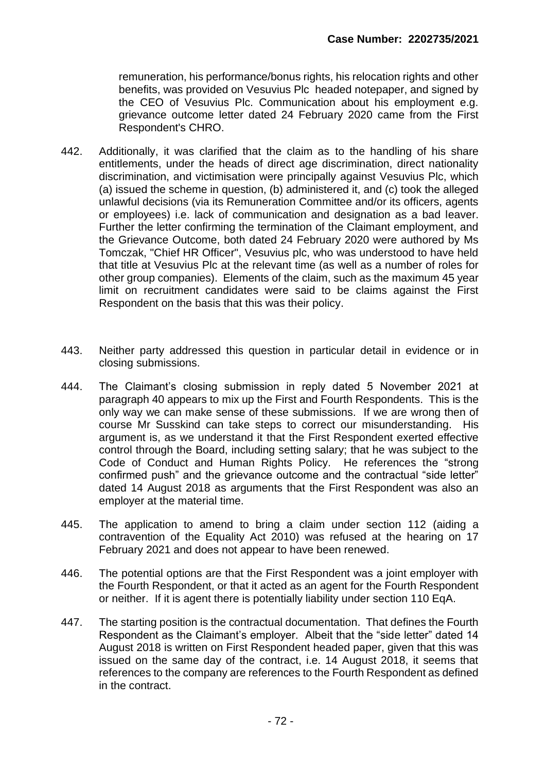remuneration, his performance/bonus rights, his relocation rights and other benefits, was provided on Vesuvius Plc headed notepaper, and signed by the CEO of Vesuvius Plc. Communication about his employment e.g. grievance outcome letter dated 24 February 2020 came from the First Respondent's CHRO.

- 442. Additionally, it was clarified that the claim as to the handling of his share entitlements, under the heads of direct age discrimination, direct nationality discrimination, and victimisation were principally against Vesuvius Plc, which (a) issued the scheme in question, (b) administered it, and (c) took the alleged unlawful decisions (via its Remuneration Committee and/or its officers, agents or employees) i.e. lack of communication and designation as a bad leaver. Further the letter confirming the termination of the Claimant employment, and the Grievance Outcome, both dated 24 February 2020 were authored by Ms Tomczak, "Chief HR Officer", Vesuvius plc, who was understood to have held that title at Vesuvius Plc at the relevant time (as well as a number of roles for other group companies). Elements of the claim, such as the maximum 45 year limit on recruitment candidates were said to be claims against the First Respondent on the basis that this was their policy.
- 443. Neither party addressed this question in particular detail in evidence or in closing submissions.
- 444. The Claimant's closing submission in reply dated 5 November 2021 at paragraph 40 appears to mix up the First and Fourth Respondents. This is the only way we can make sense of these submissions. If we are wrong then of course Mr Susskind can take steps to correct our misunderstanding. His argument is, as we understand it that the First Respondent exerted effective control through the Board, including setting salary; that he was subject to the Code of Conduct and Human Rights Policy. He references the "strong confirmed push" and the grievance outcome and the contractual "side letter" dated 14 August 2018 as arguments that the First Respondent was also an employer at the material time.
- 445. The application to amend to bring a claim under section 112 (aiding a contravention of the Equality Act 2010) was refused at the hearing on 17 February 2021 and does not appear to have been renewed.
- 446. The potential options are that the First Respondent was a joint employer with the Fourth Respondent, or that it acted as an agent for the Fourth Respondent or neither. If it is agent there is potentially liability under section 110 EqA.
- 447. The starting position is the contractual documentation. That defines the Fourth Respondent as the Claimant's employer. Albeit that the "side letter" dated 14 August 2018 is written on First Respondent headed paper, given that this was issued on the same day of the contract, i.e. 14 August 2018, it seems that references to the company are references to the Fourth Respondent as defined in the contract.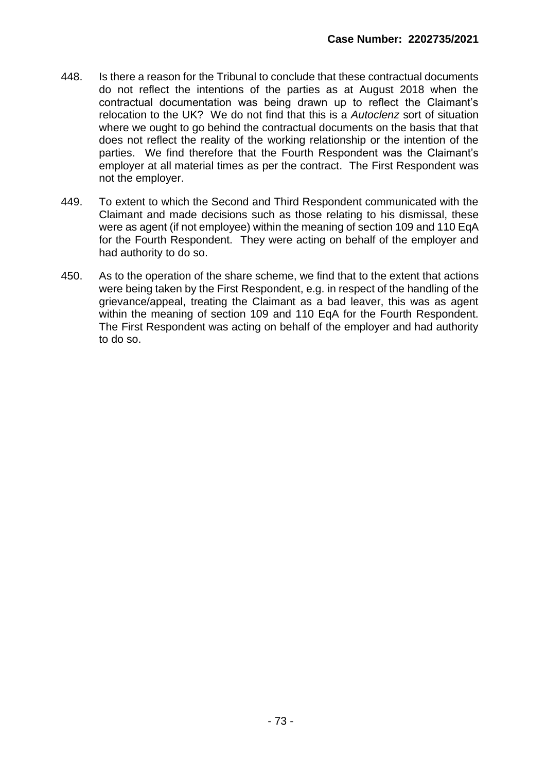- 448. Is there a reason for the Tribunal to conclude that these contractual documents do not reflect the intentions of the parties as at August 2018 when the contractual documentation was being drawn up to reflect the Claimant's relocation to the UK? We do not find that this is a *Autoclenz* sort of situation where we ought to go behind the contractual documents on the basis that that does not reflect the reality of the working relationship or the intention of the parties. We find therefore that the Fourth Respondent was the Claimant's employer at all material times as per the contract. The First Respondent was not the employer.
- 449. To extent to which the Second and Third Respondent communicated with the Claimant and made decisions such as those relating to his dismissal, these were as agent (if not employee) within the meaning of section 109 and 110 EqA for the Fourth Respondent. They were acting on behalf of the employer and had authority to do so.
- 450. As to the operation of the share scheme, we find that to the extent that actions were being taken by the First Respondent, e.g. in respect of the handling of the grievance/appeal, treating the Claimant as a bad leaver, this was as agent within the meaning of section 109 and 110 EqA for the Fourth Respondent. The First Respondent was acting on behalf of the employer and had authority to do so.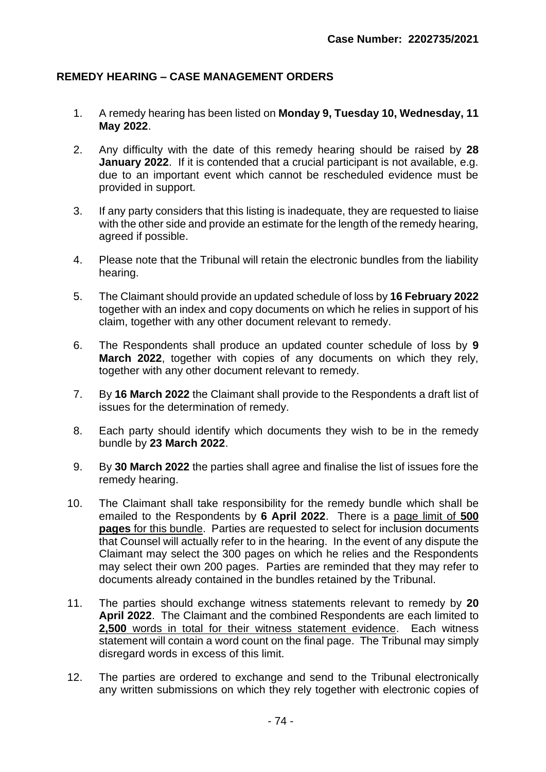## **REMEDY HEARING – CASE MANAGEMENT ORDERS**

- 1. A remedy hearing has been listed on **Monday 9, Tuesday 10, Wednesday, 11 May 2022**.
- 2. Any difficulty with the date of this remedy hearing should be raised by **28 January 2022**. If it is contended that a crucial participant is not available, e.g. due to an important event which cannot be rescheduled evidence must be provided in support.
- 3. If any party considers that this listing is inadequate, they are requested to liaise with the other side and provide an estimate for the length of the remedy hearing, agreed if possible.
- 4. Please note that the Tribunal will retain the electronic bundles from the liability hearing.
- 5. The Claimant should provide an updated schedule of loss by **16 February 2022** together with an index and copy documents on which he relies in support of his claim, together with any other document relevant to remedy.
- 6. The Respondents shall produce an updated counter schedule of loss by **9 March 2022**, together with copies of any documents on which they rely, together with any other document relevant to remedy.
- 7. By **16 March 2022** the Claimant shall provide to the Respondents a draft list of issues for the determination of remedy.
- 8. Each party should identify which documents they wish to be in the remedy bundle by **23 March 2022**.
- 9. By **30 March 2022** the parties shall agree and finalise the list of issues fore the remedy hearing.
- 10. The Claimant shall take responsibility for the remedy bundle which shall be emailed to the Respondents by **6 April 2022**. There is a page limit of **500 pages** for this bundle. Parties are requested to select for inclusion documents that Counsel will actually refer to in the hearing. In the event of any dispute the Claimant may select the 300 pages on which he relies and the Respondents may select their own 200 pages. Parties are reminded that they may refer to documents already contained in the bundles retained by the Tribunal.
- 11. The parties should exchange witness statements relevant to remedy by **20 April 2022**. The Claimant and the combined Respondents are each limited to **2,500** words in total for their witness statement evidence. Each witness statement will contain a word count on the final page. The Tribunal may simply disregard words in excess of this limit.
- 12. The parties are ordered to exchange and send to the Tribunal electronically any written submissions on which they rely together with electronic copies of